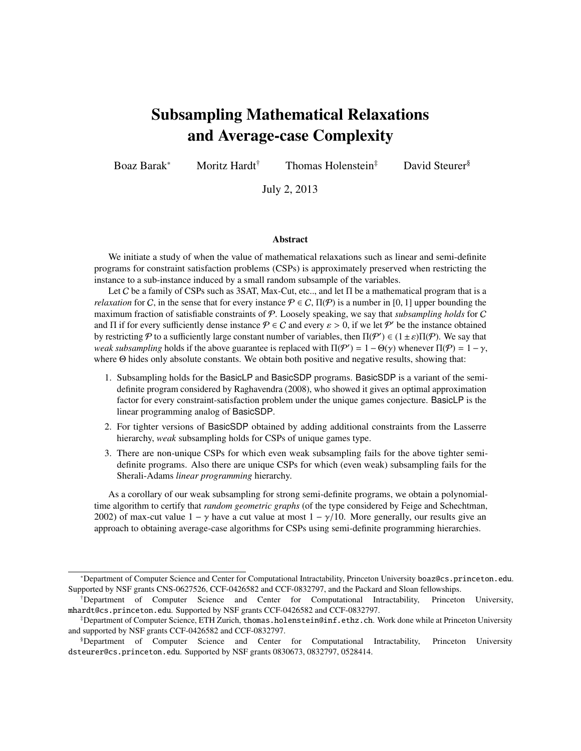# Subsampling Mathematical Relaxations and Average-case Complexity

Boaz Barak<sup>∗</sup> Moritz Hardt† Thomas Holenstein‡ David Steurer§

July 2, 2013

#### **Abstract**

We initiate a study of when the value of mathematical relaxations such as linear and semi-definite programs for constraint satisfaction problems (CSPs) is approximately preserved when restricting the instance to a sub-instance induced by a small random subsample of the variables.

Let C be a family of CSPs such as 3SAT, Max-Cut, etc.., and let Π be a mathematical program that is a *relaxation* for C, in the sense that for every instance  $P \in C$ ,  $\Pi(P)$  is a number in [0, 1] upper bounding the maximum fraction of satisfiable constraints of P. Loosely speaking, we say that *subsampling holds* for C and  $\Pi$  if for every sufficiently dense instance  $P \in C$  and every  $\varepsilon > 0$ , if we let  $P'$  be the instance obtained<br>by restricting  $P$  to a sufficiently large constant number of variables, then  $\Pi(P') \in (1 + \varepsilon)\Pi(P)$ . We sa by restricting  $P$  to a sufficiently large constant number of variables, then  $\Pi(P') \in (1 \pm \varepsilon) \Pi(P)$ . We say that weak subsampling bolds if the above guarantee is replaced with  $\Pi(P') = 1 - \Theta(x)$  whenever  $\Pi(P) = 1 - \gamma$ *weak subsampling* holds if the above guarantee is replaced with  $\Pi(\mathcal{P}') = 1 - \Theta(\gamma)$  whenever  $\Pi(\mathcal{P}) = 1 - \gamma$ , where  $\Theta$  hides only absolute constants. We obtain both positive and peoplive results showing that: where Θ hides only absolute constants. We obtain both positive and negative results, showing that:

- 1. Subsampling holds for the BasicLP and BasicSDP programs. BasicSDP is a variant of the semidefinite program considered by Raghavendra (2008), who showed it gives an optimal approximation factor for every constraint-satisfaction problem under the unique games conjecture. BasicLP is the linear programming analog of BasicSDP.
- 2. For tighter versions of BasicSDP obtained by adding additional constraints from the Lasserre hierarchy, *weak* subsampling holds for CSPs of unique games type.
- 3. There are non-unique CSPs for which even weak subsampling fails for the above tighter semidefinite programs. Also there are unique CSPs for which (even weak) subsampling fails for the Sherali-Adams *linear programming* hierarchy.

As a corollary of our weak subsampling for strong semi-definite programs, we obtain a polynomialtime algorithm to certify that *random geometric graphs* (of the type considered by Feige and Schechtman, 2002) of max-cut value  $1 - \gamma$  have a cut value at most  $1 - \gamma/10$ . More generally, our results give an approach to obtaining average-case algorithms for CSPs using semi-definite programming hierarchies.

<sup>∗</sup>Department of Computer Science and Center for Computational Intractability, Princeton University boaz@cs.princeton.edu. Supported by NSF grants CNS-0627526, CCF-0426582 and CCF-0832797, and the Packard and Sloan fellowships.

<sup>†</sup>Department of Computer Science and Center for Computational Intractability, Princeton University, mhardt@cs.princeton.edu. Supported by NSF grants CCF-0426582 and CCF-0832797.

<sup>‡</sup>Department of Computer Science, ETH Zurich, thomas.holenstein@inf.ethz.ch. Work done while at Princeton University and supported by NSF grants CCF-0426582 and CCF-0832797.

<sup>§</sup>Department of Computer Science and Center for Computational Intractability, Princeton University dsteurer@cs.princeton.edu. Supported by NSF grants 0830673, 0832797, 0528414.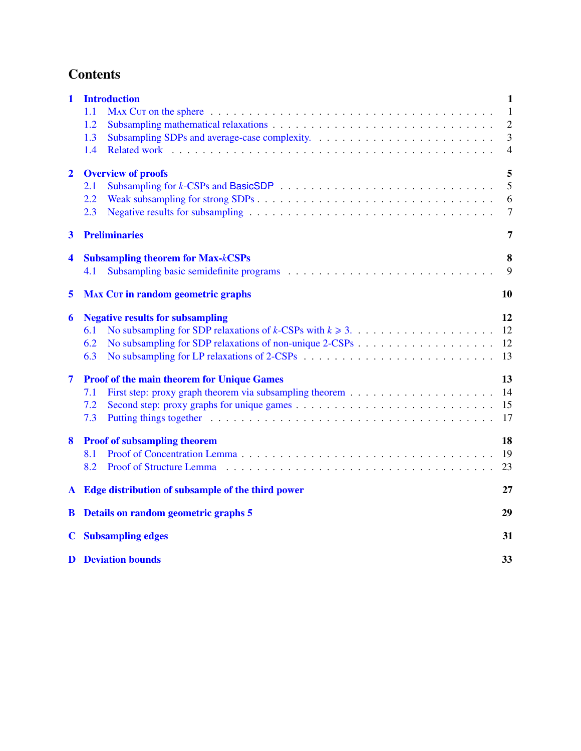# **Contents**

| $\mathbf{1}$            | <b>Introduction</b>                                                                                                                                                                                                                   | $\mathbf{1}$   |  |  |  |  |
|-------------------------|---------------------------------------------------------------------------------------------------------------------------------------------------------------------------------------------------------------------------------------|----------------|--|--|--|--|
|                         | 1.1                                                                                                                                                                                                                                   | $\mathbf{1}$   |  |  |  |  |
|                         | 1.2                                                                                                                                                                                                                                   | $\overline{2}$ |  |  |  |  |
|                         | 1.3                                                                                                                                                                                                                                   | $\mathfrak{Z}$ |  |  |  |  |
|                         | 1.4<br>Related work in the contract of the contract of the contract of the contract of the contract of the contract of the contract of the contract of the contract of the contract of the contract of the contract of the contract o | $\overline{4}$ |  |  |  |  |
| $\overline{2}$          | <b>Overview of proofs</b>                                                                                                                                                                                                             | 5              |  |  |  |  |
|                         | 2.1                                                                                                                                                                                                                                   | 5              |  |  |  |  |
|                         | 2.2                                                                                                                                                                                                                                   | 6              |  |  |  |  |
|                         | 2.3                                                                                                                                                                                                                                   | $\overline{7}$ |  |  |  |  |
| $\overline{\mathbf{3}}$ | <b>Preliminaries</b>                                                                                                                                                                                                                  | 7              |  |  |  |  |
| 4                       | <b>Subsampling theorem for Max-kCSPs</b>                                                                                                                                                                                              | 8              |  |  |  |  |
|                         | 4.1                                                                                                                                                                                                                                   | 9              |  |  |  |  |
| 5                       | 10<br><b>MAX CUT in random geometric graphs</b>                                                                                                                                                                                       |                |  |  |  |  |
| 6                       | <b>Negative results for subsampling</b>                                                                                                                                                                                               | 12             |  |  |  |  |
|                         | 6.1                                                                                                                                                                                                                                   | 12             |  |  |  |  |
|                         | 6.2                                                                                                                                                                                                                                   | 12             |  |  |  |  |
|                         | 6.3                                                                                                                                                                                                                                   | 13             |  |  |  |  |
| $\overline{7}$          | <b>Proof of the main theorem for Unique Games</b>                                                                                                                                                                                     | 13             |  |  |  |  |
|                         | 7.1                                                                                                                                                                                                                                   | 14             |  |  |  |  |
|                         | 7.2                                                                                                                                                                                                                                   | 15             |  |  |  |  |
|                         | 7.3                                                                                                                                                                                                                                   | 17             |  |  |  |  |
| 8                       | <b>Proof of subsampling theorem</b>                                                                                                                                                                                                   | 18             |  |  |  |  |
|                         | Proof of Concentration Lemma enterity and the set of the contract of the contract of the contract of the contract of the contract of the contract of the contract of the contract of the contract of the contract of the contr<br>8.1 | 19             |  |  |  |  |
|                         | 8.2                                                                                                                                                                                                                                   | 23             |  |  |  |  |
| A                       | Edge distribution of subsample of the third power                                                                                                                                                                                     |                |  |  |  |  |
| B                       | Details on random geometric graphs 5                                                                                                                                                                                                  |                |  |  |  |  |
|                         | <b>C</b> Subsampling edges                                                                                                                                                                                                            |                |  |  |  |  |
|                         | <b>D</b> Deviation bounds                                                                                                                                                                                                             |                |  |  |  |  |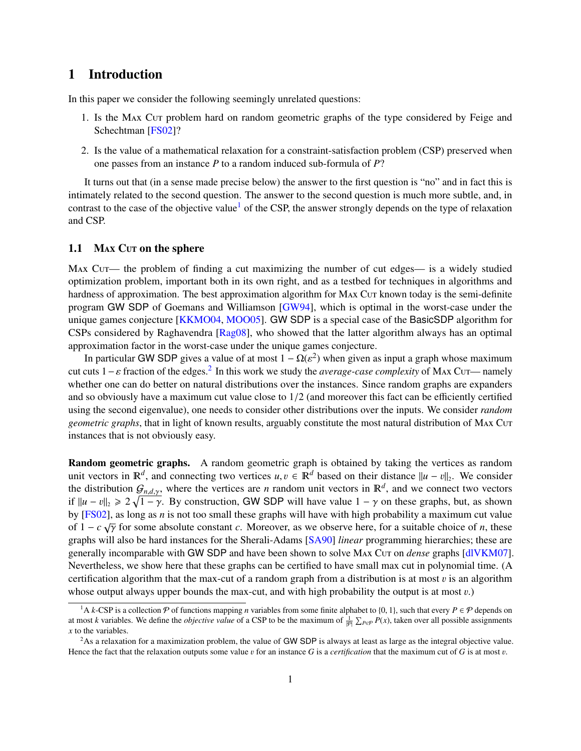# <span id="page-2-0"></span>1 Introduction

In this paper we consider the following seemingly unrelated questions:

- 1. Is the MAX Cut problem hard on random geometric graphs of the type considered by Feige and Schechtman [\[FS02\]](#page-27-0)?
- 2. Is the value of a mathematical relaxation for a constraint-satisfaction problem (CSP) preserved when one passes from an instance *P* to a random induced sub-formula of *P*?

It turns out that (in a sense made precise below) the answer to the first question is "no" and in fact this is intimately related to the second question. The answer to the second question is much more subtle, and, in contrast to the case of the objective value<sup>[1](#page-2-2)</sup> of the CSP, the answer strongly depends on the type of relaxation and CSP.

#### <span id="page-2-1"></span>1.1 MAX Cur on the sphere

Max Cut— the problem of finding a cut maximizing the number of cut edges— is a widely studied optimization problem, important both in its own right, and as a testbed for techniques in algorithms and hardness of approximation. The best approximation algorithm for MAX Cur known today is the semi-definite program GW SDP of Goemans and Williamson [\[GW94\]](#page-28-1), which is optimal in the worst-case under the unique games conjecture [\[KKMO04,](#page-28-2) [MOO05\]](#page-28-3). GW SDP is a special case of the BasicSDP algorithm for CSPs considered by Raghavendra [\[Rag08\]](#page-28-4), who showed that the latter algorithm always has an optimal approximation factor in the worst-case under the unique games conjecture.

In particular GW SDP gives a value of at most  $1 - \Omega(\varepsilon^2)$  when given as input a graph whose maximum<br>cuts  $1 - \varepsilon$  fraction of the edges <sup>2</sup>. In this work we study the *querges case complexity* of MAX Cuts, pamely cut cuts  $1 - \varepsilon$  fraction of the edges.<sup>[2](#page-2-3)</sup> In this work we study the *average-case complexity* of MAx Cut— namely<br>whether one can do better on natural distributions over the instances. Since random graphs are expanders whether one can do better on natural distributions over the instances. Since random graphs are expanders and so obviously have a maximum cut value close to 1/2 (and moreover this fact can be efficiently certified using the second eigenvalue), one needs to consider other distributions over the inputs. We consider *random geometric graphs*, that in light of known results, arguably constitute the most natural distribution of MAX Cut instances that is not obviously easy.

Random geometric graphs. A random geometric graph is obtained by taking the vertices as random unit vectors in  $\mathbb{R}^d$ , and connecting two vertices  $u, v \in \mathbb{R}^d$  based on their distance  $||u - v||_2$ . We consider the distribution  $G$  is where the vertices are *u* random unit vectors in  $\mathbb{R}^d$  and we connect tw the distribution  $G_{n,d,y}$ , where the vertices are *n* random unit vectors in  $\mathbb{R}^d$ , and we connect two vectors if  $\mathbb{R}^d$ ,  $\mathbb{R}^d$ ,  $\mathbb{R}^d$ ,  $\mathbb{R}^d$ ,  $\mathbb{R}^d$ ,  $\mathbb{R}^d$ ,  $\mathbb{R}^d$ ,  $\mathbb{R}^d$ ,  $\mathbb{R$ if  $\|u - v\|_2 \geq 2\sqrt{1 - \gamma}$ . By construction, GW SDP will have value  $1 - \gamma$  on these graphs, but, as shown<br>by [ESO2] as long as *n* is not too small these graphs will have with high probability a maximum cut value by [\[FS02\]](#page-27-0), as long as *n* is not too small these graphs will have with high probability a maximum cut value of  $1 - c \sqrt{\gamma}$  for some absolute constant *c*. Moreover, as we observe here, for a suitable choice of *n*, these graphs will also be hard instances for the Sherali. Adams [SA00] *linear* programming hierarchies: these are graphs will also be hard instances for the Sherali-Adams [\[SA90\]](#page-28-5) *linear* programming hierarchies; these are generally incomparable with GW SDP and have been shown to solve MAX Cut on *dense* graphs [\[dlVKM07\]](#page-27-1). Nevertheless, we show here that these graphs can be certified to have small max cut in polynomial time. (A certification algorithm that the max-cut of a random graph from a distribution is at most  $v$  is an algorithm whose output always upper bounds the max-cut, and with high probability the output is at most  $v$ .)

<span id="page-2-2"></span><sup>&</sup>lt;sup>1</sup>A *k*-CSP is a collection  $P$  of functions mapping *n* variables from some finite alphabet to {0, 1}, such that every  $P \in \mathcal{P}$  depends on at most *k* variables. We define the *objective value* of a CSP to be the maximum of  $\frac{1}{|P|} \sum_{P \in P} P(x)$ , taken over all possible assignments *x* to the variables.

<span id="page-2-3"></span><sup>&</sup>lt;sup>2</sup>As a relaxation for a maximization problem, the value of GW SDP is always at least as large as the integral objective value. Hence the fact that the relaxation outputs some value v for an instance *<sup>G</sup>* is a *certification* that the maximum cut of *<sup>G</sup>* is at most v.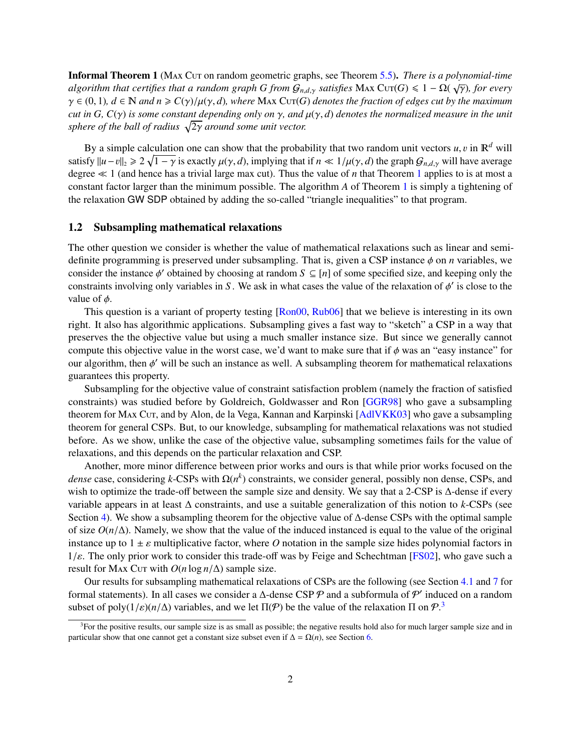<span id="page-3-1"></span>Informal Theorem 1 (Max Cut on random geometric graphs, see Theorem [5.5\)](#page-13-3). *There is a polynomial-time algorithm that certifies that a random graph G from*  $G_{n,d,\gamma}$  *satisfies* Max Cut(*G*)  $\leq 1 - \Omega(\sqrt{\gamma})$ *, for every*<br> $\alpha \in (0, 1)$ ,  $d \in \mathbb{N}$  and  $n > C(\alpha) \cup (\alpha, d)$ , where Max Cut(*G*) denotes the fraction of edges cut  $\gamma \in (0, 1)$ ,  $d \in \mathbb{N}$  and  $n \geq C(\gamma)/\mu(\gamma, d)$ , where Max Cut(*G*) denotes the fraction of edges cut by the maximum *cut in G, <sup>C</sup>*(γ) *is some constant depending only on* γ*, and* µ(γ, *<sup>d</sup>*) *denotes the normalized measure in the unit* sphere of the ball of radius  $\sqrt{2\gamma}$  around some unit vector.

By a simple calculation one can show that the probability that two random unit vectors  $u, v$  in  $\mathbb{R}^d$  will satisfy  $||u - v||_2 \ge 2\sqrt{1 - \gamma}$  is exactly  $\mu(\gamma, d)$ , implying that if  $n \ll 1/\mu(\gamma, d)$  the graph  $G_{n,d,\gamma}$  will have average degree  $\ll 1$  (and hence has a trivial large may cut). Thus the value of *n* that Theorem 1 applies degree  $\ll 1$  $\ll 1$  (and hence has a trivial large max cut). Thus the value of *n* that Theorem 1 applies to is at most a constant factor larger than the minimum possible. The algorithm *A* of Theorem [1](#page-3-1) is simply a tightening of the relaxation GW SDP obtained by adding the so-called "triangle inequalities" to that program.

#### <span id="page-3-0"></span>1.2 Subsampling mathematical relaxations

The other question we consider is whether the value of mathematical relaxations such as linear and semidefinite programming is preserved under subsampling. That is, given a CSP instance φ on *<sup>n</sup>* variables, we consider the instance  $\phi'$  obtained by choosing at random  $S \subseteq [n]$  of some specified size, and keeping only the constraints involving only variables in *S*. We ask in what cases the value of the relaxation of  $\phi'$  is cl constraints involving only variables in *S*. We ask in what cases the value of the relaxation of  $\phi'$  is close to the value of  $\phi$ value of  $\phi$ .

This question is a variant of property testing [\[Ron00,](#page-28-6) [Rub06\]](#page-28-7) that we believe is interesting in its own right. It also has algorithmic applications. Subsampling gives a fast way to "sketch" a CSP in a way that preserves the the objective value but using a much smaller instance size. But since we generally cannot compute this objective value in the worst case, we'd want to make sure that if  $\phi$  was an "easy instance" for our algorithm, then  $\phi'$  will be such an instance as well. A subsampling theorem for mathematical relaxations muarantees this property guarantees this property.

Subsampling for the objective value of constraint satisfaction problem (namely the fraction of satisfied constraints) was studied before by Goldreich, Goldwasser and Ron [\[GGR98\]](#page-27-2) who gave a subsampling theorem for Max Cut, and by Alon, de la Vega, Kannan and Karpinski [\[AdlVKK03\]](#page-27-3) who gave a subsampling theorem for general CSPs. But, to our knowledge, subsampling for mathematical relaxations was not studied before. As we show, unlike the case of the objective value, subsampling sometimes fails for the value of relaxations, and this depends on the particular relaxation and CSP.

Another, more minor difference between prior works and ours is that while prior works focused on the *dense* case, considering *k*-CSPs with Ω(*n k* ) constraints, we consider general, possibly non dense, CSPs, and wish to optimize the trade-off between the sample size and density. We say that a 2-CSP is ∆-dense if every variable appears in at least ∆ constraints, and use a suitable generalization of this notion to *k*-CSPs (see Section [4\)](#page-9-0). We show a subsampling theorem for the objective value of Δ-dense CSPs with the optimal sample of size  $O(n/\Delta)$ . Namely, we show that the value of the induced instanced is equal to the value of the original instance up to  $1 \pm \varepsilon$  multiplicative factor, where *O* notation in the sample size hides polynomial factors in  $1/\varepsilon$ . The only prior work to consider this trade-off was by Feige and Schechtman [\[FS02\]](#page-27-0), who gave such a result for Max Cut with  $O(n \log n/\Delta)$  sample size.

Our results for subsampling mathematical relaxations of CSPs are the following (see Section [4.1](#page-10-0) and [7](#page-14-1) for formal statements). In all cases we consider a  $\Delta$ -dense CSP  $\mathcal P$  and a subformula of  $\mathcal P'$  induced on a random subset of poly( $1/\varepsilon$ )( $n/\Delta$ ) variables, and we let  $\Pi(\mathcal{P})$  be the value of the relaxation  $\Pi$  on  $\mathcal{P}^3$  $\mathcal{P}^3$ .

<span id="page-3-2"></span> $3$ For the positive results, our sample size is as small as possible; the negative results hold also for much larger sample size and in particular show that one cannot get a constant size subset even if  $\Delta = \Omega(n)$ , see Section [6.](#page-13-0)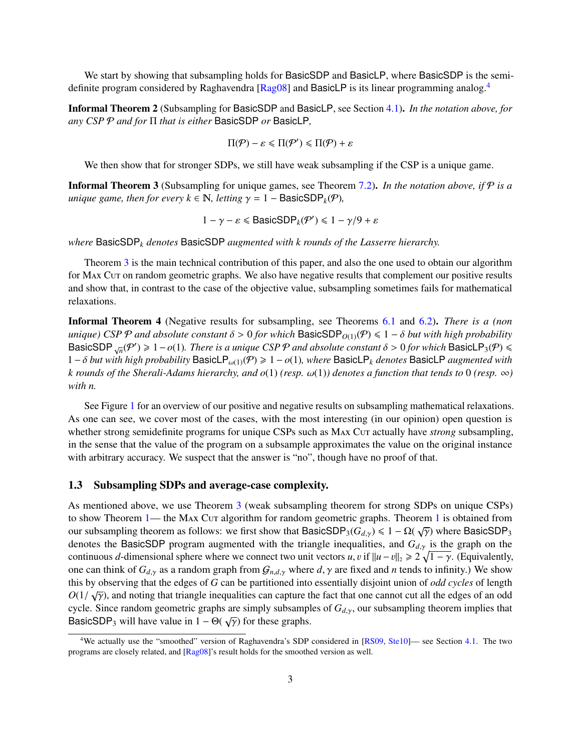We start by showing that subsampling holds for BasicSDP and BasicLP, where BasicSDP is the semi-definite program considered by Raghavendra [\[Rag08\]](#page-28-4) and BasicLP is its linear programming analog.<sup>[4](#page-4-1)</sup>

Informal Theorem 2 (Subsampling for BasicSDP and BasicLP, see Section [4.1\)](#page-10-0). *In the notation above, for any CSP* P *and for* Π *that is either* BasicSDP *or* BasicLP*,*

$$
\Pi(\mathcal{P}) - \varepsilon \leqslant \Pi(\mathcal{P}') \leqslant \Pi(\mathcal{P}) + \varepsilon
$$

We then show that for stronger SDPs, we still have weak subsampling if the CSP is a unique game.

<span id="page-4-2"></span>Informal Theorem 3 (Subsampling for unique games, see Theorem [7.2\)](#page-15-1). *In the notation above, if* P *is a unique game, then for every*  $k \in \mathbb{N}$ *, letting*  $\gamma = 1 - \text{BasicSDP}_k(\mathcal{P})$ *,* 

$$
1 - \gamma - \varepsilon \leq \text{BasicSDP}_k(\mathcal{P}') \leq 1 - \gamma/9 + \varepsilon
$$

*where* BasicSDP*<sup>k</sup> denotes* BasicSDP *augmented with k rounds of the Lasserre hierarchy.*

Theorem [3](#page-4-2) is the main technical contribution of this paper, and also the one used to obtain our algorithm for Max Cut on random geometric graphs. We also have negative results that complement our positive results and show that, in contrast to the case of the objective value, subsampling sometimes fails for mathematical relaxations.

Informal Theorem 4 (Negative results for subsampling, see Theorems [6.1](#page-13-4) and [6.2\)](#page-14-2). *There is a (non unique)* CSP  $\mathcal P$  *and absolute constant*  $\delta > 0$  *for which* BasicSDP<sub>O(1)</sub>( $\mathcal P$ )  $\leq 1 - \delta$  *but with high probability* BasicSDP  $\sqrt{n}$ (P') ≥ 1 − *o*(1)*. There is a unique CSP P and absolute constant*  $\delta$  > 0 *for which* BasicLP<sub>3</sub>(P) ≤ 1 − *δ* but with high probability BasicLP  $\omega$ (Φ) > 1 −  $\omega$ (1) where BasicLP. denotes BasicLP *ayam* <sup>1</sup> <sup>−</sup> <sup>δ</sup> *but with high probability* BasicLPω(1)(P) <sup>&</sup>gt; <sup>1</sup> <sup>−</sup> *<sup>o</sup>*(1)*, where* BasicLP*<sup>k</sup> denotes* BasicLP *augmented with k* rounds of the Sherali-Adams hierarchy, and  $o(1)$  (resp.  $\omega(1)$ ) denotes a function that tends to 0 (resp.  $\infty$ ) *with n.*

See Figure [1](#page-5-1) for an overview of our positive and negative results on subsampling mathematical relaxations. As one can see, we cover most of the cases, with the most interesting (in our opinion) open question is whether strong semidefinite programs for unique CSPs such as MAX Cut actually have *strong* subsampling, in the sense that the value of the program on a subsample approximates the value on the original instance with arbitrary accuracy. We suspect that the answer is "no", though have no proof of that.

#### <span id="page-4-0"></span>1.3 Subsampling SDPs and average-case complexity.

As mentioned above, we use Theorem [3](#page-4-2) (weak subsampling theorem for strong SDPs on unique CSPs) to show Theorem  $1$ — the M<sub>AX</sub> C<sub>UT</sub> algorithm for random geometric graphs. Theorem 1 is obtained from our subsampling theorem as follows: we first show that BasicSDP<sub>3</sub>(*Gd*<sub>*d*</sub>,*γ*) ≤ 1 − Ω(  $\sqrt{\gamma}$ ) where BasicSDP<sub>3</sub> denotes the BasicSDP program augmented with the triangle inequalities and *G*<sub>in</sub> is the graph on t denotes the BasicSDP program augmented with the triangle inequalities, and *<sup>G</sup>d*,γ is the graph on the continuous *d*-dimensional sphere where we connect two unit vectors *u*, *v* if  $||u - v||_2 \ge 2\sqrt{1 - \gamma}$ . (Equivalently, one can think of  $G_{d,y}$  as a random graph from  $G_{n,d,y}$  where  $d, \gamma$  are fixed and *n* tends to infinity.) We show this by observing that the edges of *G* can be partitioned into essentially disjoint union of *odd cycles* of length √  $O(1/\sqrt{\gamma})$ , and noting that triangle inequalities can capture the fact that one cannot cut all the edges of an odd<br>cycle. Since random geometric graphs are simply subsamples of  $G_{\perp}$ , our subsampling theorem implies th cycle. Since random geometric graphs are simply subsamples of  $G_{d,y}$ , our subsampling theorem implies that  $P_{\text{Q}}(F)$  will have value in  $1 - Q(f)$  for these graphs BasicSDP<sub>3</sub> will have value in  $1 - \Theta(\sqrt{\gamma})$  for these graphs.

<span id="page-4-1"></span><sup>&</sup>lt;sup>4</sup>We actually use the "smoothed" version of Raghavendra's SDP considered in [\[RS09,](#page-28-8) [Ste10\]](#page-28-9)— see Section [4.1.](#page-10-0) The two programs are closely related, and [\[Rag08\]](#page-28-4)'s result holds for the smoothed version as well.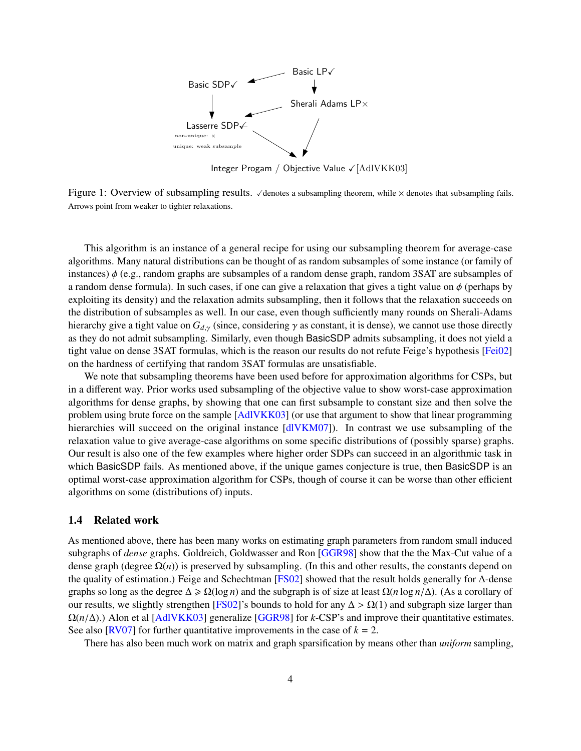

Integer Progam / Objective Value  $\sqrt{\text{[AdIVKK03]}}$ 

<span id="page-5-1"></span>Figure 1: Overview of subsampling results.  $\checkmark$  denotes a subsampling theorem, while  $\times$  denotes that subsampling fails. Arrows point from weaker to tighter relaxations.

This algorithm is an instance of a general recipe for using our subsampling theorem for average-case algorithms. Many natural distributions can be thought of as random subsamples of some instance (or family of instances) φ (e.g., random graphs are subsamples of a random dense graph, random 3SAT are subsamples of a random dense formula). In such cases, if one can give a relaxation that gives a tight value on  $\phi$  (perhaps by exploiting its density) and the relaxation admits subsampling, then it follows that the relaxation succeeds on the distribution of subsamples as well. In our case, even though sufficiently many rounds on Sherali-Adams hierarchy give a tight value on  $G_{d,y}$  (since, considering  $\gamma$  as constant, it is dense), we cannot use those directly as they do not admit subsampling. Similarly, even though BasicSDP admits subsampling, it does not yield a tight value on dense 3SAT formulas, which is the reason our results do not refute Feige's hypothesis [\[Fei02\]](#page-27-4) on the hardness of certifying that random 3SAT formulas are unsatisfiable.

We note that subsampling theorems have been used before for approximation algorithms for CSPs, but in a different way. Prior works used subsampling of the objective value to show worst-case approximation algorithms for dense graphs, by showing that one can first subsample to constant size and then solve the problem using brute force on the sample [\[AdlVKK03\]](#page-27-3) (or use that argument to show that linear programming hierarchies will succeed on the original instance [\[dlVKM07\]](#page-27-1)). In contrast we use subsampling of the relaxation value to give average-case algorithms on some specific distributions of (possibly sparse) graphs. Our result is also one of the few examples where higher order SDPs can succeed in an algorithmic task in which BasicSDP fails. As mentioned above, if the unique games conjecture is true, then BasicSDP is an optimal worst-case approximation algorithm for CSPs, though of course it can be worse than other efficient algorithms on some (distributions of) inputs.

#### <span id="page-5-0"></span>1.4 Related work

As mentioned above, there has been many works on estimating graph parameters from random small induced subgraphs of *dense* graphs. Goldreich, Goldwasser and Ron [\[GGR98\]](#page-27-2) show that the the Max-Cut value of a dense graph (degree  $\Omega(n)$ ) is preserved by subsampling. (In this and other results, the constants depend on the quality of estimation.) Feige and Schechtman [\[FS02\]](#page-27-0) showed that the result holds generally for ∆-dense graphs so long as the degree  $\Delta \ge \Omega(\log n)$  and the subgraph is of size at least  $\Omega(n \log n/\Delta)$ . (As a corollary of our results, we slightly strengthen [\[FS02\]](#page-27-0)'s bounds to hold for any  $\Delta > \Omega(1)$  and subgraph size larger than <sup>Ω</sup>(*n*/∆).) Alon et al [\[AdlVKK03\]](#page-27-3) generalize [\[GGR98\]](#page-27-2) for *<sup>k</sup>*-CSP's and improve their quantitative estimates. See also [ $RV07$ ] for further quantitative improvements in the case of  $k = 2$ .

There has also been much work on matrix and graph sparsification by means other than *uniform* sampling,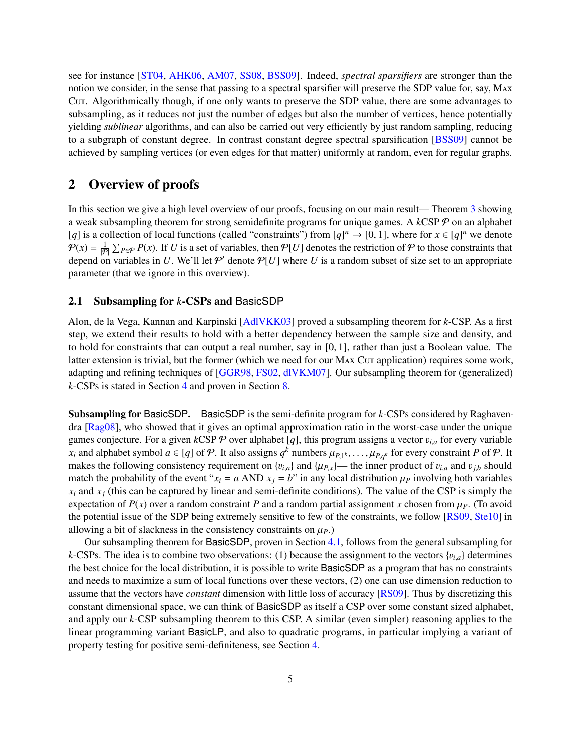see for instance [\[ST04,](#page-28-11) [AHK06,](#page-27-5) [AM07,](#page-27-6) [SS08,](#page-28-12) [BSS09\]](#page-27-7). Indeed, *spectral sparsifiers* are stronger than the notion we consider, in the sense that passing to a spectral sparsifier will preserve the SDP value for, say, Max Cut. Algorithmically though, if one only wants to preserve the SDP value, there are some advantages to subsampling, as it reduces not just the number of edges but also the number of vertices, hence potentially yielding *sublinear* algorithms, and can also be carried out very efficiently by just random sampling, reducing to a subgraph of constant degree. In contrast constant degree spectral sparsification [\[BSS09\]](#page-27-7) cannot be achieved by sampling vertices (or even edges for that matter) uniformly at random, even for regular graphs.

## <span id="page-6-0"></span>2 Overview of proofs

In this section we give a high level overview of our proofs, focusing on our main result— Theorem [3](#page-4-2) showing a weak subsampling theorem for strong semidefinite programs for unique games. A *k*CSP P on an alphabet [*q*] is a collection of local functions (called "constraints") from [*q*]<sup>*n*</sup> → [0, 1], where for  $x \in [q]^n$  we denote  $P(x) = \frac{1}{|P|} \sum_{P \in P} P(x)$ . If *U* is a set of variables, then  $P[U]$  denotes the restriction of P to those constraints that depend on variables in U. We'll let  $P'$  denote  $P[U]$  where U is a random subset of size set to an appropriate parameter (that we ignore in this overview).

#### <span id="page-6-1"></span>2.1 Subsampling for *k*-CSPs and BasicSDP

Alon, de la Vega, Kannan and Karpinski [\[AdlVKK03\]](#page-27-3) proved a subsampling theorem for *k*-CSP. As a first step, we extend their results to hold with a better dependency between the sample size and density, and to hold for constraints that can output a real number, say in [0, 1], rather than just a Boolean value. The latter extension is trivial, but the former (which we need for our MAX Cut application) requires some work, adapting and refining techniques of [\[GGR98,](#page-27-2) [FS02,](#page-27-0) [dlVKM07\]](#page-27-1). Our subsampling theorem for (generalized) *k*-CSPs is stated in Section [4](#page-9-0) and proven in Section [8.](#page-19-0)

Subsampling for BasicSDP. BasicSDP is the semi-definite program for *k*-CSPs considered by Raghavendra [\[Rag08\]](#page-28-4), who showed that it gives an optimal approximation ratio in the worst-case under the unique games conjecture. For a given  $kCSP \, \mathcal{P}$  over alphabet [q], this program assigns a vector  $v_{i,a}$  for every variable *x*<sub>*i*</sub> and alphabet symbol *a* ∈ [*q*] of P. It also assigns *q*<sup>k</sup> numbers  $\mu_{P,1^k}, \ldots, \mu_{P,q^k}$  for every constraint *P* of P. It makes the following consistency requirement on  $\{u_k\}$  and  $\{u_k\}$ , the inner produ makes the following consistency requirement on  $\{v_{i,a}\}$  and  $\{\mu_{P,x}\}$ — the inner product of  $v_{i,a}$  and  $v_{j,b}$  should match the probability of the event " $x_i = a$  AND  $x_j = b$ " in any local distribution  $\mu_P$  involving both variables  $x_i$  and  $x_j$  (this can be captured by linear and semi-definite conditions). The value of the CSP is simply the expectation of  $P(x)$  over a random constraint P and a random partial assignment x chosen from  $\mu_P$ . (To avoid the potential issue of the SDP being extremely sensitive to few of the constraints, we follow [\[RS09,](#page-28-8) [Ste10\]](#page-28-9) in allowing a bit of slackness in the consistency constraints on  $\mu_P$ .)

Our subsampling theorem for BasicSDP, proven in Section [4.1,](#page-10-0) follows from the general subsampling for *k*-CSPs. The idea is to combine two observations: (1) because the assignment to the vectors  ${v_{i,a}}$  determines the best choice for the local distribution, it is possible to write BasicSDP as a program that has no constraints and needs to maximize a sum of local functions over these vectors, (2) one can use dimension reduction to assume that the vectors have *constant* dimension with little loss of accuracy [\[RS09\]](#page-28-8). Thus by discretizing this constant dimensional space, we can think of BasicSDP as itself a CSP over some constant sized alphabet, and apply our *k*-CSP subsampling theorem to this CSP. A similar (even simpler) reasoning applies to the linear programming variant BasicLP, and also to quadratic programs, in particular implying a variant of property testing for positive semi-definiteness, see Section [4.](#page-9-0)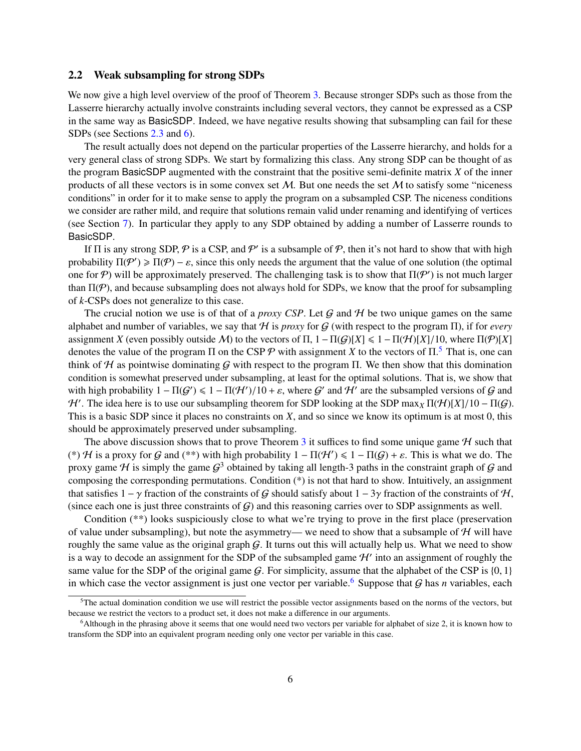#### <span id="page-7-0"></span>2.2 Weak subsampling for strong SDPs

We now give a high level overview of the proof of Theorem [3.](#page-4-2) Because stronger SDPs such as those from the Lasserre hierarchy actually involve constraints including several vectors, they cannot be expressed as a CSP in the same way as BasicSDP. Indeed, we have negative results showing that subsampling can fail for these SDPs (see Sections [2.3](#page-8-0) and [6\)](#page-13-0).

The result actually does not depend on the particular properties of the Lasserre hierarchy, and holds for a very general class of strong SDPs. We start by formalizing this class. Any strong SDP can be thought of as the program BasicSDP augmented with the constraint that the positive semi-definite matrix *X* of the inner products of all these vectors is in some convex set  $M$ . But one needs the set  $M$  to satisfy some "niceness" conditions" in order for it to make sense to apply the program on a subsampled CSP. The niceness conditions we consider are rather mild, and require that solutions remain valid under renaming and identifying of vertices (see Section [7\)](#page-14-1). In particular they apply to any SDP obtained by adding a number of Lasserre rounds to BasicSDP.

If  $\Pi$  is any strong SDP,  $P$  is a CSP, and  $P'$  is a subsample of  $P$ , then it's not hard to show that with high probability  $\Pi(\mathcal{P}') \ge \Pi(\mathcal{P}) - \varepsilon$ , since this only needs the argument that the value of one solution (the optimal<br>one for  $\mathcal{P}$ ) will be approximately preserved. The challenging task is to show that  $\Pi(\mathcal{P}')$  is n one for P) will be approximately preserved. The challenging task is to show that  $\Pi(\mathcal{P}')$  is not much larger than  $\Pi(\mathcal{P})$ , and because subsampling does not always hold for SDPs, we know that the proof for subsampling of *k*-CSPs does not generalize to this case.

The crucial notion we use is of that of a *proxy CSP*. Let  $G$  and  $H$  be two unique games on the same alphabet and number of variables, we say that H is *proxy* for G (with respect to the program Π), if for *every* assignment *X* (even possibly outside *M*) to the vectors of  $\Pi$ ,  $1 - \Pi(G)[X] \leq 1 - \Pi(H)[X]/10$ , where  $\Pi(\mathcal{P})[X]$ denotes the value of the program  $\Pi$  on the CSP  $P$  with assignment *X* to the vectors of  $\Pi$ .<sup>[5](#page-7-1)</sup> That is, one can think of H as pointwise dominating G with respect to the program Π. We then show that this domination condition is somewhat preserved under subsampling, at least for the optimal solutions. That is, we show that with high probability  $1 - \Pi(\mathcal{G}') \leq 1 - \Pi(\mathcal{H}')/10 + \varepsilon$ , where  $\mathcal{G}'$  and  $\mathcal{H}'$  are the subsampled versions of  $\mathcal{G}$  and  $\mathcal{H}'$ . The idea here is to use our subsampling theorem for SDP looking at the SDP max. *H'*. The idea here is to use our subsampling theorem for SDP looking at the SDP max<sub>*X*</sub> Π(*H*)[*X*]/10 − Π(*G*). This is a basic SDP since it places no constraints on *Y* and so since we know its optimum is at most 0, This is a basic SDP since it places no constraints on *X*, and so since we know its optimum is at most 0, this should be approximately preserved under subsampling.

The above discussion shows that to prove Theorem [3](#page-4-2) it suffices to find some unique game  $H$  such that (\*) H is a proxy for G and (\*\*) with high probability  $1 - \Pi(\mathcal{H}') \leq 1 - \Pi(\mathcal{G}) + \varepsilon$ . This is what we do. The proxy game H is simply the game  $G^3$  obtained by taking all length 3 paths in the constraint graph of G and proxy game H is simply the game  $G^3$  obtained by taking all length-3 paths in the constraint graph of G and composing the corresponding permutations. Condition (\*) is not that hard to show. Intuitively, an assignment that satisfies  $1 - \gamma$  fraction of the constraints of G should satisfy about  $1 - 3\gamma$  fraction of the constraints of H, (since each one is just three constraints of  $G$ ) and this reasoning carries over to SDP assignments as well.

Condition (\*\*) looks suspiciously close to what we're trying to prove in the first place (preservation of value under subsampling), but note the asymmetry— we need to show that a subsample of  $H$  will have roughly the same value as the original graph  $G$ . It turns out this will actually help us. What we need to show is a way to decode an assignment for the SDP of the subsampled game  $\mathcal{H}'$  into an assignment of roughly the same value for the SDP of the original game  $G$ . For simplicity, assume that the alphabet of the CSP is  $\{0, 1\}$ in which case the vector assignment is just one vector per variable.<sup>[6](#page-7-2)</sup> Suppose that  $G$  has *n* variables, each

<span id="page-7-1"></span><sup>5</sup>The actual domination condition we use will restrict the possible vector assignments based on the norms of the vectors, but because we restrict the vectors to a product set, it does not make a difference in our arguments.

<span id="page-7-2"></span><sup>6</sup>Although in the phrasing above it seems that one would need two vectors per variable for alphabet of size 2, it is known how to transform the SDP into an equivalent program needing only one vector per variable in this case.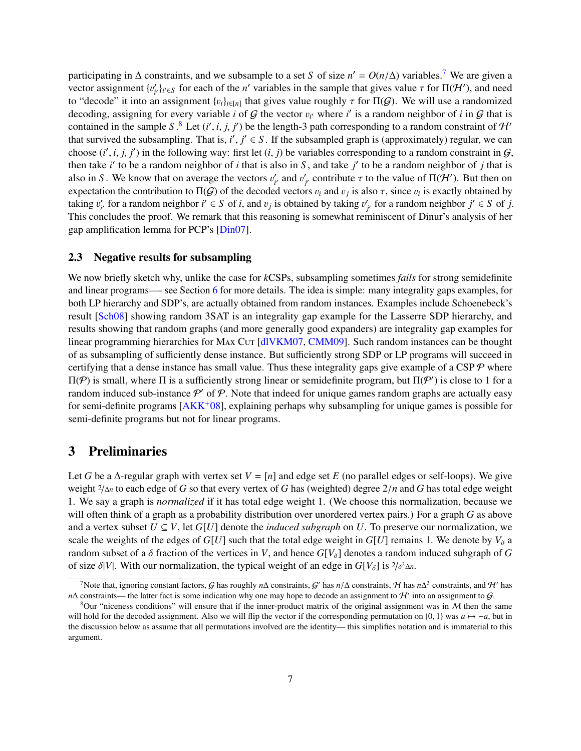participating in  $\Delta$  constraints, and we subsample to a set *S* of size  $n' = O(n/\Delta)$  variables.<sup>[7](#page-8-2)</sup> We are given a vector assignment  $\mathcal{W}_{\text{loc}}$  for each of the *n'* variables in the sample that gives value  $\tau$  for  $\Pi(\math$ vector assignment  $\{v_i^{\prime}\}$  $\gamma'$ <sub>*i<sup>i</sup>*</sub> $\gamma'$ <sub>i</sub><sup>*i*</sup>  $\in$ *S*</sub> for each of the *n*<sup>'</sup> variables in the sample that gives value  $\tau$  for  $\Pi(\mathcal{H}')$ , and need n assignment  $\ell_{\text{B}}\lambda_{\text{C}}$ , that gives value roughly  $\tau$  for  $\Pi(G)$ . We will use a ra to "decode" it into an assignment  $\{v_i\}_{i \in [n]}$  that gives value roughly  $\tau$  for  $\Pi(G)$ . We will use a randomized decoding assigning for every variable *i* of G the vector  $v_i$ , where *i'* is a random neighbor of *i* in decoding, assigning for every variable *i* of G the vector  $v_i$  where *i*' is a random neighbor of *i* in G that is<br>contained in the sample S  $\frac{8}{3}$  Let  $(i' \neq i'')$  be the length 3 path corresponding to a random constra contained in the sample *S*.<sup>[8](#page-8-3)</sup> Let  $(i', i, j, j')$  be the length-3 path corresponding to a random constraint of H' that survived the subsampling. That is,  $i', j' \in S$ . If the subsampled graph is (approximately) regular, we can<br>choose  $(i', i, i')$  in the following way: first let  $(i, i)$  be variables corresponding to a random constraint in G choose  $(i', i, j, j')$  in the following way: first let  $(i, j)$  be variables corresponding to a random constraint in  $G$ , then take i' to be a random peighbor of i that is then take *i*' to be a random neighbor of *i* that is also in *S*, and take *j*' to be a random neighbor of *j* that is also in *S*. We know that on average the vectors  $v_i'$ <br>expectation the contribution to  $\Pi(G)$  of the decoder  $v'_{i'}$  and  $v'_{j}$ *j* contribute  $\tau$  to the value of  $\Pi(\mathcal{H}')$ . But then on<br>rs *n*, and *n*, is also  $\tau$  since *n*, is exactly obtained by expectation the contribution to  $\Pi(G)$  of the decoded vectors  $v_i$  and  $v_j$  is also  $\tau$ , since  $v_i$  is exactly obtained by taking *i'* for a random pairbbor *i'*  $\in S$  of *i* taking  $v_i'$ <br>This con  $i<sup>i</sup>$  for a random neighbor  $i' \in S$  of *i*, and  $v_j$  is obtained by taking  $v'_j$ <br>neludes the proof. We remark that this reasoning is somewhat rep *j* for a random neighbor  $j' \in S$  of *j*. This concludes the proof. We remark that this reasoning is somewhat reminiscent of Dinur's analysis of her gap amplification lemma for PCP's [\[Din07\]](#page-27-8).

#### <span id="page-8-0"></span>2.3 Negative results for subsampling

We now briefly sketch why, unlike the case for *k*CSPs, subsampling sometimes *fails* for strong semidefinite and linear programs—- see Section [6](#page-13-0) for more details. The idea is simple: many integrality gaps examples, for both LP hierarchy and SDP's, are actually obtained from random instances. Examples include Schoenebeck's result [\[Sch08\]](#page-28-13) showing random 3SAT is an integrality gap example for the Lasserre SDP hierarchy, and results showing that random graphs (and more generally good expanders) are integrality gap examples for linear programming hierarchies for MAX Cut [\[dlVKM07,](#page-27-1) [CMM09\]](#page-27-9). Such random instances can be thought of as subsampling of sufficiently dense instance. But sufficiently strong SDP or LP programs will succeed in certifying that a dense instance has small value. Thus these integrality gaps give example of a CSP  $\mathcal P$  where  $\Pi$ (*P*) is small, where  $\Pi$  is a sufficiently strong linear or semidefinite program, but  $\Pi$ (*P'*) is close to 1 for a random induced sub-instance  $P'$  of P. Note that indeed for unique games random graphs are actually easy for semi-definite programs  $[AKK^+08]$  $[AKK^+08]$ , explaining perhaps why subsampling for unique games is possible for semi-definite programs but not for linear programs.

## <span id="page-8-1"></span>3 Preliminaries

Let *G* be a  $\Delta$ -regular graph with vertex set  $V = [n]$  and edge set *E* (no parallel edges or self-loops). We give weight <sup>2</sup>/∆*<sup>n</sup>* to each edge of *<sup>G</sup>* so that every vertex of *<sup>G</sup>* has (weighted) degree 2/*<sup>n</sup>* and *<sup>G</sup>* has total edge weight 1. We say a graph is *normalized* if it has total edge weight 1. (We choose this normalization, because we will often think of a graph as a probability distribution over unordered vertex pairs.) For a graph *G* as above and a vertex subset  $U \subseteq V$ , let  $G[U]$  denote the *induced subgraph* on *U*. To preserve our normalization, we scale the weights of the edges of  $G[U]$  such that the total edge weight in  $G[U]$  remains 1. We denote by  $V_{\delta}$  a random subset of a  $\delta$  fraction of the vertices in *V*, and hence  $G[V_{\delta}]$  denotes a random induced subgraph of *G* of size  $\delta|V|$ . With our normalization, the typical weight of an edge in  $G[V_\delta]$  is  $\frac{2}{\delta^2 \Delta n}$ .

<span id="page-8-2"></span>The fluit of the set of the set of the roughly *n*∆ constraints, G' has  $n/\Delta$  constraints, H has  $n\Delta^3$  constraints, and H' has constraints, the latter fact is some indication why one may hope to decode an assignment to  $n\Delta$  constraints— the latter fact is some indication why one may hope to decode an assignment to  $\mathcal{H}'$  into an assignment to  $\mathcal{G}$ .

<span id="page-8-3"></span> $8$ Our "niceness conditions" will ensure that if the inner-product matrix of the original assignment was in  $M$  then the same will hold for the decoded assignment. Also we will flip the vector if the corresponding permutation on {0, 1} was  $a \mapsto -a$ , but in the discussion below as assume that all permutations involved are the identity— this simplifies notation and is immaterial to this argument.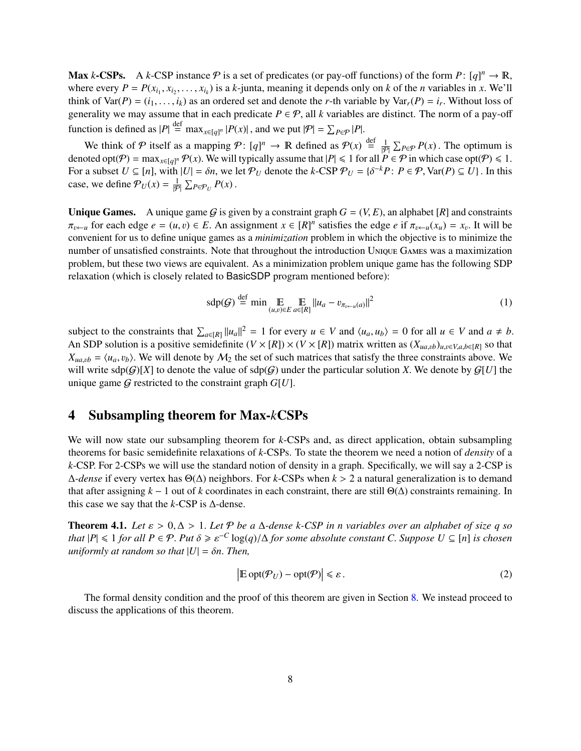Max *k*-CSPs. A *k*-CSP instance  $P$  is a set of predicates (or pay-off functions) of the form  $P: [q]^n \to \mathbb{R}$ , where every  $P = P(x, y)$  is a *k*-junta meaning it depends only on *k* of the *n* variables in *x* We'll where every  $P = P(x_{i_1}, x_{i_2}, \ldots, x_{i_k})$  is a *k*-junta, meaning it depends only on *k* of the *n* variables in *x*. We'll think of  $Var(P) = (i, i)$  as an ordered set and denote the *r*-th variable by  $Var(P) = i$ . Without loss of think of  $Var(P) = (i_1, \ldots, i_k)$  as an ordered set and denote the *r*-th variable by  $Var_r(P) = i_r$ . Without loss of generality we may assume that in each predicate  $P \in \mathcal{P}$  all *k* variables are distinct. The norm of a pay off generality we may assume that in each predicate  $P \in \mathcal{P}$ , all *k* variables are distinct. The norm of a pay-off function is defined as  $|P| \stackrel{\text{def}}{=} \max_{x \in [q]^n} |P(x)|$ , and we put  $|\mathcal{P}| = \sum$ *n*  $|P(x)|$ , and we put  $|\mathcal{P}| = \sum_{P \in \mathcal{P}} |P|$ .

We think of  $P$  itself as a mapping  $P: [q]^n \to \mathbb{R}$  defined as  $P(x) \stackrel{\text{def}}{=} \frac{1}{|P|} \sum_{P \in P} P(x)$ . The optimum is denoted opt $(P) = \max_{x \in [q]^n} P(x)$ . We will typically assume that  $|P| \le 1$  for all  $P \in P$  in which case optFor a subset  $U \subseteq [n]$ , with  $|U| = \delta n$ , we let  $P_U$  denote the  $k$ -CSP  $P_U = \{\delta^{-k}P : P \in \mathcal{P}, \text{Var}(P) \subseteq U\}$ . In this case, we define  $P_U(x) = \frac{1}{|P|} \sum_{P \in P_U} P(x)$ .

**Unique Games.** A unique game G is given by a constraint graph  $G = (V, E)$ , an alphabet  $[R]$  and constraints  $\pi_{v \leftarrow u}$  for each edge  $e = (u, v) \in E$ . An assignment  $x \in [R]^n$  satisfies the edge  $e$  if  $\pi_{v \leftarrow u}(x_u) = x_v$ . It will be convenient for us to define unique games as a *minimization* problem in which the objective is to min convenient for us to define unique games as a *minimization* problem in which the objective is to minimize the number of unsatisfied constraints. Note that throughout the introduction Unique Games was a maximization problem, but these two views are equivalent. As a minimization problem unique game has the following SDP relaxation (which is closely related to BasicSDP program mentioned before):

$$
\text{sdp}(\mathcal{G}) \stackrel{\text{def}}{=} \min \underset{(u,v)\in E}{\mathbb{E}} \underset{a\in[R]}{\mathbb{E}} \|u_a - v_{\pi_{v\leftarrow u}(a)}\|^2 \tag{1}
$$

subject to the constraints that  $\sum_{a \in [R]} ||u_a||^2 = 1$  for every  $u \in V$  and  $\langle u_a, u_b \rangle = 0$  for all  $u \in V$  and  $a \neq b$ .<br>An SDP solution is a positive semidefinite  $(V \times [R]) \times (V \times [R])$  matrix written as  $(Y \cup \cup \cup \cup \cup \cup \cup \cup \cup \cup \cup \$ An SDP solution is a positive semidefinite  $(V \times [R]) \times (V \times [R])$  matrix written as  $(X_{u}a, b)_{u,v \in V, a, b \in [R]}$  so that  $X_{ua,vb} = \langle u_a, v_b \rangle$ . We will denote by  $M_2$  the set of such matrices that satisfy the three constraints above. We will write  $\text{sdp}(G)[X]$  to denote the value of  $\text{sdp}(G)$  under the particular solution *X*. We denote by  $G[U]$  the unique game  $G$  restricted to the constraint graph  $G[U]$ .

## <span id="page-9-0"></span>4 Subsampling theorem for Max-*k*CSPs

We will now state our subsampling theorem for *k*-CSPs and, as direct application, obtain subsampling theorems for basic semidefinite relaxations of *k*-CSPs. To state the theorem we need a notion of *density* of a *k*-CSP. For 2-CSPs we will use the standard notion of density in a graph. Specifically, we will say a 2-CSP is <sup>∆</sup>*-dense* if every vertex has <sup>Θ</sup>(∆) neighbors. For *<sup>k</sup>*-CSPs when *<sup>k</sup>* > 2 a natural generalization is to demand that after assigning  $k - 1$  out of k coordinates in each constraint, there are still  $Θ(Δ)$  constraints remaining. In this case we say that the *k*-CSP is ∆-dense.

<span id="page-9-1"></span>**Theorem 4.1.** *Let*  $\varepsilon > 0$ ,  $\Delta > 1$ *. Let*  $P$  *be a*  $\Delta$ *-dense k*-CSP *in n variables over an alphabet of size q so that*  $|P| \le 1$  *for all*  $P \in \mathcal{P}$ . *Put*  $\delta \ge \varepsilon^{-C} \log(q)/\Delta$  *for some absolute constant C*. *Suppose*  $U \subseteq [n]$  *is chosen uniformly at random so that*  $|U| - \delta n$ . *Then uniformly at random so that*  $|U| = \delta n$ . *Then,* 

$$
\left| \mathbb{E} \operatorname{opt}(\mathcal{P}_U) - \operatorname{opt}(\mathcal{P}) \right| \leq \varepsilon. \tag{2}
$$

The formal density condition and the proof of this theorem are given in Section [8.](#page-19-0) We instead proceed to discuss the applications of this theorem.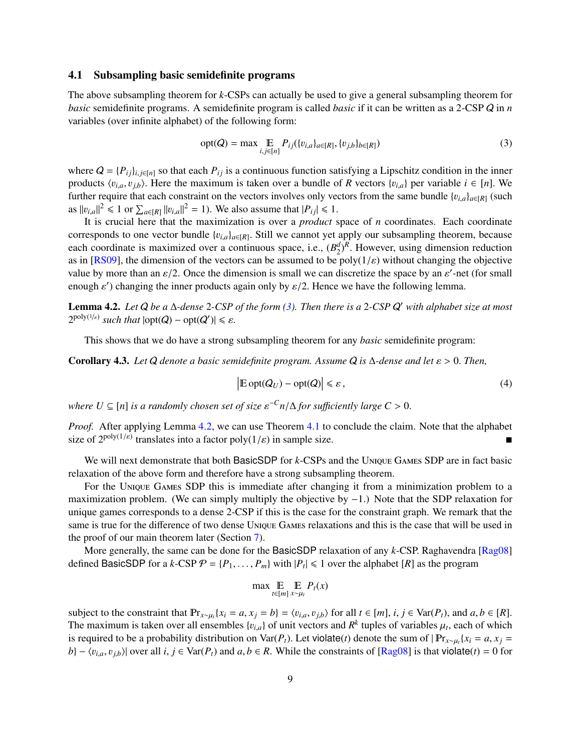#### <span id="page-10-0"></span>4.1 Subsampling basic semidefinite programs

The above subsampling theorem for *k*-CSPs can actually be used to give a general subsampling theorem for *basic* semidefinite programs. A semidefinite program is called *basic* if it can be written as a 2-CSP Q in *n* variables (over infinite alphabet) of the following form:

<span id="page-10-1"></span>
$$
opt(Q) = \max \underset{i,j \in [n]}{\mathbb{E}} P_{ij}(\{v_{i,a}\}_{a \in [R]}, \{v_{j,b}\}_{b \in [R]})
$$
(3)

where  $Q = \{P_{ij}\}_{i,j \in [n]}$  so that each  $P_{ij}$  is a continuous function satisfying a Lipschitz condition in the inner products  $\langle v_{i,a}, v_{i,b} \rangle$ . Here the maximum is taken over a bundle of *R* vectors  $\{v_{i,a}\}$  per variable  $i \in [n]$ . We further require that each constraint on the vectors involves only vectors from the same bundle  $\{v_{i,a}\}_{a \in [R]}$  (such as  $||v_{i,a}||^2 \le 1$  or  $\sum_{a \in [R]} ||v_{i,a}||^2 = 1$ ). We also assume that  $|P_{ij}| \le 1$ .<br>It is crucial here that the maximization is over a product s

It is crucial here that the maximization is over a *product* space of *n* coordinates. Each coordinate corresponds to one vector bundle  $\{v_{i,a}\}_{a \in [R]}$ . Still we cannot yet apply our subsampling theorem, because each coordinate is maximized over a continuous space, i.e.,  $(B_2^d)^R$ . However, using dimension reduction as in  $[PS00]$  the dimension of the vectors can be assumed to be not  $\mathcal{U}(k)$  without changing the objective as in [\[RS09\]](#page-28-8), the dimension of the vectors can be assumed to be  $poly(1/\varepsilon)$  without changing the objective value by more than an  $\varepsilon/2$ . Once the dimension is small we can discretize the space by an  $\varepsilon'$ -net (for small<br>enough  $\varepsilon'$ ) changing the inner products again only by  $\varepsilon/2$ . Hence we have the following lemma enough  $\varepsilon'$ ) changing the inner products again only by  $\varepsilon/2$ . Hence we have the following lemma.

<span id="page-10-2"></span>Lemma 4.2. *Let* Q *be a* ∆*-dense* 2*-CSP of the form [\(3\)](#page-10-1). Then there is a* 2*-CSP* Q <sup>0</sup> *with alphabet size at most*  $2^{\text{poly}(1/\varepsilon)}$  *such that*  $|\text{opt}(Q) - \text{opt}(Q')| \leq \varepsilon$ .

This shows that we do have a strong subsampling theorem for any *basic* semidefinite program:

Corollary 4.3. *Let* <sup>Q</sup> *denote a basic semidefinite program. Assume* <sup>Q</sup> *is* <sup>∆</sup>*-dense and let* ε > <sup>0</sup>. *Then,*

$$
\left| \mathbb{E} \operatorname{opt}(Q_U) - \operatorname{opt}(Q) \right| \leq \varepsilon, \tag{4}
$$

 $\mathbb{R}^n$  *Where*  $U \subseteq [n]$  *is a randomly chosen set of size*  $\varepsilon^{-C} n/\Delta$  *for sufficiently large*  $C > 0$ .

*Proof.* After applying Lemma [4.2,](#page-10-2) we can use Theorem [4.1](#page-9-1) to conclude the claim. Note that the alphabet size of  $2^{poly(1/\varepsilon)}$  translates into a factor  $poly(1/\varepsilon)$  in sample size.

We will next demonstrate that both BasicSDP for *k*-CSPs and the Unique Games SDP are in fact basic relaxation of the above form and therefore have a strong subsampling theorem.

For the Unique Games SDP this is immediate after changing it from a minimization problem to a maximization problem. (We can simply multiply the objective by −1.) Note that the SDP relaxation for unique games corresponds to a dense 2-CSP if this is the case for the constraint graph. We remark that the same is true for the difference of two dense Unique Games relaxations and this is the case that will be used in the proof of our main theorem later (Section [7\)](#page-14-1).

More generally, the same can be done for the BasicSDP relaxation of any *k*-CSP. Raghavendra [\[Rag08\]](#page-28-4) defined BasicSDP for a *k*-CSP  $P = \{P_1, \ldots, P_m\}$  with  $|P_t| \le 1$  over the alphabet  $[R]$  as the program

$$
\max \mathop{\mathbb{E}}_{t \in [m]} \mathop{\mathbb{E}}_{x \sim \mu_t} P_t(x)
$$

subject to the constraint that  $\mathbb{P}_{x \sim \mu_i} \{x_i = a, x_j = b\} = \langle v_{i,a}, v_{j,b} \rangle$  for all  $t \in [m]$ ,  $i, j \in \text{Var}(P_t)$ , and  $a, b \in [R]$ .<br>The maximum is taken over all ansembles  $\{v_{i,j}\}$  of unit vectors and  $R^k$  tuples of variable The maximum is taken over all ensembles  $\{v_{i,a}\}$  of unit vectors and  $R^k$  tuples of variables  $\mu_t$ , each of which is required to be a probability distribution on  $\text{Var}(P)$ . Let violate (t) denote the sum of  $|\mathbb{P}_r| =$ is required to be a probability distribution on Var(*P<sub>t</sub>*). Let violate(*t*) denote the sum of  $|\Pr_{x \sim \mu_i} \{x_i = a, x_j = b\}|$  =  $\langle n_i, n_i \rangle$  | over all  $i, i \in \text{Var}(P)$  and  $a, b \in R$ . While the constraints of  $[{\bf Pa}_{3008}]$  is that  $b$ } –  $\langle v_{i,a}, v_{j,b} \rangle$  over all *i*, *j* ∈ Var(*P<sub>t</sub>*) and *a*, *b* ∈ *R*. While the constraints of [\[Rag08\]](#page-28-4) is that violate(*t*) = 0 for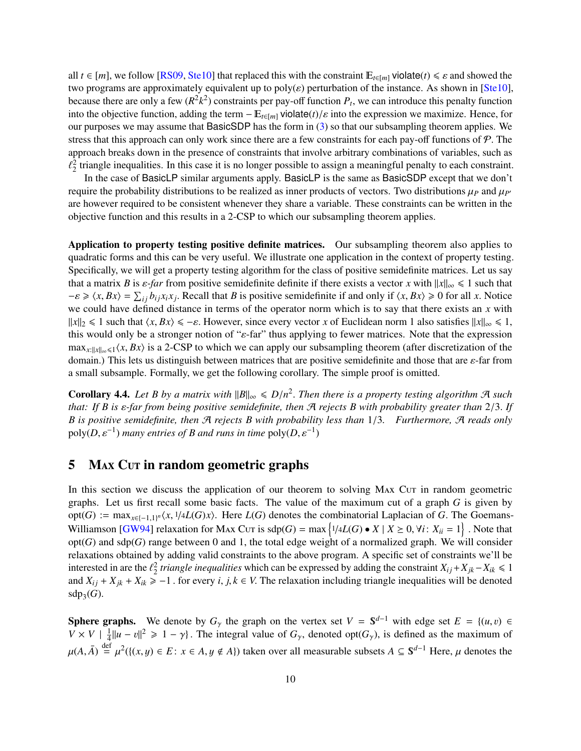all  $t \in [m]$ , we follow [\[RS09,](#page-28-8) [Ste10\]](#page-28-9) that replaced this with the constraint  $E_{t \in [m]}$  violate( $t$ )  $\leq \varepsilon$  and showed the two programs are approximately equivalent up to  $poly(\varepsilon)$  perturbation of the instance. As shown in [\[Ste10\]](#page-28-9), because there are only a few  $(R^2k^2)$  constraints per pay-off function  $P_t$ , we can introduce this penalty function into the objective function, adding the term  $-E_{t\in[m]}$  violate(*t*)/ $\varepsilon$  into the expression we maximize. Hence, for our purposes we may assume that BasicSDP has the form in [\(3\)](#page-10-1) so that our subsampling theorem applies. We stress that this approach can only work since there are a few constraints for each pay-off functions of  $P$ . The approach breaks down in the presence of constraints that involve arbitrary combinations of variables, such as  $2<sub>2</sub>$  triangle inequalities. In this case it is no longer possible to assign a meaningful penalty to each constraint.

In the case of BasicLP similar arguments apply. BasicLP is the same as BasicSDP except that we don't require the probability distributions to be realized as inner products of vectors. Two distributions  $\mu_P$  and  $\mu_{P}$ are however required to be consistent whenever they share a variable. These constraints can be written in the objective function and this results in a 2-CSP to which our subsampling theorem applies.

Application to property testing positive definite matrices. Our subsampling theorem also applies to quadratic forms and this can be very useful. We illustrate one application in the context of property testing. Specifically, we will get a property testing algorithm for the class of positive semidefinite matrices. Let us say that a matrix *B* is  $\varepsilon$ -*far* from positive semidefinite definite if there exists a vector *x* with  $||x||_{\infty} \le 1$  such that  $-e \ge \langle x, Bx \rangle = \sum_{ij} b_{ij}x_i x_j$ . Recall that *B* is positive semidefinite if and only if  $\langle x, Bx \rangle \ge 0$  for all *x*. Notice we could have defined distance in terms of the operator norm which is to say that there exists an *x* we could have defined distance in terms of the operator norm which is to say that there exists an *x* with  $||x||_2 \le 1$  such that  $\langle x, Bx \rangle \le -\varepsilon$ . However, since every vector *x* of Euclidean norm 1 also satisfies  $||x||_{\infty} \le 1$ , this would only be a stronger notion of "ε-far" thus applying to fewer matrices. Note that the expression  $\max_{x:||x|| \leq \zeta} \langle x, Bx \rangle$  is a 2-CSP to which we can apply our subsampling theorem (after discretization of the domain.) This lets us distinguish between matrices that are positive semidefinite and those that are ε-far from a small subsample. Formally, we get the following corollary. The simple proof is omitted.

**Corollary 4.4.** Let *B by a matrix with*  $||B||_{\infty} \le D/n^2$ . Then there is a property testing algorithm A such that: If *B* is s-far from heing positive semidefinite then A rejects *B* with probability greater than 2/3. *that: If <sup>B</sup> is* ε*-far from being positive semidefinite, then* <sup>A</sup> *rejects <sup>B</sup> with probability greater than* <sup>2</sup>/3. *If <sup>B</sup> is positive semidefinite, then* <sup>A</sup> *rejects <sup>B</sup> with probability less than* <sup>1</sup>/3*. Furthermore,* <sup>A</sup> *reads only*  $poly(D, \varepsilon^{-1})$  *many entries of B and runs in time*  $poly(D, \varepsilon^{-1})$ 

## <span id="page-11-0"></span>5 M<sub>AX</sub> Cur in random geometric graphs

In this section we discuss the application of our theorem to solving MAX Cut in random geometric graphs. Let us first recall some basic facts. The value of the maximum cut of a graph *G* is given by  $opt(G) := \max_{x \in \{-1,1\}^n} \langle x, \frac{1}{4}L(G)x \rangle$ . Here  $L(G)$  denotes the combinatorial Laplacian of *G*. The Goemans-<br>Williamson  $GWO(1)$  relevation for  $M: G \text{ is odd}(G) = \max \{1/L(G) \mid x \geq 0, \forall i \colon X = 1\}$ . Note that Williamson [\[GW94\]](#page-28-1) relaxation for Max Cut is  $\text{sdp}(G) = \max\left\{1/4L(G) \cdot X \mid X \ge 0, \forall i: X_{ii} = 1\right\}$ . Note that  $\text{ord}(G)$  and  $\text{sdp}(G)$  range between 0 and 1 the total edge weight of a pormalized graph. We will consider opt(*G*) and sdp(*G*) range between 0 and 1, the total edge weight of a normalized graph. We will consider relaxations obtained by adding valid constraints to the above program. A specific set of constraints we'll be interested in are the  $\ell_2^2$  *triangle inequalities* which can be expressed by adding the constraint  $X_{ij} + X_{jk} - X_{ik} \le 1$ <br>and  $Y_{ik} + Y_{ik} \ge -1$  for every *i*, *i*  $k \in V$ . The relaxation including triangle inequalities wi and  $X_{ij} + X_{jk} + X_{ik} \ge -1$ . for every *i*, *j*,  $k \in V$ . The relaxation including triangle inequalities will be denoted  $sdp_3(G)$ .

**Sphere graphs.** We denote by  $G_\gamma$  the graph on the vertex set  $V = S^{d-1}$  with edge set  $E = \{(u, v) \in V \times V \mid \frac{1}{4} ||u - v||^2 \ge 1 - \gamma\}$ . The integral value of  $G_\gamma$ , denoted opt $(G_\gamma)$ , is defined as the maximum of  $\frac{1}{4} ||u - v||^2 \ge 1 - \gamma$ . The integral value of  $G_\gamma$ , denoted opt( $G_\gamma$ ), is defined as the maximum of  $\mu(A, \overline{A}) \stackrel{\text{def}}{=} \mu^2(\{(x, y) \in E : x \in A, y \notin A\})$  taken over all measurable subsets  $A \subseteq S^{d-1}$  Here,  $\mu$  denotes the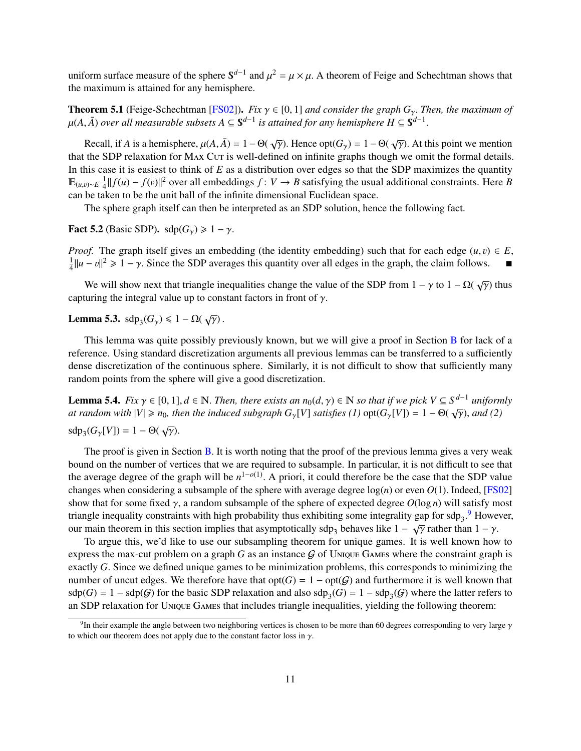uniform surface measure of the sphere  $S^{d-1}$  and  $\mu^2 = \mu \times \mu$ . A theorem of Feige and Schechtman shows that the maximum is attained for any hemisphere the maximum is attained for any hemisphere.

**Theorem 5.1** (Feige-Schechtman [\[FS02\]](#page-27-0)). *Fix*  $\gamma \in [0, 1]$  *and consider the graph*  $G_{\gamma}$ . *Then, the maximum of*  $\mu(A, \bar{A})$  *over all measurable subsets*  $A \subseteq \mathbb{S}^{d-1}$  *is attained for any hemisphere*  $H \subseteq \mathbb{S}^{d-1}$ 

Recall, if *A* is a hemisphere,  $\mu(A, \overline{A}) = 1 - \Theta(\sqrt{\gamma})$ . Hence  $opt(G_{\gamma}) = 1 - \Theta(\sqrt{\gamma})$ . At this point we mention the SDP relaxation for MAX Cur is well defined on infinite graphs though we omit the formal details that the SDP relaxation for M<sub>AX</sub> C<sub>UT</sub> is well-defined on infinite graphs though we omit the formal details. In this case it is easiest to think of *E* as a distribution over edges so that the SDP maximizes the quantity  $E_{(u,v)~E}$   $\frac{1}{4}$  $\frac{1}{4}$ ||*f*(*u*) − *f*(*v*)||<sup>2</sup> over all embeddings *f* : *V* → *B* satisfying the usual additional constraints. Here *B* also the unit ball of the infinite dimensional Euclidean space can be taken to be the unit ball of the infinite dimensional Euclidean space.

The sphere graph itself can then be interpreted as an SDP solution, hence the following fact.

Fact 5.2 (Basic SDP).  $\text{sdp}(G_{\gamma}) \geq 1 - \gamma$ .

*Proof.* The graph itself gives an embedding (the identity embedding) such that for each edge  $(u, v) \in E$ , 1  $\frac{1}{4}$ ||u − v||<sup>2</sup> ≥ 1 −  $\gamma$ . Since the SDP averages this quantity over all edges in the graph, the claim follows.  $\blacksquare$ 

We will show next that triangle inequalities change the value of the SDP from  $1 - \gamma$  to  $1 - \Omega(\sqrt{\gamma})$  thus capturing the integral value up to constant factors in front of  $\gamma$ .

<span id="page-12-2"></span>Lemma 5.3.  $\text{sdp}_3(G_\gamma) \leq 1 - \Omega(\sqrt{\gamma})$ .

This lemma was quite possibly previously known, but we will give a proof in Section [B](#page-30-0) for lack of a reference. Using standard discretization arguments all previous lemmas can be transferred to a sufficiently dense discretization of the continuous sphere. Similarly, it is not difficult to show that sufficiently many random points from the sphere will give a good discretization.

<span id="page-12-1"></span>**Lemma 5.4.** *Fix*  $\gamma \in [0, 1], d \in \mathbb{N}$ . *Then, there exists an*  $n_0(d, \gamma) \in \mathbb{N}$  *so that if we pick*  $V \subseteq S^{d-1}$  *uniformly* at random with  $|V| > n_0$ , then the induced subgraph G,  $|V|$  satisfies (1) ont  $(G, |V|) = 1 - \$ *at random with*  $|V| \ge n_0$ , *then the induced subgraph*  $G_\gamma[V]$  *satisfies* (1)  $\text{opt}(G_\gamma[V]) = 1 - \Theta(\sqrt{\gamma})$ , *and* (2) sdp<sub>3</sub>( $G_{\gamma}[V]$ ) = 1 – Θ( $\sqrt{\gamma}$ ).

The proof is given in Section [B.](#page-30-0) It is worth noting that the proof of the previous lemma gives a very weak bound on the number of vertices that we are required to subsample. In particular, it is not difficult to see that the average degree of the graph will be  $n^{1-o(1)}$ . A priori, it could therefore be the case that the SDP value<br>changes when considering a subsample of the sphere with average degree  $log(n)$  or even  $O(1)$ . Indeed, [ES021] changes when considering a subsample of the sphere with average degree  $log(n)$  or even  $O(1)$ . Indeed, [\[FS02\]](#page-27-0) show that for some fixed γ, a random subsample of the sphere of expected degree *<sup>O</sup>*(log *<sup>n</sup>*) will satisfy most triangle inequality constraints with high probability thus exhibiting some integrality gap for  $sdp_3$ .<sup>[9](#page-12-0)</sup> However, theorem in theorem in this section implies that asymptotically sdp<sub>3</sub> behaves like  $1 - \sqrt{γ}$  rather than  $1 - γ$ .<br>To argue this we'd like to use our subsampling theorem for unique games. It is well known how

To argue this, we'd like to use our subsampling theorem for unique games. It is well known how to express the max-cut problem on a graph  $G$  as an instance  $G$  of Unique Games where the constraint graph is exactly *<sup>G</sup>*. Since we defined unique games to be minimization problems, this corresponds to minimizing the number of uncut edges. We therefore have that  $opt(G) = 1 - opt(G)$  and furthermore it is well known that  $sdp(G) = 1 - sdp(G)$  for the basic SDP relaxation and also  $sdp_3(G) = 1 - sdp_3(G)$  where the latter refers to an SDP relaxation for Unique Games that includes triangle inequalities, yielding the following theorem:

<span id="page-12-0"></span><sup>&</sup>lt;sup>9</sup>In their example the angle between two neighboring vertices is chosen to be more than 60 degrees corresponding to very large  $\gamma$ <br>which our theorem does not apply due to the constant factor loss in  $\gamma$ . to which our theorem does not apply due to the constant factor loss in  $\gamma$ .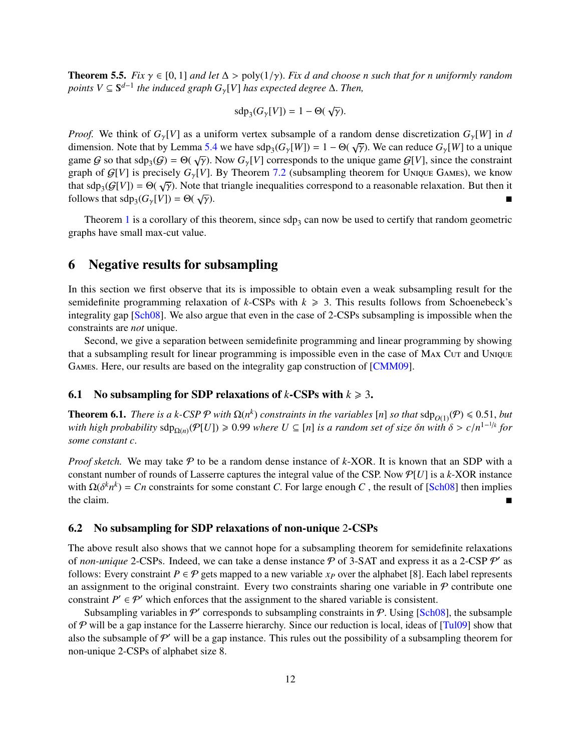<span id="page-13-3"></span>**Theorem 5.5.** *Fix*  $\gamma \in [0, 1]$  *and let*  $\Delta > \text{poly}(1/\gamma)$ *. Fix d and choose n such that for n uniformly random points*  $V ⊆ S<sup>d-1</sup>$  *the induced graph*  $G<sub>γ</sub>[V]$  *has expected degree*  $Δ$ *. Then,* 

$$
sdp_3(G_{\gamma}[V]) = 1 - \Theta(\sqrt{\gamma}).
$$

*Proof.* We think of  $G_\gamma[V]$  as a uniform vertex subsample of a random dense discretization  $G_\gamma[W]$  in *d* dimension. Note that by Lemma [5.4](#page-12-1) we have  $\text{sdp}_3(G_\gamma[W]) = 1 - \Theta(\sqrt{\gamma})$ . We can reduce  $G_\gamma[W]$  to a unique game *G* so that sdp  $(G) = \Theta(\sqrt{\gamma})$ . Now *G* [*V*] corresponds to the unique game *G*[*V*] since the constraint game G so that  $\text{sdp}_3(G) = \Theta(\sqrt{\gamma})$ . Now  $G_{\gamma}[V]$  corresponds to the unique game  $G[V]$ , since the constraint graph of  $G[V]$  is precisely  $G[V]$ . By Theorem 7.2 (subsampling theorem for UNIQUE GAMES), we know graph of  $G[V]$  is precisely  $G_{\gamma}[V]$ . By Theorem [7.2](#page-15-1) (subsampling theorem for UNIQUE GAMES), we know that  $\text{sdp}_3(G[V]) = \Theta(\sqrt{\gamma})$ . Note that triangle inequalities correspond to a reasonable relaxation. But then it follows that sdp  $(G, [V]) = \Theta(\sqrt{\gamma})$ . follows that  $\text{sdp}_3(G_\gamma[V]) = \Theta(\sqrt{\gamma})$  $\overline{\gamma}$ ).

Theorem [1](#page-3-1) is a corollary of this theorem, since  $\text{sdp}_3$  can now be used to certify that random geometric graphs have small max-cut value.

# <span id="page-13-0"></span>6 Negative results for subsampling

In this section we first observe that its is impossible to obtain even a weak subsampling result for the semidefinite programming relaxation of  $k$ -CSPs with  $k \geq 3$ . This results follows from Schoenebeck's integrality gap [\[Sch08\]](#page-28-13). We also argue that even in the case of 2-CSPs subsampling is impossible when the constraints are *not* unique.

Second, we give a separation between semidefinite programming and linear programming by showing that a subsampling result for linear programming is impossible even in the case of MAX Cut and UNIQUE Games. Here, our results are based on the integrality gap construction of [\[CMM09\]](#page-27-9).

#### <span id="page-13-1"></span>6.1 No subsampling for SDP relaxations of  $k$ -CSPs with  $k \geq 3$ .

<span id="page-13-4"></span>**Theorem 6.1.** *There is a k-CSP*  $\mathcal{P}$  *with*  $\Omega(n^k)$  *constraints in the variables* [*n*] *so that*  $\text{sdp}_{O(1)}(\mathcal{P}) \leq 0.51$ , *but with kigh* rephability  $\text{sdp}_{O(1)}(D) \geq 0.99$  where  $U \subseteq \text{ln}$  is a random set *with high probability* sdp<sub>Ω(*n*)</sub>( $P[U]$ ) ≥ 0.99 *where*  $U ⊆ [n]$  *is a random set of size δn with*  $\delta > c/n^{1-1/k}$  *for* some constant  $c$ *some constant c*.

*Proof sketch.* We may take  $P$  to be a random dense instance of  $k$ -XOR. It is known that an SDP with a constant number of rounds of Lasserre captures the integral value of the CSP. Now P[*U*] is a *k*-XOR instance with  $\Omega(\delta^k n^k) = Cn$  constraints for some constant *C*. For large enough *C*, the result of [\[Sch08\]](#page-28-13) then implies the claim the claim.

#### <span id="page-13-2"></span>6.2 No subsampling for SDP relaxations of non-unique 2-CSPs

The above result also shows that we cannot hope for a subsampling theorem for semidefinite relaxations of *non-unique* 2-CSPs. Indeed, we can take a dense instance  $P$  of 3-SAT and express it as a 2-CSP  $P'$  as follows: Every constraint  $P \in \mathcal{P}$  gets mapped to a new variable  $x_P$  over the alphabet [8]. Each label represents an assignment to the original constraint. Every two constraints sharing one variable in  $P$  contribute one constraint  $P' \in \mathcal{P}'$  which enforces that the assignment to the shared variable is consistent.

Subsampling variables in  $\mathcal{P}'$  corresponds to subsampling constraints in  $\mathcal{P}$ . Using [\[Sch08\]](#page-28-13), the subsample of  $P$  will be a gap instance for the Lasserre hierarchy. Since our reduction is local, ideas of  $[Tul09]$  show that also the subsample of  $P'$  will be a gap instance. This rules out the possibility of a subsampling theorem for non-unique 2-CSPs of alphabet size 8.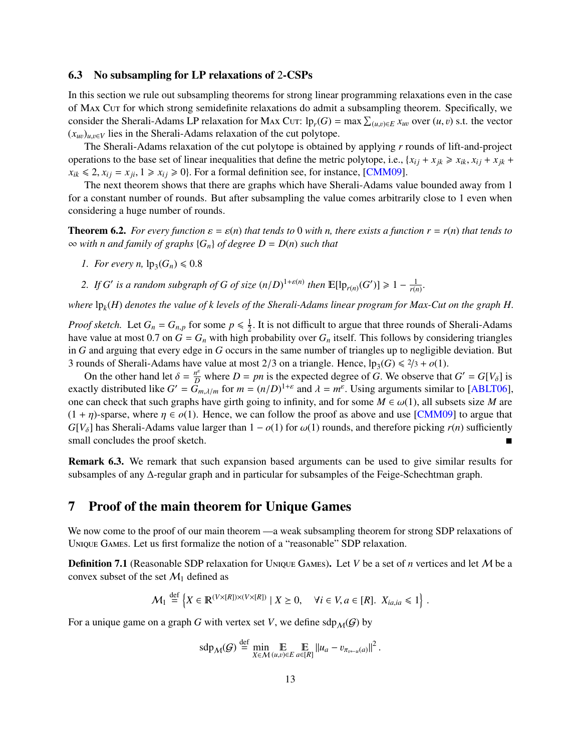#### <span id="page-14-0"></span>6.3 No subsampling for LP relaxations of 2-CSPs

In this section we rule out subsampling theorems for strong linear programming relaxations even in the case of MAX Cut for which strong semidefinite relaxations do admit a subsampling theorem. Specifically, we consider the Sherali-Adams LP relaxation for Max Cut:  $\ln_r(G) = \max \sum_{(u,v)\in E} x_{uv}$  over  $(u, v)$  s.t. the vector  $(x_{uv})_{u,v \in V}$  lies in the Sherali-Adams relaxation of the cut polytope.

The Sherali-Adams relaxation of the cut polytope is obtained by applying *r* rounds of lift-and-project operations to the base set of linear inequalities that define the metric polytope, i.e.,  $\{x_{ij} + x_{jk} \ge x_{ik}, x_{ij} + x_{jk} + x_{jk}\}$  $x_{ik} \leq 2, x_{ij} = x_{ji}, 1 \geq x_{ij} \geq 0$ . For a formal definition see, for instance, [\[CMM09\]](#page-27-9).

The next theorem shows that there are graphs which have Sherali-Adams value bounded away from 1 for a constant number of rounds. But after subsampling the value comes arbitrarily close to 1 even when considering a huge number of rounds.

<span id="page-14-2"></span>**Theorem 6.2.** For every function  $\varepsilon = \varepsilon(n)$  that tends to 0 with *n*, there exists a function  $r = r(n)$  that tends to ∞ *with n and family of graphs* {*Gn*} *of degree D* = *D*(*n*) *such that*

- *1. For every n,*  $lp_3(G_n) \le 0.8$
- 2. *If G*<sup>*'*</sup> *is a random subgraph of <i>G of size*  $(n/D)^{1+\varepsilon(n)}$  *then*  $\mathbb{E}[\mathbb{1}p_{r(n)}(G')] \geq 1 \frac{1}{r(n)}$ .

*where* lp*<sup>k</sup>* (*H*) *denotes the value of k levels of the Sherali-Adams linear program for Max-Cut on the graph H.*

*Proof sketch.* Let  $G_n = G_{n,p}$  for some  $p \leq \frac{1}{2}$  $\frac{1}{2}$ . It is not difficult to argue that three rounds of Sherali-Adams<br>probability over G, itself. This follows by considering triangles have value at most 0.7 on  $G = G_n$  with high probability over  $G_n$  itself. This follows by considering triangles in *G* and arguing that every edge in *G* occurs in the same number of triangles up to negligible deviation. But 3 rounds of Sherali-Adams have value at most 2/3 on a triangle. Hence,  $\text{lp}_3(G) \leq 2/3 + o(1)$ .<br>On the other hand let  $\delta = \frac{n^e}{2}$  where  $D = nn$  is the expected degree of G. We observe that

On the other hand let  $\delta = \frac{n^{\epsilon}}{D}$  where  $D = pn$  is the expected degree of G. We observe that  $G' = G[V_{\delta}]$  is exactly distributed like  $G' = G_{m,\lambda/m}$  for  $m = (n/D)^{1+\epsilon}$  and  $\lambda = m^{\epsilon}$ . Using arguments similar to [\[ABLT06\]](#page-27-11), one can check that such graphs have girth going to infinity, and for some  $M \in \omega(1)$ , all subsets size *M* are  $(1 + \eta)$ -sparse, where  $\eta \in o(1)$ . Hence, we can follow the proof as above and use [\[CMM09\]](#page-27-9) to argue that *G*[*V*<sub> $\delta$ </sub>] has Sherali-Adams value larger than 1 –  $o(1)$  for  $\omega(1)$  rounds, and therefore picking *r*(*n*) sufficiently small concludes the proof sketch. small concludes the proof sketch.

Remark 6.3. We remark that such expansion based arguments can be used to give similar results for subsamples of any ∆-regular graph and in particular for subsamples of the Feige-Schechtman graph.

### <span id="page-14-1"></span>7 Proof of the main theorem for Unique Games

We now come to the proof of our main theorem —a weak subsampling theorem for strong SDP relaxations of Unique Games. Let us first formalize the notion of a "reasonable" SDP relaxation.

<span id="page-14-3"></span>Definition 7.1 (Reasonable SDP relaxation for Unique Games). Let *V* be a set of *n* vertices and let M be a convex subset of the set  $\mathcal{M}_1$  defined as

$$
\mathcal{M}_1 \stackrel{\text{def}}{=} \left\{ X \in \mathbb{R}^{(V \times [R]) \times (V \times [R])} \mid X \geq 0, \quad \forall i \in V, a \in [R]. \ X_{ia, ia} \leq 1 \right\}.
$$

For a unique game on a graph *G* with vertex set *V*, we define  $\text{sdp}_{\mathcal{M}}(G)$  by

$$
\mathrm{sdp}_{\mathcal{M}}(\mathcal{G}) \stackrel{\mathrm{def}}{=} \min_{X \in \mathcal{M}} \mathop{\mathbb{E}}_{(u,v) \in E} \mathop{\mathbb{E}}_{a \in [R]} \|u_a - v_{\pi_{v \leftarrow u}(a)}\|^2
$$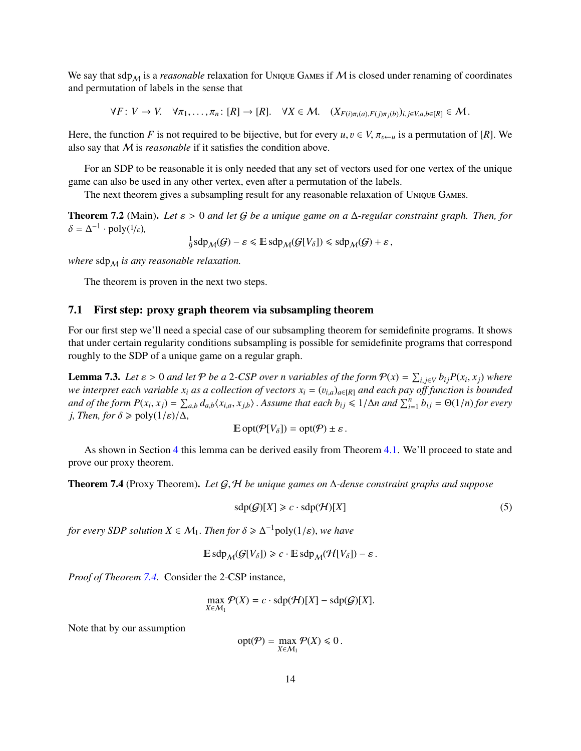We say that  $\text{sdp}_M$  is a *reasonable* relaxation for Unique Games if M is closed under renaming of coordinates and permutation of labels in the sense that

 $\forall F: V \to V$ .  $\forall \pi_1, \ldots, \pi_n: [R] \to [R]$ .  $\forall X \in \mathcal{M}$ .  $(X_{F(i)\pi_i(a), F(i)\pi_i(b)})_{i,i \in V, a,b \in [R]} \in \mathcal{M}$ .

Here, the function *F* is not required to be bijective, but for every  $u, v \in V$ ,  $\pi_{v \leftarrow u}$  is a permutation of [*R*]. We also say that M is *reasonable* if it satisfies the condition above.

For an SDP to be reasonable it is only needed that any set of vectors used for one vertex of the unique game can also be used in any other vertex, even after a permutation of the labels.

The next theorem gives a subsampling result for any reasonable relaxation of Unique Games.

<span id="page-15-1"></span>Theorem 7.2 (Main). *Let* ε > <sup>0</sup> *and let* <sup>G</sup> *be a unique game on a* <sup>∆</sup>*-regular constraint graph. Then, for*  $\delta = \Delta^{-1} \cdot \text{poly}(1/\varepsilon),$ 

1  $\frac{1}{9}$ sdp<sub>M</sub>(G) –  $\varepsilon \leq \mathbb{E}$  sdp<sub>M</sub>(G[V<sub>δ</sub>])  $\leq$  sdp<sub>M</sub>(G) +  $\varepsilon$ ,

*where*  $\sup_M$  *is any reasonable relaxation.* 

The theorem is proven in the next two steps.

#### <span id="page-15-0"></span>7.1 First step: proxy graph theorem via subsampling theorem

For our first step we'll need a special case of our subsampling theorem for semidefinite programs. It shows that under certain regularity conditions subsampling is possible for semidefinite programs that correspond roughly to the SDP of a unique game on a regular graph.

<span id="page-15-3"></span>**Lemma 7.3.** Let  $\varepsilon > 0$  and let  $P$  be a 2-CSP over n variables of the form  $P(x) = \sum_{i,j \in V} b_{ij} P(x_i, x_j)$  where<br>we interpret each variable x, as a collection of vectors  $x_i = (v_{ij})$ , so and each nov off function is bounded *we interpret each variable*  $x_i$  *as a collection of vectors*  $x_i = (v_{i,a})_{a \in [R]}$  *and each pay off function is bounded* and of the form  $P(x_i, x_j) = \sum_{a,b} d_{a,b} \langle x_{i,a}, x_{j,b} \rangle$ . Assume that each  $b_{ij} \leq 1/\Delta n$  and  $\sum_{i=1}^n b_{ij} = \Theta(1/n)$  for every i. Then, for  $\delta > \text{poly}(1/\epsilon)/\Delta$ *j*, *Then, for*  $\delta \geq \text{poly}(1/\varepsilon)/\Delta$ ,

$$
\mathbb{E}\operatorname{opt}(\mathcal{P}[V_{\delta}]) = \operatorname{opt}(\mathcal{P}) \pm \varepsilon.
$$

As shown in Section [4](#page-9-0) this lemma can be derived easily from Theorem [4.1.](#page-9-1) We'll proceed to state and prove our proxy theorem.

<span id="page-15-2"></span>Theorem 7.4 (Proxy Theorem). *Let* <sup>G</sup>, <sup>H</sup> *be unique games on* <sup>∆</sup>*-dense constraint graphs and suppose*

$$
sdp(G)[X] \geq c \cdot sdp(\mathcal{H})[X]
$$
\n<sup>(5)</sup>

*for every SDP solution*  $X \in \mathcal{M}_1$ . *Then for*  $\delta \geq \Delta^{-1}$  poly( $1/\varepsilon$ ), we have

$$
\mathbb{E}\,\text{sdp}_{\mathcal{M}}(\mathcal{G}[V_{\delta}]) \geq c \cdot \mathbb{E}\,\text{sdp}_{\mathcal{M}}(\mathcal{H}[V_{\delta}]) - \varepsilon.
$$

*Proof of Theorem [7.4.](#page-15-2)* Consider the 2-CSP instance,

$$
\max_{X \in \mathcal{M}_1} \mathcal{P}(X) = c \cdot \text{sdp}(\mathcal{H})[X] - \text{sdp}(\mathcal{G})[X].
$$

Note that by our assumption

$$
opt(P) = \max_{X \in \mathcal{M}_1} \mathcal{P}(X) \leq 0.
$$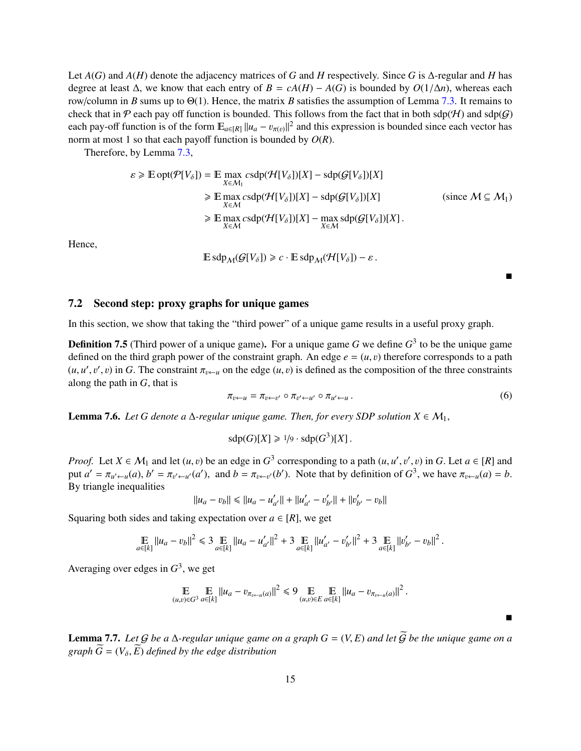Let  $A(G)$  and  $A(H)$  denote the adjacency matrices of *G* and *H* respectively. Since *G* is  $\Delta$ -regular and *H* has degree at least  $\Delta$ , we know that each entry of  $B = cA(H) - A(G)$  is bounded by  $O(1/\Delta n)$ , whereas each row/column in *<sup>B</sup>* sums up to <sup>Θ</sup>(1). Hence, the matrix *<sup>B</sup>* satisfies the assumption of Lemma [7.3.](#page-15-3) It remains to check that in  $P$  each pay off function is bounded. This follows from the fact that in both sdp( $H$ ) and sdp( $G$ ) each pay-off function is of the form  $\mathbb{E}_{a\in[R]} ||u_a - v_{\pi(v)}||^2$  and this expression is bounded since each vector has norm at most 1 so that each payoff function is bounded by *<sup>O</sup>*(*R*).

Therefore, by Lemma [7.3,](#page-15-3)

$$
\varepsilon \ge \mathbb{E} \operatorname{opt}(\mathcal{P}[V_{\delta}]) = \mathbb{E} \max_{X \in \mathcal{M}_1} \operatorname{csdp}(\mathcal{H}[V_{\delta}])[X] - \operatorname{sdp}(\mathcal{G}[V_{\delta}])[X]
$$
  
\n
$$
\ge \mathbb{E} \max_{X \in \mathcal{M}} \operatorname{csdp}(\mathcal{H}[V_{\delta}])[X] - \operatorname{sdp}(\mathcal{G}[V_{\delta}])[X]
$$
  
\n
$$
\ge \mathbb{E} \max_{X \in \mathcal{M}} \operatorname{csdp}(\mathcal{H}[V_{\delta}])[X] - \max_{X \in \mathcal{M}} \operatorname{sdp}(\mathcal{G}[V_{\delta}])[X].
$$
 (since  $\mathcal{M} \subseteq \mathcal{M}_1$ )

Hence,

$$
\mathbb{E}\,\text{sdp}_{\mathcal{M}}(\mathcal{G}[V_{\delta}]) \geq c \cdot \mathbb{E}\,\text{sdp}_{\mathcal{M}}(\mathcal{H}[V_{\delta}]) - \varepsilon.
$$

 $\blacksquare$ 

É

#### <span id="page-16-0"></span>7.2 Second step: proxy graphs for unique games

In this section, we show that taking the "third power" of a unique game results in a useful proxy graph.

<span id="page-16-1"></span>**Definition 7.5** (Third power of a unique game). For a unique game *G* we define  $G<sup>3</sup>$  to be the unique game defined on the third graph power of the constraint graph. An edge  $e = (u, v)$  therefore corresponds to a path  $(u, u', v', v)$  in *G*. The constraint  $\pi_{v \leftarrow u}$  on the edge  $(u, v)$  is defined as the composition of the three constraints along the path in *G* that is along the path in *<sup>G</sup>*, that is

<span id="page-16-3"></span>
$$
\pi_{v \leftarrow u} = \pi_{v \leftarrow v'} \circ \pi_{v' \leftarrow u'} \circ \pi_{u' \leftarrow u} \,.
$$

<span id="page-16-4"></span>**Lemma 7.6.** *Let G denote a*  $\Delta$ *-regular unique game. Then, for every SDP solution*  $X \in M_1$ ,

$$
\operatorname{sdp}(G)[X] \geq 1/9 \cdot \operatorname{sdp}(G^3)[X].
$$

*Proof.* Let  $X \in M_1$  and let  $(u, v)$  be an edge in  $G^3$  corresponding to a path  $(u, u', v', v)$  in *G*. Let  $a \in [R]$  and  $\text{put } a' = \pi$ ,  $\pi$ ,  $\pi$ ,  $\pi$ ,  $\pi$ ,  $\pi$ ,  $\pi$ ,  $\pi$ ,  $\pi$ ,  $\pi$ ,  $\pi$ ,  $\pi$ ,  $\pi$ ,  $\pi$ ,  $\pi$ ,  $\pi$ , put  $a' = \pi_{u' \leftarrow u}(a)$ ,  $b' = \pi_{v' \leftarrow u'}(a')$ , and  $b = \pi_{v \leftarrow v'}(b')$ . Note that by definition of  $G^3$ , we have  $\pi_{v \leftarrow u}(a) = b$ . By triangle inequalities

$$
||u_a - v_b|| \le ||u_a - u'_{a'}|| + ||u'_{a'} - v'_{b'}|| + ||v'_{b'} - v_b||
$$

Squaring both sides and taking expectation over  $a \in [R]$ , we get

$$
\mathop{\mathbb{E}}_{a\in[k]} \|u_a - v_b\|^2 \leq 3 \mathop{\mathbb{E}}_{a\in[k]} \|u_a - u'_{a'}\|^2 + 3 \mathop{\mathbb{E}}_{a\in[k]} \|u'_{a'} - v'_{b'}\|^2 + 3 \mathop{\mathbb{E}}_{a\in[k]} \|v'_{b'} - v_b\|^2.
$$

Averaging over edges in  $G^3$ , we get

$$
\mathop{\mathbb{E}}_{(u,v)\in G^3} \mathop{\mathbb{E}}_{a\in[k]} \|u_a - v_{\pi_{v\leftarrow u}(a)}\|^2 \le 9 \mathop{\mathbb{E}}_{(u,v)\in E} \mathop{\mathbb{E}}_{a\in[k]} \|u_a - v_{\pi_{v\leftarrow u}(a)}\|^2
$$

<span id="page-16-2"></span>**Lemma 7.7.** *Let*  $G$  *be a*  $\Delta$ *-regular unique game on a graph*  $G = (V, E)$  *and let*  $\widetilde{G}$  *be the unique game on a graph*  $\widetilde{G} = (V_{\delta}, \widetilde{E})$  *defined by the edge distribution*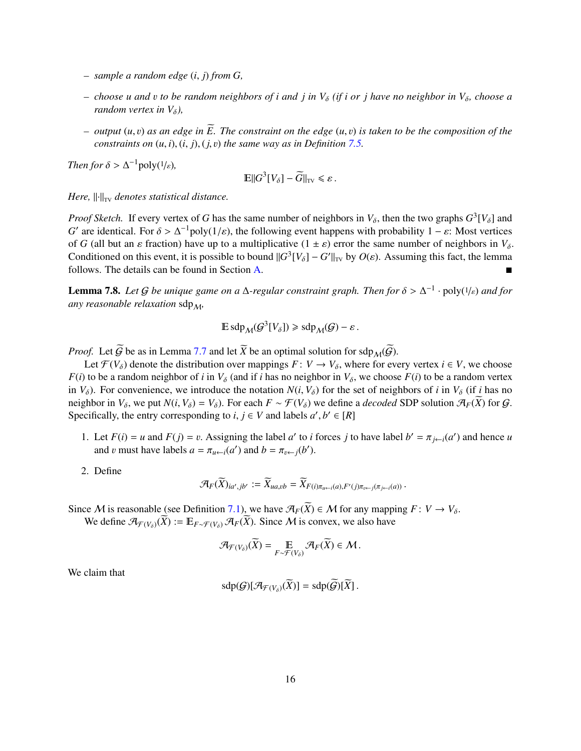- *– sample a random edge* (*i*, *<sup>j</sup>*) *from G,*
- $-$  *choose u* and *v* to be random neighbors of *i* and *j* in  $V_{\delta}$  (if *i* or *j* have no neighbor in  $V_{\delta}$ , choose a *random vertex in*  $V_{\delta}$ *)*,
- $-$  *output*  $(u, v)$  *as an edge in*  $\widetilde{E}$ . The constraint on the edge  $(u, v)$  is taken to be the composition of the *constraints on*  $(u, i)$ ,  $(i, j)$ ,  $(j, v)$  *the same way as in Definition* [7.5.](#page-16-1)

*Then for*  $\delta > \Delta^{-1}$  poly( $\frac{1}{\epsilon}$ *)*,

$$
\mathbb{E}||G^3[V_\delta] - \widetilde{G}||_{\rm TV} \leq \varepsilon.
$$

*Here,*  $\|\cdot\|_{TV}$  *denotes statistical distance.* 

*Proof Sketch.* If every vertex of *G* has the same number of neighbors in  $V_{\delta}$ , then the two graphs  $G^3[V_{\delta}]$  and  $G'$  are identiced. For  $\delta > \Delta^{-1}$  policial (a) the following event homong with probability 1, so Meet *G*' are identical. For  $\delta > \Delta^{-1}$ poly(1/ $\varepsilon$ ), the following event happens with probability  $1 - \varepsilon$ : Most vertices of *G* (all but an  $\varepsilon$  fraction) have up to a multiplicative  $(1 + \varepsilon)$  error the same number of peig of *G* (all but an *ε* fraction) have up to a multiplicative  $(1 \pm \varepsilon)$  error the same number of neighbors in  $V_\delta$ . Conditioned on this event, it is possible to bound  $\|G^3[V_\delta] - G'\|_{TV}$  by  $O(\varepsilon)$ . Assuming this fact, the lemma follows. The details can be found in Section A follows. The details can be found in Section [A.](#page-28-0)

<span id="page-17-0"></span>**Lemma 7.8.** *Let* G *be unique game on a*  $\Delta$ -regular constraint graph. Then for  $\delta > \Delta^{-1} \cdot \text{poly}(1/\varepsilon)$  and for *any reasonable relaxation* sdp<sub>M</sub>,

$$
\mathbb{E}\,\text{sdp}_{\mathcal{M}}(\mathcal{G}^3[V_\delta]) \geqslant \text{sdp}_{\mathcal{M}}(\mathcal{G}) - \varepsilon.
$$

*Proof.* Let  $\widetilde{G}$  be as in Lemma [7.7](#page-16-2) and let  $\widetilde{X}$  be an optimal solution for sdp  $M(\widetilde{G})$ .

Let  $\mathcal{F}(V_{\delta})$  denote the distribution over mappings  $F: V \to V_{\delta}$ , where for every vertex  $i \in V$ , we choose *F*(*i*) to be a random neighbor of *i* in  $V_\delta$  (and if *i* has no neighbor in  $V_\delta$ , we choose  $F(i)$  to be a random vertex in  $V_\delta$ ). For convenience, we introduce the notation  $N(i, V_\delta)$  for the set of neighbors of *i* in  $V_\delta$  (if *i* has no neighbor in  $V_\delta$ , we put  $N(i, V_\delta) = V_\delta$ ). For each  $F \sim \mathcal{F}(V_\delta)$  we define a *decoded* SDP solution  $\mathcal{A}_F(\overline{X})$  for  $\mathcal{G}$ . Specifically, the entry corresponding to *i*,  $j \in V$  and labels  $a', b' \in [R]$ 

- 1. Let  $F(i) = u$  and  $F(j) = v$ . Assigning the label *a'* to *i* forces *j* to have label  $b' = \pi_{j \leftarrow i}(a')$  and hence *u* and *n* must have labels  $a = \pi_{j \leftarrow j}(a')$  and  $b = \pi_{j \leftarrow j}(b')$ and v must have labels  $a = \pi_{u \leftarrow i}(a')$  and  $b = \pi_{v \leftarrow j}(b')$ .
- 2. Define

$$
\mathcal{A}_F(\widetilde{X})_{ia',jb'} := \widetilde{X}_{ua,vb} = \widetilde{X}_{F(i)\pi_{u \leftarrow i}(a),F'(j)\pi_{v \leftarrow j}(\pi_{j \leftarrow i}(a))}.
$$

Since M is reasonable (see Definition [7.1\)](#page-14-3), we have  $\mathcal{A}_F(\widetilde{X}) \in \mathcal{M}$  for any mapping  $F: V \to V_\delta$ .

We define  $\mathcal{A}_{\mathcal{F}(V_0)}(\widetilde{X}) := \mathbb{E}_{F \sim \mathcal{F}(V_0)} \mathcal{A}_F(\widetilde{X})$ . Since M is convex, we also have

$$
\mathcal{A}_{\mathcal{F}(V_{\delta})}(\widetilde{X}) = \mathop{\mathbb{E}}_{F \sim \mathcal{F}(V_{\delta})} \mathcal{A}_F(\widetilde{X}) \in \mathcal{M}.
$$

We claim that

$$
\mathrm{sdp}(\mathcal{G})[\mathcal{A}_{\mathcal{F}(V_\delta)}(X)] = \mathrm{sdp}(\mathcal{G})[X].
$$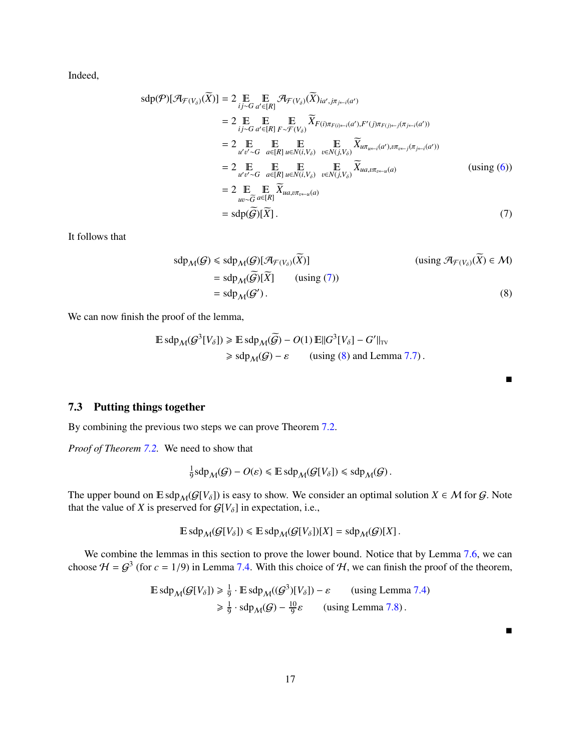Indeed,

$$
sdp(\mathcal{P})[\mathcal{A}_{\mathcal{F}(V_{\delta})}(\widetilde{X})] = 2 \underset{\substack{i,j \sim G \\ d' \in [R]}}{\mathbb{E}} \underset{\mathcal{F}(V_{\delta})}{\mathbb{E}} \mathcal{A}_{\mathcal{F}(V_{\delta})}(\widetilde{X})_{ia',j\pi_{j \leftarrow i}(a')}
$$
  
\n
$$
= 2 \underset{\substack{i,j \sim G \\ d' \in [R]}}{\mathbb{E}} \underset{\substack{F \sim \mathcal{F}(V_{\delta}) \\ d'v'' \sim G}}{\mathbb{E}} \underset{a \in [R]}{\mathbb{E}} \underset{\substack{F \sim \mathcal{F}(V_{\delta}) \\ E \sim \mathcal{F}(V_{\delta})}}{\mathbb{E}} \underset{\substack{v \in N(i, V_{\delta}) \\ v \in N(j, V_{\delta})}}{\mathbb{E}} \underset{\substack{v \in N(i, V_{\delta}) \\ \mathcal{F}(v_{\delta})} \mathcal{K}_{u\pi_{u \leftarrow i}(a'),v\pi_{v \leftarrow j}(\pi_{j \leftarrow i}(a'))}}{\mathbb{E}}}
$$
  
\n
$$
= 2 \underset{\substack{u'v' \sim G \\ u \in V_{\delta}}}{\mathbb{E}} \underset{a \in [R]}{\mathbb{E}} \underset{u \in N(i, V_{\delta})}{\mathbb{E}} \underset{v \in N(j, V_{\delta})}{\mathbb{E}} \widetilde{X}_{ua,v\pi_{v \leftarrow u}(a)}
$$
  
\n
$$
= 2 \underset{\substack{u \sim \widetilde{G} \\ a \in [R]}}{\mathbb{E}} \underset{a \in [R]}{\mathbb{E}} \widetilde{X}_{ua,v\pi_{v \leftarrow u}(a)}
$$
  
\n
$$
= sdp(\widetilde{\mathcal{G}})[\widetilde{X}].
$$
  
\n(7)

It follows that

$$
sdp_{\mathcal{M}}(\mathcal{G}) \le sdp_{\mathcal{M}}(\mathcal{G})[\mathcal{A}_{\mathcal{F}(V_{\delta})}(\widetilde{X})]
$$
\n
$$
= sdp_{\mathcal{M}}(\widetilde{\mathcal{G}})[\widetilde{X}] \qquad \text{(using } (\mathcal{A}_{\mathcal{F}(V_{\delta})}(\widetilde{X}) \in \mathcal{M})
$$
\n
$$
= sdp_{\mathcal{M}}(\mathcal{G}'). \qquad (8)
$$

We can now finish the proof of the lemma,

$$
\mathbb{E} \operatorname{sdp}_{\mathcal{M}}(\mathcal{G}^{3}[V_{\delta}]) \ge \mathbb{E} \operatorname{sdp}_{\mathcal{M}}(\widetilde{\mathcal{G}}) - O(1) \operatorname{E} ||G^{3}[V_{\delta}] - G'||_{\text{TV}}
$$
  
\n
$$
\ge \operatorname{sdp}_{\mathcal{M}}(\mathcal{G}) - \varepsilon \qquad \text{(using (8) and Lemma 7.7)}.
$$

## <span id="page-18-0"></span>7.3 Putting things together

By combining the previous two steps we can prove Theorem [7.2.](#page-15-1)

*Proof of Theorem [7.2.](#page-15-1)* We need to show that

$$
\frac{1}{9} \operatorname{sdp}_{\mathcal{M}}(\mathcal{G}) - O(\varepsilon) \leq \mathbb{E} \operatorname{sdp}_{\mathcal{M}}(\mathcal{G}[V_{\delta}]) \leq \operatorname{sdp}_{\mathcal{M}}(\mathcal{G}).
$$

The upper bound on  $\mathbb{E}$  sdp<sub>M</sub>( $\mathcal{G}[V_\delta]$ ) is easy to show. We consider an optimal solution  $X \in \mathcal{M}$  for  $\mathcal{G}$ . Note that the value of *X* is preserved for  $G[V_\delta]$  in expectation, i.e.,

$$
\mathbb{E}\operatorname{sdp}_{\mathcal{M}}(\mathcal{G}[V_{\delta}]) \leq \mathbb{E}\operatorname{sdp}_{\mathcal{M}}(\mathcal{G}[V_{\delta}])[X] = \operatorname{sdp}_{\mathcal{M}}(\mathcal{G})[X].
$$

We combine the lemmas in this section to prove the lower bound. Notice that by Lemma [7.6,](#page-16-4) we can choose  $H = G^3$  (for  $c = 1/9$ ) in Lemma [7.4.](#page-15-2) With this choice of H, we can finish the proof of the theorem,

$$
\mathbb{E} \operatorname{sdp}_{\mathcal{M}}(\mathcal{G}[V_{\delta}]) \ge \frac{1}{9} \cdot \mathbb{E} \operatorname{sdp}_{\mathcal{M}}((\mathcal{G}^{3})[V_{\delta}]) - \varepsilon \qquad \text{(using Lemma 7.4)}
$$
  
\$\ge \frac{1}{9} \cdot \operatorname{sdp}\_{\mathcal{M}}(\mathcal{G}) - \frac{10}{9}\varepsilon \qquad \text{(using Lemma 7.8)}.

<span id="page-18-2"></span><span id="page-18-1"></span> $\blacksquare$ 

 $\blacksquare$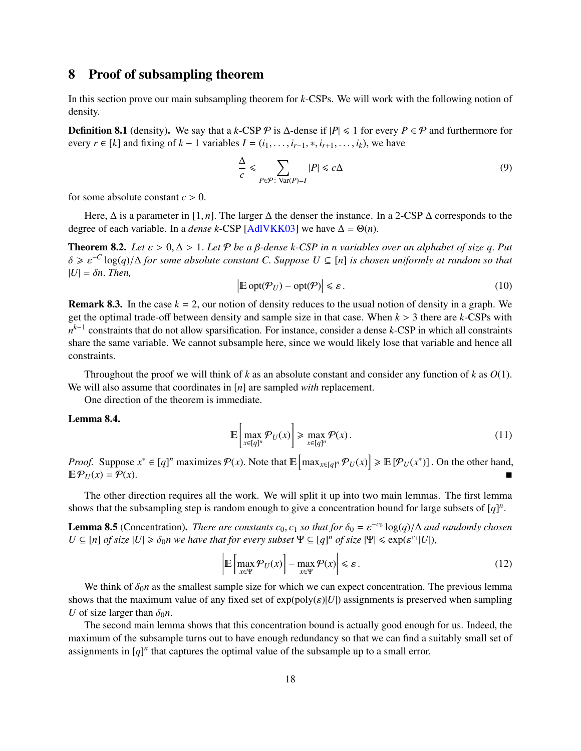# <span id="page-19-0"></span>8 Proof of subsampling theorem

In this section prove our main subsampling theorem for *k*-CSPs. We will work with the following notion of density.

**Definition 8.1** (density). We say that a *k*-CSP  $\mathcal{P}$  is  $\Delta$ -dense if  $|P| \le 1$  for every  $P \in \mathcal{P}$  and furthermore for every  $r \in [k]$  and fixing of  $k - 1$  variables  $I = (i_1, \ldots, i_{r-1}, *, i_{r+1}, \ldots, i_k)$ , we have

$$
\frac{\Delta}{c} \leq \sum_{P \in \mathcal{P}: \text{Var}(P) = I} |P| \leq c\Delta
$$
\n(9)

for some absolute constant  $c > 0$ .

Here, <sup>∆</sup> is a parameter in [1, *<sup>n</sup>*]. The larger <sup>∆</sup> the denser the instance. In a 2-CSP <sup>∆</sup> corresponds to the degree of each variable. In a *dense k*-CSP [\[AdlVKK03\]](#page-27-3) we have  $\Delta = \Theta(n)$ .

<span id="page-19-1"></span>**Theorem 8.2.** Let  $\varepsilon > 0$ ,  $\Delta > 1$ . Let P be a  $\beta$ -dense k-CSP in *n* variables over an alphabet of size q. Put δ <sup>&</sup>gt; ε <sup>−</sup>*<sup>C</sup>* log(*q*)/<sup>∆</sup> *for some absolute constant <sup>C</sup>*. *Suppose <sup>U</sup>* <sup>⊆</sup> [*n*] *is chosen uniformly at random so that*  $|U| = \delta n$ . *Then,* 

$$
\left| \mathbb{E} \operatorname{opt}(\mathcal{P}_U) - \operatorname{opt}(\mathcal{P}) \right| \leq \varepsilon. \tag{10}
$$

**Remark 8.3.** In the case  $k = 2$ , our notion of density reduces to the usual notion of density in a graph. We get the optimal trade-off between density and sample size in that case. When *<sup>k</sup>* > 3 there are *<sup>k</sup>*-CSPs with *n*<sup>*k*−1</sup> constraints that do not allow sparsification. For instance, consider a dense *k*-CSP in which all constraints share the same variable. We cannot subsample here, since we would likely lose that variable and hence all constraints.

Throughout the proof we will think of *<sup>k</sup>* as an absolute constant and consider any function of *<sup>k</sup>* as *<sup>O</sup>*(1). We will also assume that coordinates in [*n*] are sampled *with* replacement.

One direction of the theorem is immediate.

#### <span id="page-19-3"></span>Lemma 8.4.

$$
\mathbb{E}\left[\max_{x\in[q]^n} \mathcal{P}_U(x)\right] \ge \max_{x\in[q]^n} \mathcal{P}(x). \tag{11}
$$

*Proof.* Suppose  $x^* \in [q]^n$  maximizes  $P(x)$ . Note that  $\mathbb{E} \left[ \max_{x \in [q]^n} P_U(x) \right] \ge \mathbb{E} \left[ P_U(x^*) \right]$ . On the other hand,  $\mathbb{E} \left[ \mathcal{P}_{U}(x) - P_U(x) \right]$  $\mathbb{E}\mathcal{P}_U(x) = \mathcal{P}(x).$ 

The other direction requires all the work. We will split it up into two main lemmas. The first lemma shows that the subsampling step is random enough to give a concentration bound for large subsets of  $[q]$ <sup>*n*</sup>

<span id="page-19-2"></span>**Lemma 8.5** (Concentration). *There are constants*  $c_0$ ,  $c_1$  *so that for*  $\delta_0 = \varepsilon^{-c_0} \log(q)/\Delta$  *and randomly chosen*  $U \subseteq [n]$  of size  $|U| \ge \delta_0 n$  we have that for every subset  $\Psi \subseteq [a]^n$  of size  $|\Psi| \le \exp(c^c(1|U|))$  $U \subseteq [n]$  *of size*  $|U| \ge \delta_0 n$  we have that for every subset  $\Psi \subseteq [q]^n$  *of size*  $|\Psi| \le \exp(\varepsilon^{c_1} |U|)$ ,

$$
\left| \mathbb{E} \left[ \max_{x \in \Psi} \mathcal{P}_U(x) \right] - \max_{x \in \Psi} \mathcal{P}(x) \right| \le \varepsilon. \tag{12}
$$

We think of  $\delta_0 n$  as the smallest sample size for which we can expect concentration. The previous lemma shows that the maximum value of any fixed set of  $exp(poly(\varepsilon)|U|)$  assignments is preserved when sampling *U* of size larger than  $\delta_0 n$ .

The second main lemma shows that this concentration bound is actually good enough for us. Indeed, the maximum of the subsample turns out to have enough redundancy so that we can find a suitably small set of assignments in  $[q]$ <sup>*n*</sup> that captures the optimal value of the subsample up to a small error.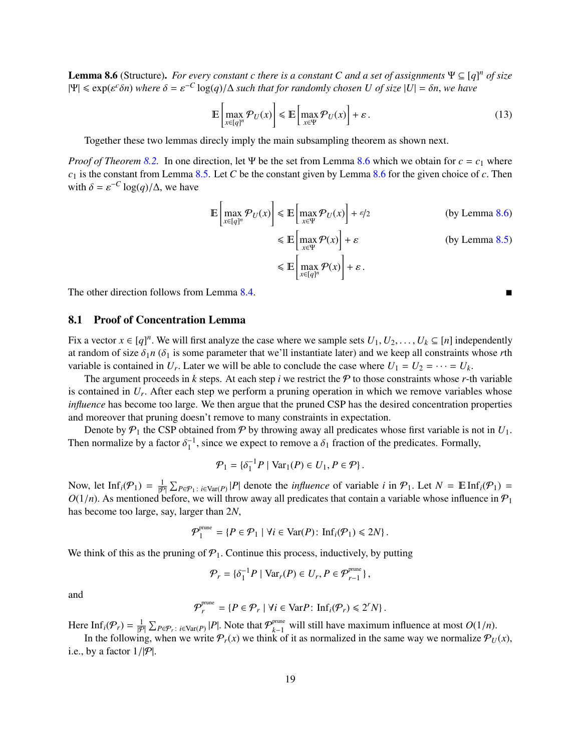<span id="page-20-1"></span>**Lemma 8.6** (Structure). *For every constant c there is a constant C and a set of assignments*  $\Psi \subseteq [q]^n$  *of size*  $|\Psi| \le \exp(\varepsilon^c \delta n)$  *where*  $\delta = \varepsilon^{-C} \log(q) / \Delta$  *such that for randomly chosen* U of *size*  $|U| = \delta n$ , *we have* 

$$
\mathbb{E}\left[\max_{x \in [q]^n} \mathcal{P}_U(x)\right] \le \mathbb{E}\left[\max_{x \in \Psi} \mathcal{P}_U(x)\right] + \varepsilon.
$$
\n(13)

Together these two lemmas direcly imply the main subsampling theorem as shown next.

*Proof of Theorem [8.2.](#page-19-1)* In one direction, let Ψ be the set from Lemma [8.6](#page-20-1) which we obtain for *c* = *c*<sup>1</sup> where *<sup>c</sup>*<sup>1</sup> is the constant from Lemma [8.5.](#page-19-2) Let *<sup>C</sup>* be the constant given by Lemma [8.6](#page-20-1) for the given choice of *<sup>c</sup>*. Then with  $\delta = \varepsilon^{-C} \log(q) / \Delta$ , we have

$$
\mathbb{E}\left[\max_{x\in[q]^n} \mathcal{P}_U(x)\right] \le \mathbb{E}\left[\max_{x\in\Psi} \mathcal{P}_U(x)\right] + \varepsilon/2 \qquad \text{(by Lemma 8.6)}
$$
\n
$$
\le \mathbb{E}\left[\max_{x\in\Psi} \mathcal{P}(x)\right] + \varepsilon \qquad \text{(by Lemma 8.5)}
$$
\n
$$
\le \mathbb{E}\left[\max_{x\in[q]^n} \mathcal{P}(x)\right] + \varepsilon.
$$

The other direction follows from Lemma [8.4.](#page-19-3)

#### <span id="page-20-0"></span>8.1 Proof of Concentration Lemma

Fix a vector *x* ∈ [*q*]<sup>n</sup>. We will first analyze the case where we sample sets  $U_1, U_2, ..., U_k$  ⊆ [*n*] independently at random of size  $\delta_1 n$  ( $\delta_2$  is some parameter that we'll instantiate later) and we keen all const at random of size  $\delta_1 n$  ( $\delta_1$  is some parameter that we'll instantiate later) and we keep all constraints whose *r*th variable is contained in  $U_r$ . Later we will be able to conclude the case where  $U_1 = U_2 = \cdots = U_k$ .<br>The argument proceeds in *k* steps. At each step *i* we restrict the *Q* to those constraints whose *x* if

The argument proceeds in *k* steps. At each step *i* we restrict the  $P$  to those constraints whose *r*-th variable is contained in  $U_r$ . After each step we perform a pruning operation in which we remove variables whose<br>influence has become too large. We then argue that the pruned CSP has the desired concentration properties *influence* has become too large. We then argue that the pruned CSP has the desired concentration properties and moreover that pruning doesn't remove to many constraints in expectation.

Denote by  $P_1$  the CSP obtained from  $P$  by throwing away all predicates whose first variable is not in  $U_1$ . Then normalize by a factor  $\delta_1^{-1}$ , since we expect to remove a  $\delta_1$  fraction of the predicates. Formally,

$$
\mathcal{P}_1 = \{\delta_1^{-1} P \mid \text{Var}_1(P) \in U_1, P \in \mathcal{P}\}.
$$

Now, let  $\text{Inf}_i(\mathcal{P}_1) = \frac{1}{|\mathcal{P}|} \sum_{P \in \mathcal{P}_1 : i \in \text{Var}(P)} |P|$  denote the *influence* of variable *i* in  $\mathcal{P}_1$ . Let  $N = \mathbb{E} \text{Inf}_i(\mathcal{P}_1) = O(1/n)$ . As mentioned before, we will throw away all predicates that contai  $O(1/n)$ . As mentioned before, we will throw away all predicates that contain a variable whose influence in  $P_1$ has become too large, say, larger than 2*N*,

$$
\mathcal{P}_1^{\text{prune}} = \{ P \in \mathcal{P}_1 \mid \forall i \in \text{Var}(P) \colon \text{Inf}_i(\mathcal{P}_1) \leq 2N \}.
$$

We think of this as the pruning of  $P_1$ . Continue this process, inductively, by putting

$$
\mathcal{P}_r = \{\delta_1^{-1} P \mid \text{Var}_r(P) \in U_r, P \in \mathcal{P}_{r-1}^{\text{prune}}\},\
$$

and

$$
\mathcal{P}_r^{\text{prune}} = \{ P \in \mathcal{P}_r \mid \forall i \in \text{Var} P \colon \text{Inf}_i(\mathcal{P}_r) \leqslant 2^r N \}.
$$

Here Inf<sub>*i*</sub>( $\mathcal{P}_r$ ) =  $\frac{1}{|\mathcal{P}|} \sum_{P \in \mathcal{P}_r} E_{\text{Var}(P)}[P]$ . Note that  $\mathcal{P}_{k-1}^{\text{prune}}$  will still have maximum influence at most  $O(1/n)$ .<br>In the following when we write  $\mathcal{P}_r(x)$  we think of it as normalized

In the following, when we write  $\mathcal{P}_r(x)$  we think of it as normalized in the same way we normalize  $\mathcal{P}_U(x)$ , i.e., by a factor  $1/|\mathcal{P}|$ .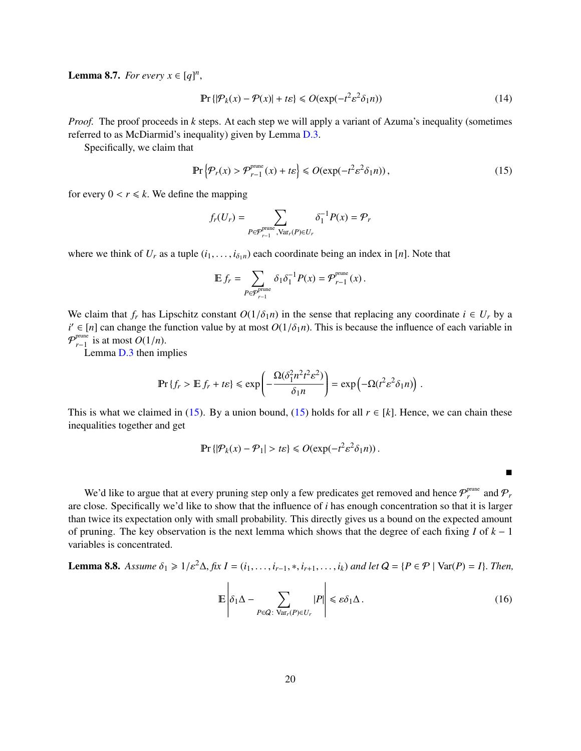<span id="page-21-2"></span>**Lemma 8.7.** *For every*  $x \in [q]^n$ ,

$$
\Pr\left\{|\mathcal{P}_k(x) - \mathcal{P}(x)| + t\varepsilon\right\} \leqslant O(\exp(-t^2 \varepsilon^2 \delta_1 n))\tag{14}
$$

*Proof.* The proof proceeds in *k* steps. At each step we will apply a variant of Azuma's inequality (sometimes referred to as McDiarmid's inequality) given by Lemma [D.3.](#page-35-0)

Specifically, we claim that

<span id="page-21-0"></span>
$$
\Pr\left\{\mathcal{P}_r(x) > \mathcal{P}_{r-1}^{\text{prune}}(x) + t\varepsilon\right\} \le O(\exp(-t^2 \varepsilon^2 \delta_1 n)),\tag{15}
$$

for every  $0 < r \le k$ . We define the mapping

$$
f_r(U_r) = \sum_{P \in \mathcal{P}_{r-1}^{\text{prune}}, \text{Var}_r(P) \in U_r} \delta_1^{-1} P(x) = \mathcal{P}_r
$$

where we think of  $U_r$  as a tuple  $(i_1, \ldots, i_{\delta_1 n})$  each coordinate being an index in [*n*]. Note that

$$
\mathbb{E} f_r = \sum_{P \in \mathcal{P}_{r-1}^{\text{prune}}} \delta_1 \delta_1^{-1} P(x) = \mathcal{P}_{r-1}^{\text{prune}}(x) \, .
$$

We claim that  $f_r$  has Lipschitz constant  $O(1/\delta_1 n)$  in the sense that replacing any coordinate  $i \in U_r$  by a  $i' \in [n]$  can change the function value by at most  $O(1/\delta_1 n)$ . This is because the influence of each variable in  $\mathcal{O}^{p}$ <sup>prune</sup> is at most  $O(1/n)$  $\mathcal{P}_{r-1}^{\text{prune}}$  is at most  $O(1/n)$ .<br>**I** emma D 3 then im

Lemma [D.3](#page-35-0) then implies

$$
\Pr\left\{f_r > \mathbb{E}\,f_r + t\epsilon\right\} \leqslant \exp\left(-\frac{\Omega(\delta_1^2 n^2 t^2 \epsilon^2)}{\delta_1 n}\right) = \exp\left(-\Omega(t^2 \epsilon^2 \delta_1 n)\right).
$$

This is what we claimed in [\(15\)](#page-21-0). By a union bound, (15) holds for all  $r \in [k]$ . Hence, we can chain these inequalities together and get

$$
\Pr\{|\mathcal{P}_k(x) - \mathcal{P}_1| > t\varepsilon\} \leqslant O(\exp(-t^2\varepsilon^2 \delta_1 n)).
$$

We'd like to argue that at every pruning step only a few predicates get removed and hence  $\mathcal{P}_r^{\text{prune}}$  and  $\mathcal{P}_r$ are close. Specifically we'd like to show that the influence of *i* has enough concentration so that it is larger than twice its expectation only with small probability. This directly gives us a bound on the expected amount of pruning. The key observation is the next lemma which shows that the degree of each fixing *I* of *k* − 1 variables is concentrated.

<span id="page-21-1"></span>**Lemma 8.8.** *Assume*  $δ₁ ≥ 1/ε<sup>2</sup>Δ, fix I = (i₁, …, i_{r-1}, *, i_{r+1}, …, i_k)$  *and let*  $Q = {P ∈ P | Var(P) = I}$ . *Then,* 

$$
\mathbb{E}\left|\delta_1\Delta - \sum_{P\in\mathcal{Q}: \text{Var}_r(P)\in U_r} |P|\right| \leqslant \varepsilon \delta_1 \Delta. \tag{16}
$$

 $\blacksquare$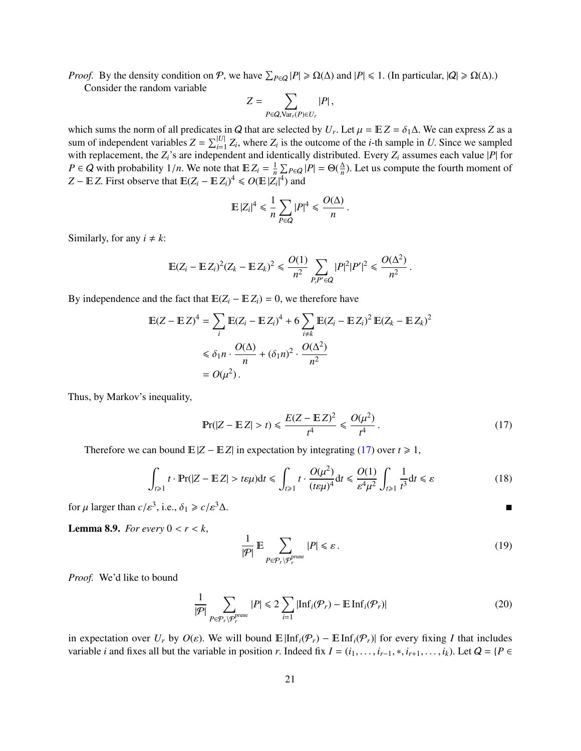*Proof.* By the density condition on  $P$ , we have  $\sum_{P \in Q} |P| \ge \Omega(\Delta)$  and  $|P| \le 1$ . (In particular,  $|Q| \ge \Omega(\Delta)$ .)<br>Consider the random variable

Consider the random variable

$$
Z = \sum_{P \in Q, \text{Var}_r(P) \in U_r} |P|,
$$

which sums the norm of all predicates in Q that are selected by  $U_r$ . Let  $\mu = \mathbb{E}Z = \delta_1\Delta$ . We can express Z as a sum of independent variables  $Z = \sum^{|U|} Z_r$ , where Z is the outcome of the *i* th sample in *U* Since we sum of independent variables  $Z = \sum_{i=1}^{|U|} Z_i$ , where  $Z_i$  is the outcome of the *i*-th sample in *U*. Since we sampled with replacement, the  $Z_i$ 's are independent and identically distributed. Every  $Z_i$  assumes each va *P* ∈ *Q* with probability 1/*n*. We note that  $E Z_i = \frac{1}{n} \sum_{P \in Q} |P| = \Theta(\frac{\Delta}{n})$ <br>  $Z - E Z$  First observe that  $E(Z - E Z)^4 < O(E |Z|^4)$  and  $\frac{\Delta}{n}$ ). Let us compute the fourth moment of *Z* − *E**Z***. First observe that**  $\mathbb{E}(Z_i - \mathbb{E} Z_i)^4 \le O(\mathbb{E} |Z_i|^4)$  **and** |

$$
\mathbb{E}\left|Z_i\right|^4 \leq \frac{1}{n}\sum_{P \in Q} |P|^4 \leq \frac{O(\Delta)}{n}
$$

Similarly, for any  $i \neq k$ :

$$
\mathbb{E}(Z_i - \mathbb{E} Z_i)^2 (Z_k - \mathbb{E} Z_k)^2 \le \frac{O(1)}{n^2} \sum_{P, P' \in Q} |P|^2 |P'|^2 \le \frac{O(\Delta^2)}{n^2}.
$$

By independence and the fact that  $E(Z_i - E Z_i) = 0$ , we therefore have

$$
\mathbb{E}(Z - \mathbb{E}Z)^4 = \sum_i \mathbb{E}(Z_i - \mathbb{E}Z_i)^4 + 6 \sum_{i \neq k} \mathbb{E}(Z_i - \mathbb{E}Z_i)^2 \mathbb{E}(Z_k - \mathbb{E}Z_k)^2
$$
  
\n
$$
\leq \delta_1 n \cdot \frac{O(\Delta)}{n} + (\delta_1 n)^2 \cdot \frac{O(\Delta^2)}{n^2}
$$
  
\n
$$
= O(\mu^2).
$$

Thus, by Markov's inequality,

<span id="page-22-0"></span>
$$
\Pr(|Z - \mathbb{E}Z| > t) \le \frac{E(Z - \mathbb{E}Z)^2}{t^4} \le \frac{O(\mu^2)}{t^4} \,. \tag{17}
$$

Therefore we can bound  $\mathbb{E}|Z - \mathbb{E}Z|$  in expectation by integrating [\(17\)](#page-22-0) over  $t \ge 1$ ,

$$
\int_{t\geqslant 1} t \cdot \Pr(|Z - \mathbb{E}|Z| > t\varepsilon\mu) \mathrm{d}t \leqslant \int_{t\geqslant 1} t \cdot \frac{O(\mu^2)}{(t\varepsilon\mu)^4} \mathrm{d}t \leqslant \frac{O(1)}{\varepsilon^4 \mu^2} \int_{t\geqslant 1} \frac{1}{t^3} \mathrm{d}t \leqslant \varepsilon \tag{18}
$$

for  $\mu$  larger than  $c/\varepsilon^3$ , i.e.,  $\delta_1 \geq c/\varepsilon^3 \Delta$ .

<span id="page-22-2"></span>**Lemma 8.9.** *For every*  $0 < r < k$ ,

$$
\frac{1}{|\mathcal{P}|} \mathbb{E} \sum_{P \in \mathcal{P}_r \backslash \mathcal{P}_r^{\text{prune}}} |P| \leq \varepsilon.
$$
 (19)

*Proof.* We'd like to bound

<span id="page-22-1"></span>
$$
\frac{1}{|\mathcal{P}|} \sum_{P \in \mathcal{P}_r \backslash \mathcal{P}_r^{\text{prune}}} |P| \leq 2 \sum_{i=1} |\text{Inf}_i(\mathcal{P}_r) - \text{E} \text{Inf}_i(\mathcal{P}_r)| \tag{20}
$$

in expectation over  $U_r$  by  $O(\varepsilon)$ . We will bound  $\mathbb{E}[\text{Inf}_i(\mathcal{P}_r) - \mathbb{E} \text{Inf}_i(\mathcal{P}_r)]$  for every fixing *I* that includes variable *i* and fixes all but the variable in position *r*. Indeed fix  $I = (i_1, \ldots, i_{r-1}, \ast, i_{r+1}, \ldots, i_k)$ . Let  $Q = \{P \in I\}$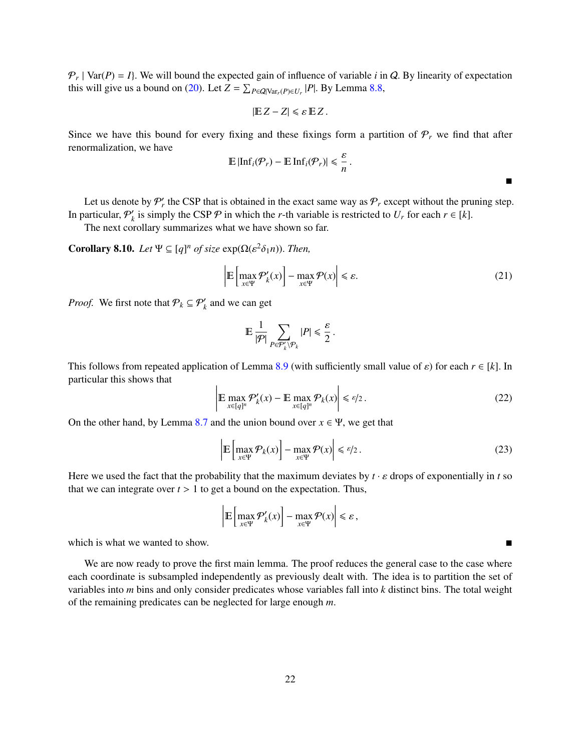$P_r$  | Var(*P*) = *I*}. We will bound the expected gain of influence of variable *i* in *Q*. By linearity of expectation this will give us a bound on (20). Let  $Z = \sum_{r=20}$  and so we let  $P_1$  By Lemma 8.8. this will give us a bound on [\(20\)](#page-22-1). Let  $Z = \sum_{P \in Q|Var_r(P) \in U_r} |P|$ . By Lemma [8.8,](#page-21-1)

$$
|\mathbb{E} Z - Z| \le \varepsilon \mathbb{E} Z.
$$

Since we have this bound for every fixing and these fixings form a partition of  $P_r$  we find that after renormalization, we have

$$
\mathbb{E}\left|\text{Inf}_i(\mathcal{P}_r)-\mathbb{E}\text{ Inf}_i(\mathcal{P}_r)\right|\leqslant \frac{\varepsilon}{n}.
$$

Let us denote by  $P'_r$ , the CSP that is obtained in the exact same way as  $P_r$  except without the pruning step. In particular,  $P'_{k}$ *k* is simply the CSP  $\mathcal{P}$  in which the *r*-th variable is restricted to  $U_r$  for each  $r \in [k]$ .

The next corollary summarizes what we have shown so far.

<span id="page-23-0"></span>**Corollary 8.10.** *Let*  $\Psi \subseteq [q]^n$  *of size*  $exp(\Omega(\varepsilon^2 \delta_1 n))$ *. Then,* 

$$
\left| \mathbb{E} \left[ \max_{x \in \Psi} \mathcal{P}'_k(x) \right] - \max_{x \in \Psi} \mathcal{P}(x) \right| \le \varepsilon. \tag{21}
$$

 $\blacksquare$ 

*Proof.* We first note that  $P_k \subseteq P'_k$  and we can get

$$
\mathbb{E}\, \frac{1}{|\mathcal{P}|}\sum_{P\in \mathcal{P}'_k \backslash \mathcal{P}_k} |P| \leq \frac{\varepsilon}{2}
$$

This follows from repeated application of Lemma [8.9](#page-22-2) (with sufficiently small value of  $\varepsilon$ ) for each  $r \in [k]$ . In particular this shows that

$$
\left| \mathbb{E} \max_{x \in [q]^n} \mathcal{P}'_k(x) - \mathbb{E} \max_{x \in [q]^n} \mathcal{P}_k(x) \right| \le \varepsilon/2.
$$
 (22)

On the other hand, by Lemma [8.7](#page-21-2) and the union bound over  $x \in \Psi$ , we get that

$$
\left| \mathbb{E} \left[ \max_{x \in \Psi} \mathcal{P}_k(x) \right] - \max_{x \in \Psi} \mathcal{P}(x) \right| \le \varepsilon/2. \tag{23}
$$

Here we used the fact that the probability that the maximum deviates by  $t \cdot \varepsilon$  drops of exponentially in *t* so that we can integrate over  $t > 1$  to get a bound on the expectation. Thus,

$$
\left| \mathbb{E} \left[ \max_{x \in \Psi} \mathcal{P}'_k(x) \right] - \max_{x \in \Psi} \mathcal{P}(x) \right| \leq \varepsilon,
$$

which is what we wanted to show.

We are now ready to prove the first main lemma. The proof reduces the general case to the case where each coordinate is subsampled independently as previously dealt with. The idea is to partition the set of variables into *m* bins and only consider predicates whose variables fall into *k* distinct bins. The total weight of the remaining predicates can be neglected for large enough *<sup>m</sup>*.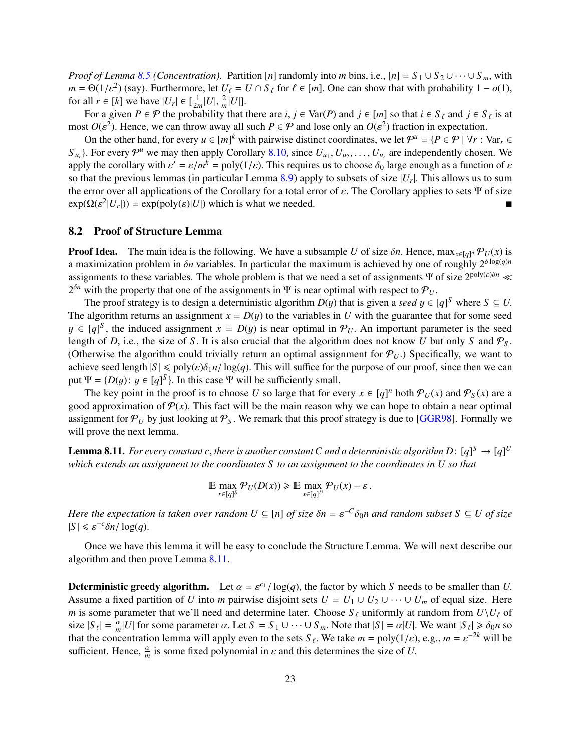*Proof of Lemma* [8.5](#page-19-2) *(Concentration).* Partition [*n*] randomly into *m* bins, i.e., [*n*] =  $S_1 \cup S_2 \cup \cdots \cup S_m$ , with *m* = Θ(1/ε<sup>2</sup>) (say). Furthermore, let  $U_\ell = U \cap S_\ell$  for  $\ell \in [m]$ . One can show that with probability 1 − *o*(1), for all  $r \in [k]$  we have  $|U| \in [\frac{1}{k}]$  [*I*] for all  $r \in [k]$  we have  $|U_r| \in [\frac{1}{2m}|U|, \frac{2}{m}|U|]$ .<br>For a given  $P \in \mathcal{P}$  the probability that

For a given  $P \in \mathcal{P}$  the probability that there are *i*,  $j \in \text{Var}(P)$  and  $j \in [m]$  so that  $i \in S_\ell$  and  $j \in S_\ell$  is at most  $O(\varepsilon^2)$ . Hence, we can throw away all such  $P \in \mathcal{P}$  and lose only an  $O(\varepsilon^2)$  fraction in expectation.

On the other hand, for every  $u \in [m]^k$  with pairwise distinct coordinates, we let  $\mathcal{P}^u = \{P \in \mathcal{P} \mid \forall r : \text{Var}_r \in \mathcal{P} \mid \forall r \in \mathcal{P} \mid \forall r \in \mathcal{P} \mid \forall r \in \mathcal{P} \mid \forall r \in \mathcal{P} \mid \forall r \in \mathcal{P} \mid \forall r \in \mathcal{P} \mid \forall r \in \mathcal{P} \mid \forall r \in$  $S_{u_r}$ ). For every  $\mathcal{P}^u$  we may then apply Corollary [8.10,](#page-23-0) since  $U_{u_1}, U_{u_2}, \ldots, U_{u_r}$  are independently chosen. We apply the corollary with  $s' = s/m^k = \text{poly}(1/\epsilon)$ . This requires us to choose  $\delta_0$  large enough as a apply the corollary with  $\varepsilon' = \varepsilon/m^k = \text{poly}(1/\varepsilon)$ . This requires us to choose  $\delta_0$  large enough as a function of  $\varepsilon$  so that the previous lemmas (in particular Lemma 8.9) apply to subsets of size  $|U|$ . This allows so that the previous lemmas (in particular Lemma [8.9\)](#page-22-2) apply to subsets of size  $|U_r|$ . This allows us to sum<br>the error over all applications of the Corollary for a total error of s. The Corollary applies to sets  $\Psi$  of s the error over all applications of the Corollary for a total error of  $\varepsilon$ . The Corollary applies to sets Ψ of size  $exp(\Omega(\varepsilon^2 |U_r|)) = exp(poly(\varepsilon)|U|)$  which is what we needed.

#### <span id="page-24-0"></span>8.2 Proof of Structure Lemma

**Proof Idea.** The main idea is the following. We have a subsample *U* of size  $\delta n$ . Hence,  $\max_{x \in [q]^n} \mathcal{P}_U(x)$  is a maximization problem in  $\delta n$  variables. In particular the maximum is achieved by one of roughly  $2^{\$ a maximization problem in  $\delta n$  variables. In particular the maximum is achieved by one of roughly  $2^{\delta \log(q)n}$ assignments to these variables. The whole problem is that we need a set of assignments Ψ of size  $2^{poly(\varepsilon)\delta n}$  «  $2^{\delta n}$  with the property that one of the assignments in Ψ is near optimal with respect to  $P_U$ .<br>The proof strategy is to design a deterministic algorithm  $D(u)$  that is given a seed  $u \in I$ 

The proof strategy is to design a deterministic algorithm  $D(y)$  that is given a *seed*  $y \in [q]^S$  where  $S \subseteq U$ .<br>algorithm returns an assignment  $x = D(y)$  to the variables in *II* with the quarantee that for some seed The algorithm returns an assignment  $x = D(y)$  to the variables in *U* with the guarantee that for some seed *y* ∈ [*q*]<sup>*S*</sup>, the induced assignment *x* = *D*(*y*) is near optimal in  $\mathcal{P}_U$ . An important parameter is the seed length of *D* i.e., the size of *S*. It is also crucial that the algorithm does not know *U* but on length of *D*, i.e., the size of *S*. It is also crucial that the algorithm does not know *U* but only *S* and  $P_S$ . (Otherwise the algorithm could trivially return an optimal assignment for  $P_U$ .) Specifically, we want to achieve seed length  $|S| \leq \text{poly}(\varepsilon)\delta_1 n / \log(q)$ . This will suffice for the purpose of our proof, since then we can put  $\Psi = \{D(y) : y \in [q]^S\}$ . In this case  $\Psi$  will be sufficiently small.<br>The leven point in the proof is to choose *U* so large that for ev

The key point in the proof is to choose *U* so large that for every  $x \in [q]^n$  both  $\mathcal{P}_U(x)$  and  $\mathcal{P}_S(x)$  are a good approximation of  $P(x)$ . This fact will be the main reason why we can hope to obtain a near optimal assignment for  $P_U$  by just looking at  $P_S$ . We remark that this proof strategy is due to [\[GGR98\]](#page-27-2). Formally we will prove the next lemma.

<span id="page-24-1"></span>**Lemma 8.11.** For every constant *c*, there is another constant *C* and a deterministic algorithm  $D: [q]^S \to [q]^U$ <br>which extends an assignment to the coordinates S to an assignment to the coordinates in *U* so that *which extends an assignment to the coordinates S to an assignment to the coordinates in U so that*

$$
\mathbb{E} \max_{x \in [q]^S} \mathcal{P}_U(D(x)) \ge \mathbb{E} \max_{x \in [q]^U} \mathcal{P}_U(x) - \varepsilon.
$$

*Here the expectation is taken over random*  $U \subseteq [n]$  *of size*  $\delta n = \varepsilon^{-C} \delta_0 n$  *and random subset*  $S \subseteq U$  *of size*<br> $|S| \leq e^{-c} \delta n / \log(a)$  $|S| \le \varepsilon^{-c} \delta n / \log(q)$ .

Once we have this lemma it will be easy to conclude the Structure Lemma. We will next describe our algorithm and then prove Lemma [8.11.](#page-24-1)

**Deterministic greedy algorithm.** Let  $\alpha = \varepsilon^{c_1}/\log(q)$ , the factor by which *S* needs to be smaller than *U*. Assume a fixed partition of *U* into *m* pairwise disjoint sets  $U = U_1 \cup U_2 \cup \cdots \cup U_m$  of equal size. Here *m* is some parameter that we'll need and determine later. Choose  $S_\ell$  uniformly at random from  $U\setminus U_\ell$  of size  $|S_\ell| = \frac{\alpha}{m} |U|$  for some parameter  $\alpha$ . Let  $S = S_1 \cup \cdots \cup S_m$ . Note that  $|S| = \alpha |U|$ . We want  $|S_\ell| \ge \delta_0 n$  so that the concentration lemma will apply even to the sets  $S_\ell$ . We take  $m = \text{poly}(1/\epsilon)$ , e.g.  $m = \text{e}^{$ that the concentration lemma will apply even to the sets  $S_\ell$ . We take  $m = \text{poly}(1/\varepsilon)$ , e.g.,  $m = \varepsilon^{-2k}$  will be sufficient. Hence  $\frac{\alpha}{\varepsilon}$  is some fixed polynomial in s and this determines the size of *U* sufficient. Hence,  $\frac{\alpha}{m}$  is some fixed polynomial in  $\varepsilon$  and this determines the size of *U*.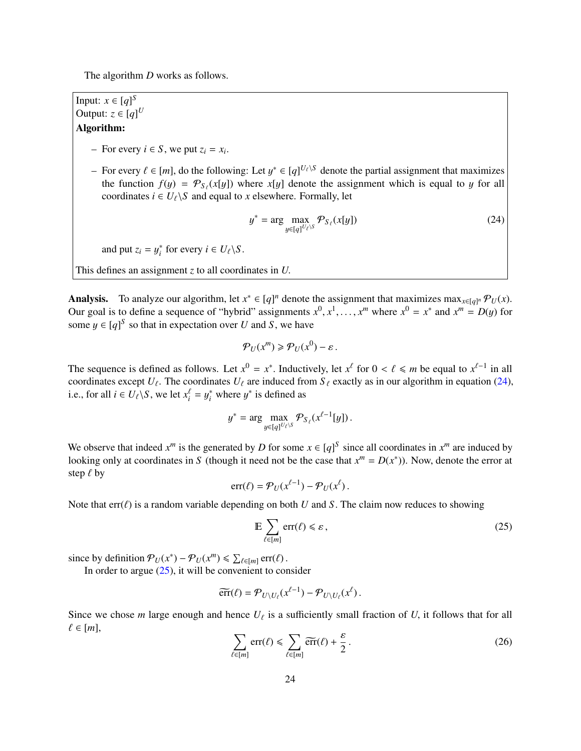The algorithm *D* works as follows.

Input:  $x \in [q]^S$ Output:  $z \in [q]^U$ Algorithm:

- − For every *i* ∈ *S*, we put  $z_i = x_i$ .
- For every  $\ell \in [m]$ , do the following: Let  $y^* \in [q]^{U_{\ell} \setminus S}$  denote the partial assignment that maximizes the function  $f(u) = \mathcal{P}_{\alpha} (x[u])$  where  $x[u]$  denote the assignment which is equal to *u* for all the function  $f(y) = \mathcal{P}_{S_\ell}(x[y])$  where  $x[y]$  denote the assignment which is equal to y for all coordinates  $i \in U_0$ . S and equal to x elsewhere, Formally let coordinates  $i \in U_\ell \backslash S$  and equal to *x* elsewhere. Formally, let

<span id="page-25-0"></span>
$$
y^* = \arg\max_{y \in [q]^{U_\ell \backslash S}} \mathcal{P}_{S_\ell}(x[y]) \tag{24}
$$

and put  $z_i = y_i^*$ <sup>\*</sup> for every  $i \in U_\ell \backslash S$ .

This defines an assignment *<sup>z</sup>* to all coordinates in *<sup>U</sup>*.

Analysis. To analyze our algorithm, let  $x^* \in [q]^n$  denote the assignment that maximizes  $\max_{x \in [q]^n} \mathcal{P}_U(x)$ .<br>Our goal is to define a sequence of "bybrid" assignments  $x^0 - x^1$ , where  $x^0 - x^*$  and  $x^m - D(u)$  for Our goal is to define a sequence of "hybrid" assignments  $x^0, x^1, \ldots, x^m$  where  $x^0 = x^*$  and  $x^m = D(y)$  for some  $y \in [q]^S$  so that in expectation over *U* and *S*, we have

$$
\mathcal{P}_U(x^m) \ge \mathcal{P}_U(x^0) - \varepsilon.
$$

The sequence is defined as follows. Let  $x^0 = x^*$ . Inductively, let  $x^\ell$  for  $0 < \ell \le m$  be equal to  $x^{\ell-1}$  in all coordinates except  $U_\ell$ . The coordinates  $U_\ell$  are induced from  $S_\ell$  exactly as in our algorithm in eq coordinates except  $U_\ell$ . The coordinates  $U_\ell$  are induced from  $S_\ell$  exactly as in our algorithm in equation [\(24\)](#page-25-0), i.e., for all *i* ∈  $U_{\ell}$ \*S*, we let  $x_i^{\ell} = y_i^*$  where  $y^*$  is defined as

$$
y^* = \arg\max_{y \in [q]^{U_\ell \setminus S}} \mathcal{P}_{S_\ell}(x^{\ell-1}[y]).
$$

We observe that indeed  $x^m$  is the generated by *D* for some  $x \in [q]^S$  since all coordinates in  $x^m$  are induced by looking only at coordinates in *S* (though it need not be the case that  $x^m = D(x^*)$ ). Now, denote the error at step  $\ell$  by

$$
err(\ell) = \mathcal{P}_U(x^{\ell-1}) - \mathcal{P}_U(x^{\ell}).
$$

Note that  $err(\ell)$  is a random variable depending on both *U* and *S*. The claim now reduces to showing

<span id="page-25-1"></span>
$$
\mathbb{E}\sum_{\ell\in[m]}\text{err}(\ell)\leqslant\varepsilon,\tag{25}
$$

since by definition  $\mathcal{P}_U(x^*) - \mathcal{P}_U(x^m) \le \sum_{\ell \in [m]} \text{err}(\ell)$ .<br>In order to argue (25) it will be convenient to con-

In order to argue  $(25)$ , it will be convenient to consider

$$
\widetilde{\text{err}}(\ell) = \mathcal{P}_{U \setminus U_{\ell}}(x^{\ell-1}) - \mathcal{P}_{U \setminus U_{\ell}}(x^{\ell}).
$$

Since we chose *m* large enough and hence  $U_\ell$  is a sufficiently small fraction of *U*, it follows that for all  $\ell \in [m]$ ,  $\ell \in [m],$ 

<span id="page-25-2"></span>
$$
\sum_{\ell \in [m]} \text{err}(\ell) \le \sum_{\ell \in [m]} \widetilde{\text{err}}(\ell) + \frac{\varepsilon}{2} \,. \tag{26}
$$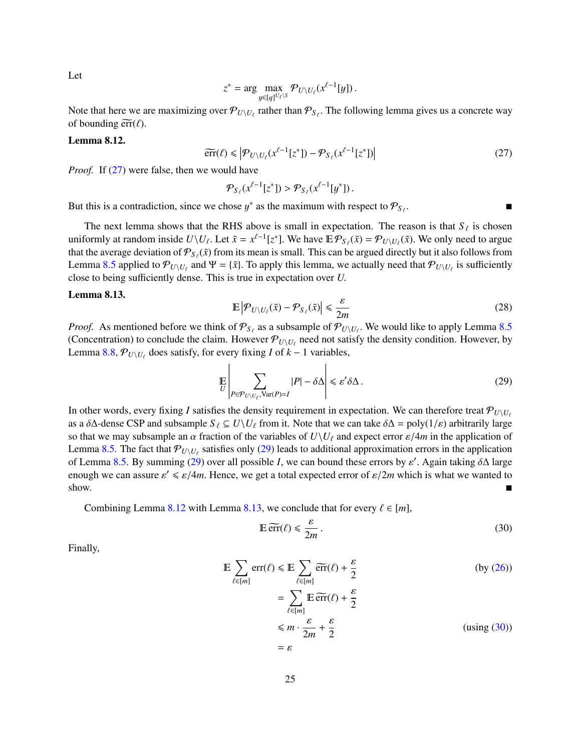$$
z^* = \arg\max_{y \in [q]^{U_\ell \setminus S}} \mathcal{P}_{U \setminus U_\ell}(x^{\ell-1}[y]).
$$

Note that here we are maximizing over  $\mathcal{P}_{U\setminus U_\ell}$  rather than  $\mathcal{P}_{S_\ell}$ . The following lemma gives us a concrete way of bounding  $\widetilde{\mathfrak{err}}(\ell)$ of bounding  $\widetilde{\text{err}}(\ell)$ .

#### <span id="page-26-2"></span>Lemma 8.12.

<span id="page-26-0"></span>
$$
\widetilde{\text{err}}(\ell) \leqslant \left| \mathcal{P}_{U \setminus U_{\ell}}(x^{\ell-1}[z^*]) - \mathcal{P}_{S_{\ell}}(x^{\ell-1}[z^*]) \right| \tag{27}
$$

*Proof.* If [\(27\)](#page-26-0) were false, then we would have

$$
\mathcal{P}_{S_{\ell}}(x^{\ell-1}[z^*]) > \mathcal{P}_{S_{\ell}}(x^{\ell-1}[y^*]).
$$

But this is a contradiction, since we chose  $y^*$  as the maximum with respect to  $\mathcal{P}_{S_\ell}$ .

The next lemma shows that the RHS above is small in expectation. The reason is that  $S_\ell$  is chosen uniformly at random inside  $U\setminus U_\ell$ . Let  $\tilde{x} = x^{\ell-1}[z^*]$ . We have  $E\mathcal{P}_{S_\ell}(\tilde{x}) = \mathcal{P}_{U\setminus U_\ell}(\tilde{x})$ . We only need to argue<br>that the average deviation of  $\mathcal{P}_{S_\ell}(\tilde{x})$  from its mean is small. This can be argu that the average deviation of  $\mathcal{P}_{S_\ell}(\tilde{x})$  from its mean is small. This can be argued directly but it also follows from Lemma [8.5](#page-19-2) applied to  $\mathcal{P}_{U\setminus U_{\ell}}$  and  $\Psi = {\tilde{x}}$ . To apply this lemma, we actually need that  $\mathcal{P}_{U\setminus U_{\ell}}$  is sufficiently close to being sufficiently danse. This is true in expectation over *II* close to being sufficiently dense. This is true in expectation over *<sup>U</sup>*.

#### <span id="page-26-3"></span>Lemma 8.13.

$$
\mathbb{E}\left|\mathcal{P}_{U\setminus U_{\ell}}(\tilde{x})-\mathcal{P}_{S_{\ell}}(\tilde{x})\right|\leq \frac{\varepsilon}{2m}
$$
\n(28)

*Proof.* As mentioned before we think of  $\mathcal{P}_{S_\ell}$  as a subsample of  $\mathcal{P}_{U\setminus U_\ell}$ . We would like to apply Lemma [8.5](#page-19-2) (Concentration) to conclude the claim. However  $\mathcal{P}_{U\setminus U_\ell}$  need not satisfy the density condition. However, by Lemma [8.8,](#page-21-1)  $\mathcal{P}_{U\setminus U_{\ell}}$  does satisfy, for every fixing *I* of *k* − 1 variables,

<span id="page-26-1"></span>
$$
\mathbb{E}\left|\sum_{P\in\mathcal{P}_{U\setminus U_{\ell}},\text{Var}(P)=I}|P|-\delta\Delta\right|\leqslant\varepsilon'\delta\Delta\,.
$$
\n(29)

In other words, every fixing *I* satisfies the density requirement in expectation. We can therefore treat  $\mathcal{P}_{U\setminus U_f}$ as a  $\delta\Delta$ -dense CSP and subsample  $S_\ell \subseteq U\setminus U_\ell$  from it. Note that we can take  $\delta\Delta = \text{poly}(1/\varepsilon)$  arbitrarily large so that we may subsample an  $\alpha$  fraction of the variables of  $U\setminus U_\ell$  and expect error  $\varepsilon/4m$  in the application of Lemma [8.5.](#page-19-2) The fact that  $\mathcal{P}_{U\setminus U_{\ell}}$  satisfies only [\(29\)](#page-26-1) leads to additional approximation errors in the application of Lemma [8.5.](#page-19-2) By summing [\(29\)](#page-26-1) over all possible *I*, we can bound these errors by  $\varepsilon'$ . Again taking  $\delta\Delta$  large<br>enough we can assure  $c' \leq c/m$ . Hence we get a total expected error of  $c/m$  which is what we wanted to enough we can assure  $\varepsilon' \le \varepsilon/4m$ . Hence, we get a total expected error of  $\varepsilon/2m$  which is what we wanted to show.

Combining Lemma [8.12](#page-26-2) with Lemma [8.13,](#page-26-3) we conclude that for every  $\ell \in [m]$ ,

<span id="page-26-4"></span>
$$
\mathbb{E}\,\widetilde{\text{err}}(\ell) \leqslant \frac{\varepsilon}{2m} \,. \tag{30}
$$

Finally,

$$
\mathbb{E} \sum_{\ell \in [m]} \text{err}(\ell) \leq \mathbb{E} \sum_{\ell \in [m]} \widetilde{\text{err}}(\ell) + \frac{\varepsilon}{2}
$$
(by (26))  

$$
= \sum_{\ell \in [m]} \mathbb{E} \widetilde{\text{err}}(\ell) + \frac{\varepsilon}{2}
$$
  

$$
\leq m \cdot \frac{\varepsilon}{2m} + \frac{\varepsilon}{2}
$$
(using (30))  

$$
= \varepsilon
$$

Let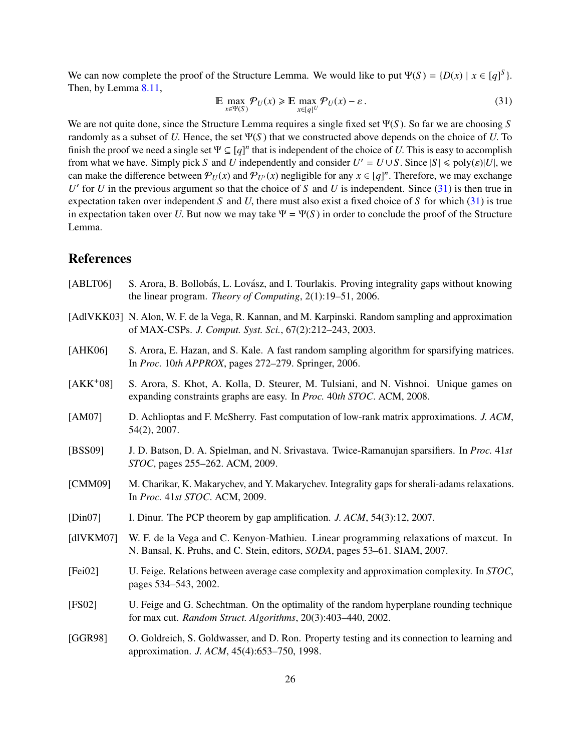We can now complete the proof of the Structure Lemma. We would like to put  $\Psi(S) = \{D(x) \mid x \in [q]^S\}$ .<br>Then by Lemma 8.11 Then, by Lemma [8.11,](#page-24-1)

<span id="page-27-12"></span>
$$
\mathbb{E} \max_{x \in \Psi(S)} \mathcal{P}_U(x) \ge \mathbb{E} \max_{x \in [q]^U} \mathcal{P}_U(x) - \varepsilon \,. \tag{31}
$$

We are not quite done, since the Structure Lemma requires a single fixed set <sup>Ψ</sup>(*<sup>S</sup>* ). So far we are choosing *<sup>S</sup>* randomly as a subset of *<sup>U</sup>*. Hence, the set <sup>Ψ</sup>(*<sup>S</sup>* ) that we constructed above depends on the choice of *<sup>U</sup>*. To finish the proof we need a single set  $\Psi \subseteq [q]^n$  that is independent of the choice of *U*. This is easy to accomplish from what we have Simply pick S and *U* independently and consider  $U' = U \cup S$ . Since  $|S| \le \text{poly}(s)|U|$  we from what we have. Simply pick *S* and *U* independently and consider  $U' = U \cup S$ . Since  $|S| \leq \text{poly}(\varepsilon)|U|$ , we can make the difference between  $\mathcal{D}_{U}(x)$  and  $\mathcal{D}_{U}(x)$  pegligible for any  $x \in [a]^n$ . Therefore, we may can make the difference between  $\mathcal{P}_U(x)$  and  $\mathcal{P}_{U'}(x)$  negligible for any  $x \in [q]^n$ . Therefore, we may exchange<br>*U*<sup>*l*</sup> for *U* in the previous argument so that the choice of *S* and *U* is independent. Since (31)  $U'$  for  $U$  in the previous argument so that the choice of  $S$  and  $U$  is independent. Since  $(31)$  is then true in expectation taken over independent *<sup>S</sup>* and *<sup>U</sup>*, there must also exist a fixed choice of *<sup>S</sup>* for which [\(31\)](#page-27-12) is true in expectation taken over *U*. But now we may take  $\Psi = \Psi(S)$  in order to conclude the proof of the Structure Lemma.

### References

- <span id="page-27-11"></span>[ABLT06] S. Arora, B. Bollobás, L. Lovász, and I. Tourlakis. Proving integrality gaps without knowing the linear program. *Theory of Computing*, 2(1):19–51, 2006.
- <span id="page-27-3"></span>[AdlVKK03] N. Alon, W. F. de la Vega, R. Kannan, and M. Karpinski. Random sampling and approximation of MAX-CSPs. *J. Comput. Syst. Sci.*, 67(2):212–243, 2003.
- <span id="page-27-5"></span>[AHK06] S. Arora, E. Hazan, and S. Kale. A fast random sampling algorithm for sparsifying matrices. In *Proc.* 10*th APPROX*, pages 272–279. Springer, 2006.
- <span id="page-27-10"></span>[AKK<sup>+</sup>08] S. Arora, S. Khot, A. Kolla, D. Steurer, M. Tulsiani, and N. Vishnoi. Unique games on expanding constraints graphs are easy. In *Proc.* 40*th STOC*. ACM, 2008.
- <span id="page-27-6"></span>[AM07] D. Achlioptas and F. McSherry. Fast computation of low-rank matrix approximations. *J. ACM*, 54(2), 2007.
- <span id="page-27-7"></span>[BSS09] J. D. Batson, D. A. Spielman, and N. Srivastava. Twice-Ramanujan sparsifiers. In *Proc.* 41*st STOC*, pages 255–262. ACM, 2009.
- <span id="page-27-9"></span>[CMM09] M. Charikar, K. Makarychev, and Y. Makarychev. Integrality gaps for sherali-adams relaxations. In *Proc.* 41*st STOC*. ACM, 2009.
- <span id="page-27-8"></span>[Din07] I. Dinur. The PCP theorem by gap amplification. *J. ACM*, 54(3):12, 2007.
- <span id="page-27-1"></span>[dlVKM07] W. F. de la Vega and C. Kenyon-Mathieu. Linear programming relaxations of maxcut. In N. Bansal, K. Pruhs, and C. Stein, editors, *SODA*, pages 53–61. SIAM, 2007.
- <span id="page-27-4"></span>[Fei02] U. Feige. Relations between average case complexity and approximation complexity. In *STOC*, pages 534–543, 2002.
- <span id="page-27-0"></span>[FS02] U. Feige and G. Schechtman. On the optimality of the random hyperplane rounding technique for max cut. *Random Struct. Algorithms*, 20(3):403–440, 2002.
- <span id="page-27-2"></span>[GGR98] O. Goldreich, S. Goldwasser, and D. Ron. Property testing and its connection to learning and approximation. *J. ACM*, 45(4):653–750, 1998.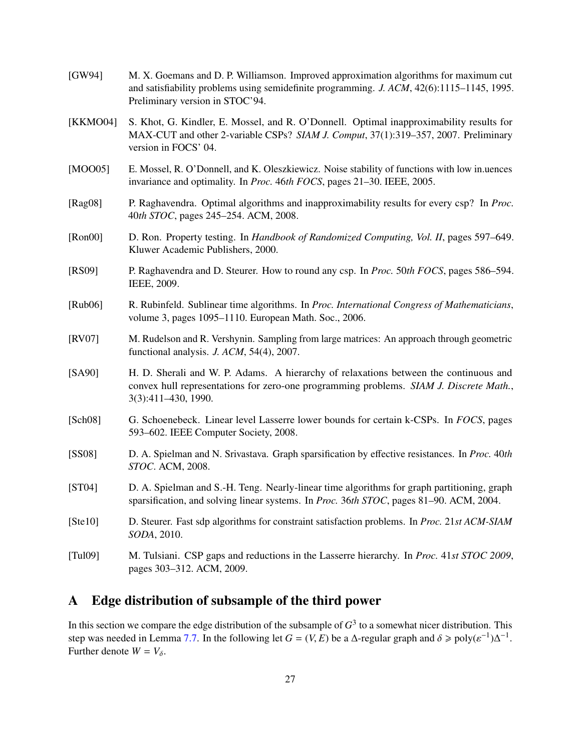<span id="page-28-10"></span><span id="page-28-8"></span><span id="page-28-7"></span><span id="page-28-6"></span><span id="page-28-4"></span><span id="page-28-3"></span><span id="page-28-2"></span><span id="page-28-1"></span>

| [GW94]      | M. X. Goemans and D. P. Williamson. Improved approximation algorithms for maximum cut<br>and satisfiability problems using semidefinite programming. J. ACM, 42(6):1115-1145, 1995.<br>Preliminary version in STOC'94. |
|-------------|------------------------------------------------------------------------------------------------------------------------------------------------------------------------------------------------------------------------|
| [KKMO04]    | S. Khot, G. Kindler, E. Mossel, and R. O'Donnell. Optimal inapproximability results for<br>MAX-CUT and other 2-variable CSPs? SIAM J. Comput, 37(1):319-357, 2007. Preliminary<br>version in FOCS' 04.                 |
| [MOO05]     | E. Mossel, R. O'Donnell, and K. Oleszkiewicz. Noise stability of functions with low in uences<br>invariance and optimality. In <i>Proc.</i> 46th FOCS, pages 21–30. IEEE, 2005.                                        |
| [ $Rag08$ ] | P. Raghavendra. Optimal algorithms and inapproximability results for every csp? In <i>Proc.</i><br>40th STOC, pages 245-254. ACM, 2008.                                                                                |
| [Ron00]     | D. Ron. Property testing. In Handbook of Randomized Computing, Vol. II, pages 597–649.<br>Kluwer Academic Publishers, 2000.                                                                                            |
| [RS09]      | P. Raghavendra and D. Steurer. How to round any csp. In <i>Proc.</i> 50th FOCS, pages 586–594.<br>IEEE, 2009.                                                                                                          |
| [Rub06]     | R. Rubinfeld. Sublinear time algorithms. In Proc. International Congress of Mathematicians,<br>volume 3, pages 1095-1110. European Math. Soc., 2006.                                                                   |
| [RV07]      | M. Rudelson and R. Vershynin. Sampling from large matrices: An approach through geometric<br>functional analysis. J. ACM, 54(4), 2007.                                                                                 |
| [SA90]      | H. D. Sherali and W. P. Adams. A hierarchy of relaxations between the continuous and<br>convex hull representations for zero-one programming problems. SIAM J. Discrete Math.,<br>3(3):411-430, 1990.                  |
| [Sch08]     | G. Schoenebeck. Linear level Lasserre lower bounds for certain k-CSPs. In FOCS, pages<br>593–602. IEEE Computer Society, 2008.                                                                                         |
| [SS08]      | D. A. Spielman and N. Srivastava. Graph sparsification by effective resistances. In <i>Proc.</i> 40th<br>STOC. ACM, 2008.                                                                                              |
| [ST04]      | D. A. Spielman and S.-H. Teng. Nearly-linear time algorithms for graph partitioning, graph<br>sparsification, and solving linear systems. In <i>Proc.</i> 36th STOC, pages 81–90. ACM, 2004.                           |
| [Ste10]     | D. Steurer. Fast sdp algorithms for constraint satisfaction problems. In Proc. 21st ACM-SIAM<br>SODA, 2010.                                                                                                            |
| [Tul09]     | M. Tulsiani. CSP gaps and reductions in the Lasserre hierarchy. In <i>Proc.</i> 41st STOC 2009,<br>pages 303-312. ACM, 2009.                                                                                           |

# <span id="page-28-14"></span><span id="page-28-13"></span><span id="page-28-12"></span><span id="page-28-11"></span><span id="page-28-9"></span><span id="page-28-5"></span><span id="page-28-0"></span>A Edge distribution of subsample of the third power

In this section we compare the edge distribution of the subsample of  $G^3$  to a somewhat nicer distribution. This step was needed in Lemma [7.7.](#page-16-2) In the following let *G* = (*V*, *E*) be a  $\Delta$ -regular graph and  $\delta \ge \text{poly}(\varepsilon^{-1})\Delta^{-1}$ <br>Further denote  $W - V_0$ Further denote  $W = V_{\delta}$ .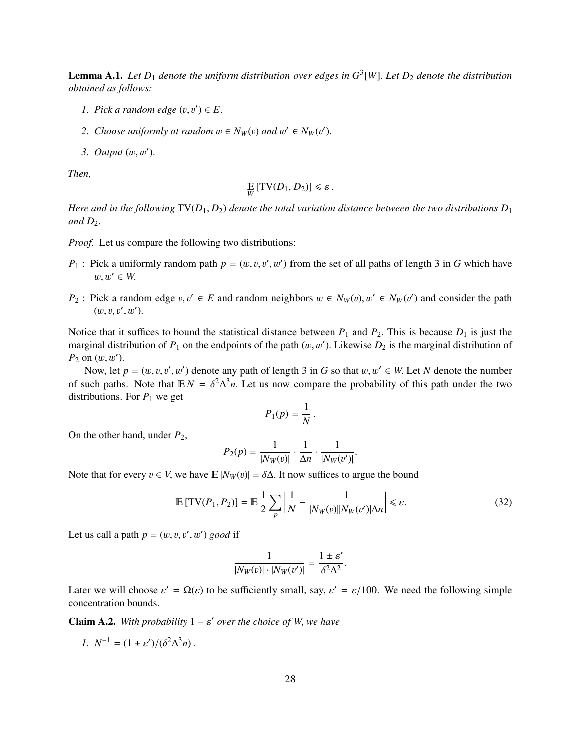Lemma A.1. *Let D*<sup>1</sup> *denote the uniform distribution over edges in G* 3 [*W*]. *Let <sup>D</sup>*<sup>2</sup> *denote the distribution obtained as follows:*

- *1. Pick a random edge*  $(v, v') \in E$ .
- 2. *Choose uniformly at random*  $w \in N_W(v)$  *and*  $w' \in N_W(v')$ .
- 3. Output  $(w, w')$ .

*Then,*

$$
\mathop{\mathbb{E}}_{W} \left[ \text{TV}(D_1, D_2) \right] \leq \varepsilon.
$$

*Here and in the following*  $TV(D_1, D_2)$  *denote the total variation distance between the two distributions*  $D_1$ and  $D_2$ .

*Proof.* Let us compare the following two distributions:

- *P*<sub>1</sub>: Pick a uniformly random path  $p = (w, v, v', w')$  from the set of all paths of length 3 in *G* which have  $w, w' \in W$ .
- *P*<sub>2</sub> : Pick a random edge  $v, v' \in E$  and random neighbors  $w \in N_W(v), w' \in N_W(v')$  and consider the path  $(w, v, w', w')$  $(w, v, v', w').$

Notice that it suffices to bound the statistical distance between  $P_1$  and  $P_2$ . This is because  $D_1$  is just the marginal distribution of  $P_1$  on the endpoints of the path  $(w, w')$ . Likewise  $D_2$  is the marginal distribution of  $P_2$  on  $(w, w')$  $P_2$  on  $(w, w')$ .<br>Now let

Now, let  $p = (w, v, v', w')$  denote any path of length 3 in *G* so that  $w, w' \in W$ . Let *N* denote the number<br>ush paths. Note that  $\mathbb{F}[N] = \delta^2 \Delta^3 n$ . Let us now compare the probability of this path under the two of such paths. Note that  $\mathbb{E}N = \delta^2 \Delta^3 n$ . Let us now compare the probability of this path under the two distributions. For *P<sub>t</sub>* we get distributions. For  $P_1$  we get

$$
P_1(p) = \frac{1}{N}
$$

On the other hand, under *<sup>P</sup>*2,

$$
P_2(p) = \frac{1}{|N_W(v)|} \cdot \frac{1}{\Delta n} \cdot \frac{1}{|N_W(v')|}
$$

Note that for every  $v \in V$ , we have  $\mathbb{E}|N_W(v)| = \delta \Delta$ . It now suffices to argue the bound

$$
\mathbb{E}\left[\text{TV}(P_1, P_2)\right] = \mathbb{E}\left[\frac{1}{2}\sum_{p} \left|\frac{1}{N} - \frac{1}{|N_W(v)||N_W(v')|\Delta n}\right|\right] \leq \varepsilon. \tag{32}
$$

Let us call a path  $p = (w, v, v', w')$  *good* if

$$
\frac{1}{|N_W(v)| \cdot |N_W(v')|} = \frac{1 \pm \varepsilon'}{\delta^2 \Delta^2}.
$$

Later we will choose  $\varepsilon' = \Omega(\varepsilon)$  to be sufficiently small, say,  $\varepsilon' = \varepsilon/100$ . We need the following simple concentration bounds concentration bounds.

**Claim A.2.** With probability  $1 - \varepsilon'$  over the choice of W, we have

*1.*  $N^{-1} = (1 \pm \varepsilon')/(\delta^2 \Delta^3 n)$ .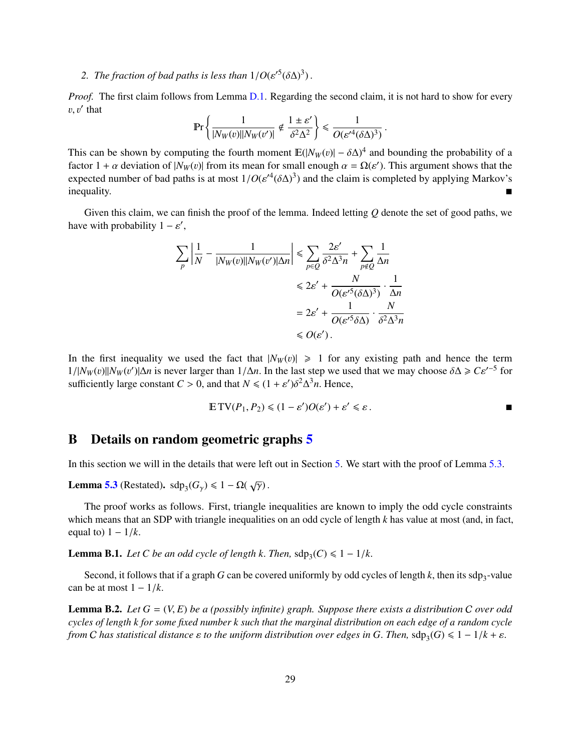# 2. *The fraction of bad paths is less than*  $1/O(\varepsilon'^5(\delta\Delta)^3)$ .

*Proof.* The first claim follows from Lemma [D.1.](#page-34-1) Regarding the second claim, it is not hard to show for every  $v, v'$  that

$$
\Pr\left\{\frac{1}{|N_W(v)||N_W(v')|} \notin \frac{1 \pm \varepsilon'}{\delta^2 \Delta^2}\right\} \le \frac{1}{O(\varepsilon'^4 (\delta \Delta)^3)}
$$

This can be shown by computing the fourth moment  $\mathbb{E}(|N_W(v)| - \delta \Delta)^4$  and bounding the probability of a<br>factor  $1 + \alpha$  deviation of  $|N_W(v)|$  from its mean for small enough  $\alpha = O(\alpha')$ . This argument shows that the factor  $1 + \alpha$  deviation of  $|N_W(v)|$  from its mean for small enough  $\alpha = \Omega(\varepsilon')$ . This argument shows that the expected number of had paths is at most  $1/O(\varepsilon'^4(\delta \Delta)^3)$  and the claim is completed by applying Markov's expected number of bad paths is at most  $1/O(\varepsilon'^4(\delta\Delta)^3)$  and the claim is completed by applying Markov's  $\blacksquare$ inequality.

Given this claim, we can finish the proof of the lemma. Indeed letting *Q* denote the set of good paths, we have with probability  $1 - \varepsilon'$ ,

$$
\sum_{p} \left| \frac{1}{N} - \frac{1}{|N_W(v)||N_W(v')|\Delta n} \right| \le \sum_{p \in Q} \frac{2\varepsilon'}{\delta^2 \Delta^3 n} + \sum_{p \notin Q} \frac{1}{\Delta n}
$$
  

$$
\le 2\varepsilon' + \frac{N}{O(\varepsilon'^5 (\delta \Delta)^3)} \cdot \frac{1}{\Delta n}
$$
  

$$
= 2\varepsilon' + \frac{1}{O(\varepsilon'^5 \delta \Delta)} \cdot \frac{N}{\delta^2 \Delta^3 n}
$$
  

$$
\le O(\varepsilon').
$$

In the first inequality we used the fact that  $|N_W(v)| \geq 1$  for any existing path and hence the term  $1/|N_W(v)||N_W(v')|\Delta n$  is never larger than  $1/\Delta n$ . In the last step we used that we may choose  $\delta \Delta \geq C \varepsilon'^{-5}$  for sufficiently large constant  $C > 0$ , and that  $N \leq (1 + \varepsilon') \delta^2 \Delta^3 n$ . Hence sufficiently large constant *C* > 0, and that  $N \le (1 + \varepsilon')\delta^2 \Delta^3 n$ . Hence,

$$
\mathbb{E}\,\mathrm{TV}(P_1, P_2) \leq (1 - \varepsilon')O(\varepsilon') + \varepsilon' \leq \varepsilon.
$$

# <span id="page-30-0"></span>B Details on random geometric graphs [5](#page-11-0)

In this section we will in the details that were left out in Section [5.](#page-11-0) We start with the proof of Lemma [5.3.](#page-12-2)

**Lemma [5.3](#page-12-2)** (Restated).  $\text{sdp}_3(G_\gamma) \leq 1 - \Omega(\sqrt{\gamma})$ .

The proof works as follows. First, triangle inequalities are known to imply the odd cycle constraints which means that an SDP with triangle inequalities on an odd cycle of length *k* has value at most (and, in fact, equal to)  $1 - 1/k$ .

<span id="page-30-1"></span>**Lemma B.1.** *Let C be an odd cycle of length k. Then,*  $\text{sdp}_3(C) \leq 1 - 1/k$ .

Second, it follows that if a graph *G* can be covered uniformly by odd cycles of length *k*, then its sdp<sub>3</sub>-value be at most  $1 - 1/k$ can be at most  $1 - 1/k$ .

Lemma B.2. *Let <sup>G</sup>* <sup>=</sup> (*V*, *<sup>E</sup>*) *be a (possibly infinite) graph. Suppose there exists a distribution* <sup>C</sup> *over odd cycles of length k for some fixed number k such that the marginal distribution on each edge of a random cycle from C* has statistical distance  $\varepsilon$  to the uniform distribution over edges in G. Then, sdp<sub>3</sub>(G)  $\leq 1 - 1/k + \varepsilon$ .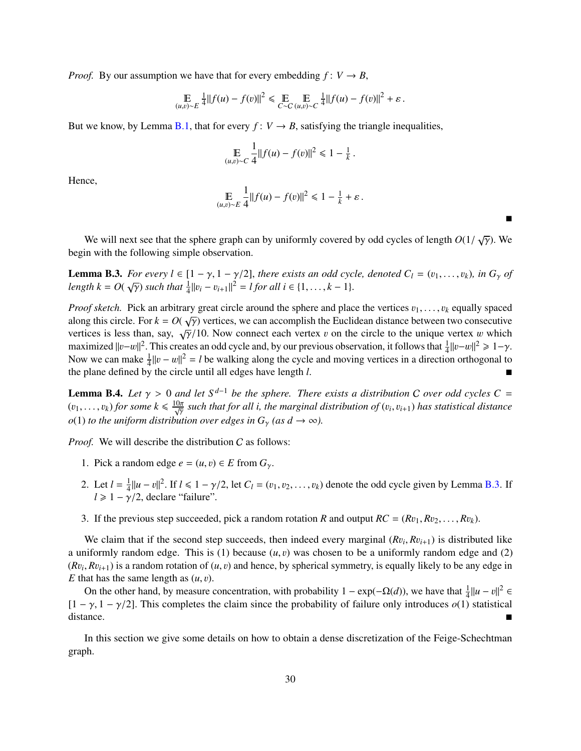*Proof.* By our assumption we have that for every embedding  $f: V \to B$ ,

$$
\mathbb{E}_{(u,v)\sim E} \frac{1}{4} ||f(u) - f(v)||^2 \leq \mathbb{E}_{C\sim C} \mathbb{E}_{(u,v)\sim C} \frac{1}{4} ||f(u) - f(v)||^2 + \varepsilon.
$$

But we know, by Lemma [B.1,](#page-30-1) that for every  $f: V \to B$ , satisfying the triangle inequalities,

$$
\mathop{\mathbb{E}}_{(u,v)\sim C} \frac{1}{4} ||f(u) - f(v)||^2 \le 1 - \frac{1}{k}
$$

Hence,

$$
\mathop{\mathbb{E}}_{(u,v)\sim E} \frac{1}{4} ||f(u) - f(v)||^2 \leq 1 - \frac{1}{k} + \varepsilon.
$$

We will next see that the sphere graph can by uniformly covered by odd cycles of length  $O(1/\sqrt{\gamma})$ . We in with the following simple observation begin with the following simple observation.

<span id="page-31-0"></span>**Lemma B.3.** For every  $l \in [1 - \gamma, 1 - \gamma/2]$ , there exists an odd cycle, denoted  $C_l = (v_1, \dots, v_k)$ , in  $G_\gamma$  of length  $k = O(\sqrt{\gamma})$  such that  $\frac{1}{4} ||v_i - v_{i+1}||^2 = l$  for all  $i \in \{1, \dots, k - 1\}$ .

*Proof sketch.* Pick an arbitrary great circle around the sphere and place the vertices  $v_1, \ldots, v_k$  equally spaced along this circle. For  $k = O(\sqrt{N})$  vertices, we can accomplish the Euclidean distance between two consecut along this circle. For  $k = O(\sqrt{\gamma})$  vertices, we can accomplish the Euclidean distance between two consecutive<br>vertices is less than say  $\sqrt{\alpha}/10$ . Now connect each vertex u on the circle to the unique vertex u which vertices is less than, say,  $\sqrt{\gamma}/10$ . Now connect each vertex v on the circle to the unique vertex w which maximized  $||u - v||^2$ . This creates an odd cycle and by our previous observation it follows that  $\frac{1}{2}||v - v||^2 > 1$ maximized  $||v-w||^2$ . This creates an odd cycle and, by our previous observation, it follows that  $\frac{1}{4}||v-w||^2 \ge 1-\gamma$ .<br>Now we can make  $\frac{1}{2}||v-w||^2 = I$  be walking along the cycle and moving vertices in a direction orthog Now we can make  $\frac{1}{4}||v - w||^2 = l$  be walking along the cycle and moving vertices in a direction orthogonal to the plane defined by the circle until all edges have length l the plane defined by the circle until all edges have length *<sup>l</sup>*.

<span id="page-31-1"></span>**Lemma B.4.** *Let*  $\gamma > 0$  *and let*  $S^{d-1}$  *be the sphere. There exists a distribution C over odd cycles*  $C = (n_1, n_2)$  *for some k*  $\leq \frac{10\pi}{\pi}$  *such that for all i the marginal distribution of*  $(n_1, n_2)$  *has s*  $(v_1, \ldots, v_k)$  for some  $k \leq \frac{10\pi}{\sqrt{y}}$  such that for all *i*, the marginal distribution of  $(v_i, v_{i+1})$  has statistical distance *o*(1) *to the uniform distribution over edges in*  $G_\gamma$  *(as*  $d \to \infty$ *).* 

*Proof.* We will describe the distribution C as follows:

- 1. Pick a random edge  $e = (u, v) \in E$  from  $G_{\gamma}$ .
- 2. Let  $l = \frac{1}{4}$  $\frac{1}{4} ||u - v||^2$ . If  $l \le 1 - \gamma/2$ , let  $C_l = (v_1, v_2, ..., v_k)$  denote the odd cycle given by Lemma [B.3.](#page-31-0) If  $\gamma/2$  declare "failure"  $l \geq 1 - \gamma/2$ , declare "failure".
- 3. If the previous step succeeded, pick a random rotation *R* and output  $RC = (Rv_1, Rv_2, \dots, Rv_k)$ .

We claim that if the second step succeeds, then indeed every marginal  $(Rv_i, Rv_{i+1})$  is distributed like<br>viformly random edge. This is (1) because (*u*, *n*) was chosen to be a uniformly random edge and (2) a uniformly random edge. This is  $(1)$  because  $(u, v)$  was chosen to be a uniformly random edge and  $(2)$  $(Rv_i, Rv_{i+1})$  is a random rotation of  $(u, v)$  and hence, by spherical symmetry, is equally likely to be any edge in<br>E that has the same length as  $(u, v)$ *E* that has the same length as  $(u, v)$ .

On the other hand, by measure concentration, with probability  $1 - \exp(-\Omega(d))$ , we have that  $\frac{1}{4} ||u - v||^2 \in$ <br>  $\frac{1}{\sqrt{2}}$  ∈  $\frac{1}{\sqrt{2}}$  ⊂ This completes the claim since the probability of failure only introduces  $\frac{1}{\$ [1 –  $\gamma$ , 1 –  $\gamma$ /2]. This completes the claim since the probability of failure only introduces *o*(1) statistical distance. distance.

In this section we give some details on how to obtain a dense discretization of the Feige-Schechtman graph.

 $\blacksquare$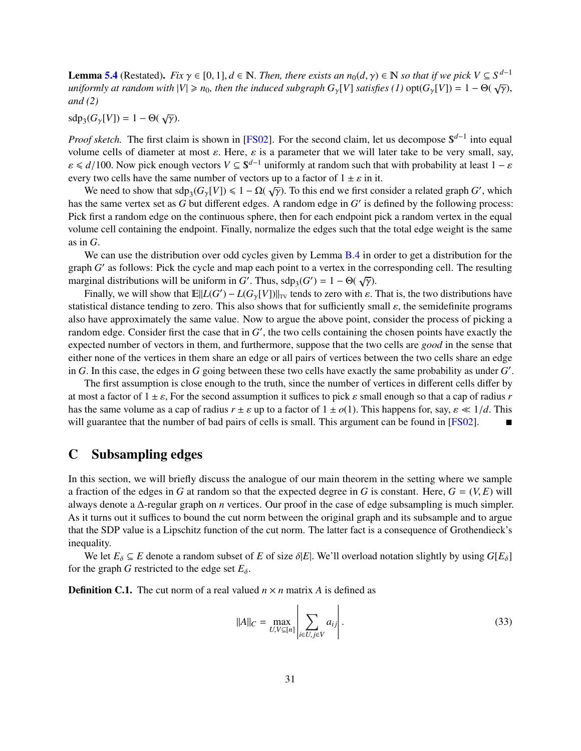**Lemma [5.4](#page-12-1)** (Restated). *Fix*  $\gamma \in [0, 1]$ ,  $d \in \mathbb{N}$ . *Then, there exists an*  $n_0(d, \gamma) \in \mathbb{N}$  *so that if we pick*  $V \subseteq S^{d-1}$ <br>uniformly at random with  $|V| > n_0$ , then the induced subgraph G *IVI* satisfies (1) opt( *uniformly at random with*  $|V| \ge n_0$ , then the induced subgraph  $G_\gamma[V]$  satisfies (1) opt $(G_\gamma[V]) = 1 - \Theta(\sqrt{\gamma})$ , and (2) *and (2)*

sdp<sub>3</sub>( $G_{\gamma}[V]$ ) = 1 – Θ( $\sqrt{\gamma}$ ).

*Proof sketch.* The first claim is shown in [\[FS02\]](#page-27-0). For the second claim, let us decompose S<sup>d−1</sup> into equal volume cells of diameter at most  $\varepsilon$ . Here,  $\varepsilon$  is a parameter that we will later take to be very small, say,  $\varepsilon \le d/100$ . Now pick enough vectors  $V \subseteq S^{d-1}$  uniformly at random such that with probability at least  $1 - \varepsilon$ <br>every two cells have the same number of vectors up to a factor of  $1 + \varepsilon$  in it. every two cells have the same number of vectors up to a factor of  $1 \pm \varepsilon$  in it.

We need to show that  $\text{sdp}_3(G_\gamma[V]) \leq 1 - \Omega(\sqrt{\gamma})$ . To this end we first consider a related graph *G'*, which the same vertex set as *G* but different edges. A random edge in *G'* is defined by the following process: has the same vertex set as  $G$  but different edges. A random edge in  $G'$  is defined by the following process: Pick first a random edge on the continuous sphere, then for each endpoint pick a random vertex in the equal volume cell containing the endpoint. Finally, normalize the edges such that the total edge weight is the same as in *G*.

We can use the distribution over odd cycles given by Lemma [B.4](#page-31-1) in order to get a distribution for the graph *G'* as follows: Pick the cycle and map each point to a vertex in the corresponding cell. The resulting marginal distributions will be uniform in *G'*. Thus,  $\text{sdp}_3(G') = 1 - \Theta(\sqrt{\gamma})$ .<br>Finally we will show that  $\mathbb{E}[|I(G') - I(G, |V|)]$  tends to zero with s

Finally, we will show that  $\mathbb{E}||L(G') - L(G_{\gamma}[V])||_{TV}$  tends to zero with  $\varepsilon$ . That is, the two distributions have<br>istical distance tending to zero. This also shows that for sufficiently small s, the semidefinite programs statistical distance tending to zero. This also shows that for sufficiently small  $\varepsilon$ , the semidefinite programs also have approximately the same value. Now to argue the above point, consider the process of picking a random edge. Consider first the case that in  $G'$ , the two cells containing the chosen points have exactly the expected number of vectors in them, and furthermore, suppose that the two cells are *good* in the sense that either none of the vertices in them share an edge or all pairs of vertices between the two cells share an edge in *G*. In this case, the edges in *G* going between these two cells have exactly the same probability as under *G'*.<br>The first assumption is close enough to the truth, since the number of vertices in different cells diff

The first assumption is close enough to the truth, since the number of vertices in different cells differ by at most a factor of  $1 \pm \varepsilon$ , For the second assumption it suffices to pick  $\varepsilon$  small enough so that a cap of radius *r* has the same volume as a cap of radius  $r \pm \varepsilon$  up to a factor of  $1 \pm o(1)$ . This happens for, say,  $\varepsilon \ll 1/d$ . This will guarantee that the number of bad pairs of cells is small. This argument can be found in [\[FS02\]](#page-27-0).

# <span id="page-32-0"></span>C Subsampling edges

In this section, we will briefly discuss the analogue of our main theorem in the setting where we sample a fraction of the edges in *G* at random so that the expected degree in *G* is constant. Here,  $G = (V, E)$  will always denote a ∆-regular graph on *n* vertices. Our proof in the case of edge subsampling is much simpler. As it turns out it suffices to bound the cut norm between the original graph and its subsample and to argue that the SDP value is a Lipschitz function of the cut norm. The latter fact is a consequence of Grothendieck's inequality.

We let  $E_{\delta} \subseteq E$  denote a random subset of *E* of size  $\delta |E|$ . We'll overload notation slightly by using  $G[E_{\delta}]$ for the graph *G* restricted to the edge set  $E_{\delta}$ .

**Definition C.1.** The cut norm of a real valued  $n \times n$  matrix A is defined as

$$
||A||_C = \max_{U, V \subseteq [n]} \left| \sum_{i \in U, j \in V} a_{ij} \right|.
$$
 (33)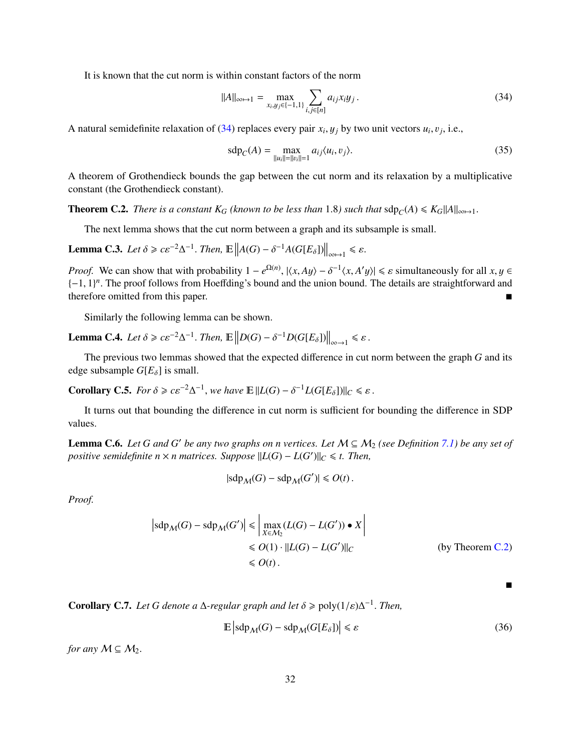It is known that the cut norm is within constant factors of the norm

<span id="page-33-0"></span>
$$
||A||_{\infty \mapsto 1} = \max_{x_i, y_j \in \{-1, 1\}} \sum_{i, j \in [n]} a_{ij} x_i y_j.
$$
 (34)

A natural semidefinite relaxation of [\(34\)](#page-33-0) replaces every pair  $x_i, y_j$  by two unit vectors  $u_i, v_j$ , i.e.,

$$
sdp_C(A) = \max_{\|u_i\| = \|v_i\| = 1} a_{ij} \langle u_i, v_j \rangle.
$$
 (35)

A theorem of Grothendieck bounds the gap between the cut norm and its relaxation by a multiplicative constant (the Grothendieck constant).

<span id="page-33-1"></span>**Theorem C.2.** *There is a constant*  $K_G$  *(known to be less than* 1.8*) such that*  $\text{sdp}_C(A) \le K_G ||A||_{\infty \mapsto 1}$ .

The next lemma shows that the cut norm between a graph and its subsample is small.

**Lemma C.3.** *Let*  $\delta \ge c \varepsilon^{-2} \Delta^{-1}$ . *Then*,  $\mathbb{E} \left\| A(G) - \delta^{-1} A(G[E_{\delta}]) \right\|_{\infty \mapsto 1} \le \varepsilon$ .

*Proof.* We can show that with probability  $1 - e^{\Omega(n)}$ ,  $|\langle x, Ay \rangle - \delta^{-1} \langle x, A'y \rangle| \le \varepsilon$  simultaneously for all  $x, y \in$   $[-1, 1]^n$ . The proof follows from Hoeffding's bound and the union bound. The details are straightforward {-1, 1}<sup>n</sup>. The proof follows from Hoeffding's bound and the union bound. The details are straightforward and therefore omitted from this paper therefore omitted from this paper.

Similarly the following lemma can be shown.

**Lemma C.4.** *Let*  $\delta \ge c \varepsilon^{-2} \Delta^{-1}$ . *Then*,  $\mathbb{E} \left\| D(G) - \delta^{-1} D(G[E_{\delta}]) \right\|_{\infty \to 1} \le \varepsilon$ .

The previous two lemmas showed that the expected difference in cut norm between the graph *G* and its edge subsample  $G[E_{\delta}]$  is small.

**Corollary C.5.** *For*  $\delta \geqslant c\varepsilon^{-2}\Delta^{-1}$ , *we have*  $\mathbb{E} ||L(G) - \delta^{-1}L(G[E_{\delta}])||_{C} \leqslant \varepsilon$ .

It turns out that bounding the difference in cut norm is sufficient for bounding the difference in SDP values.

**Lemma C.6.** *Let G and G' be any two graphs on n vertices. Let*  $M \subseteq M_2$  *(see Definition [7.1\)](#page-14-3) be any set of positive semidefinite n*  $\times$  *n matrices. Suppose*  $||L(G) – L(G')||_C \le t$ . Then,

$$
|\text{sdp}_M(G) - \text{sdp}_M(G')| \le O(t).
$$

*Proof.*

$$
\left| \mathrm{sdp}_M(G) - \mathrm{sdp}_M(G') \right| \leq \left| \max_{X \in M_2} (L(G) - L(G')) \bullet X \right|
$$
  
\n
$$
\leq O(1) \cdot ||L(G) - L(G')||_C \qquad \text{(by Theorem C.2)}
$$
  
\n
$$
\leq O(t) .
$$

**Corollary C.7.** *Let* G denote a  $\Delta$ -regular graph and let  $\delta \geq \text{poly}(1/\varepsilon)\Delta^{-1}$ . Then,

$$
\mathbb{E}\left|\operatorname{sdp}_{\mathcal{M}}(G) - \operatorname{sdp}_{\mathcal{M}}(G[E_{\delta}])\right| \leq \varepsilon\tag{36}
$$

*for any*  $M \subseteq M_2$ .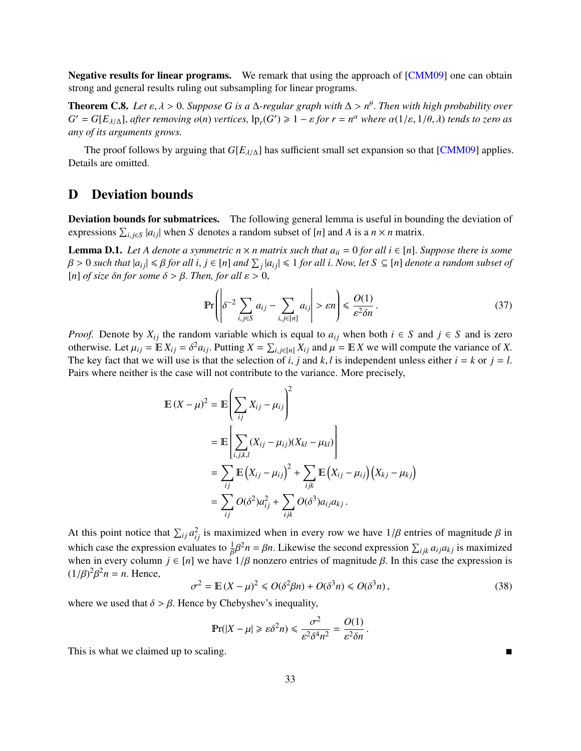Negative results for linear programs. We remark that using the approach of [\[CMM09\]](#page-27-9) one can obtain strong and general results ruling out subsampling for linear programs.

**Theorem C.8.** *Let*  $\varepsilon$ ,  $\lambda > 0$ . *Suppose G is a*  $\Delta$ *-regular graph with*  $\Delta > n^{\theta}$ . *Then with high probability over*  $G' = G[F_{\lambda+1}]$  after removing  $o(n)$  vertices  $\ln(G') > 1 - \varepsilon$  for  $r = n^{\alpha}$  where  $o(1/\varepsilon, 1/\$  $G' = G[E_{\lambda/\Delta}]$ , *after removing*  $o(n)$  *vertices*,  $\text{lp}_r(G') \geq 1 - \varepsilon$  *for*  $r = n^{\alpha}$  *where*  $\alpha(1/\varepsilon, 1/\theta, \lambda)$  *tends to zero as any* of *its grayments* grows. *any of its arguments grows.*

The proof follows by arguing that  $G[E_{\lambda/\Delta}]$  has sufficient small set expansion so that [\[CMM09\]](#page-27-9) applies. Details are omitted.

# <span id="page-34-0"></span>D Deviation bounds

Deviation bounds for submatrices. The following general lemma is useful in bounding the deviation of expressions  $\sum_{i,j\in S} |a_{ij}|$  when *S* denotes a random subset of [*n*] and *A* is a *n* × *n* matrix.

<span id="page-34-1"></span>**Lemma D.1.** Let A denote a symmetric  $n \times n$  matrix such that  $a_{ii} = 0$  for all  $i \in [n]$ . Suppose there is some  $\beta > 0$  such that  $|a_{ij}| \leq \beta$  for all  $i, j \in [n]$  and  $\sum_j |a_{ij}| \leq 1$  for all i. Now, let  $S \subseteq [n]$  denote a random subset of  $[n]$  of size  $\delta$ n for some  $\delta > \beta$ . Then, for all  $s > 0$ . [*n*] *of size δn for some*  $\delta > \beta$ *. Then, for all*  $\varepsilon > 0$ *,* 

$$
\Pr\left(\left|\delta^{-2}\sum_{i,j\in S} a_{ij} - \sum_{i,j\in[n]} a_{ij}\right| > \varepsilon n\right) \leq \frac{O(1)}{\varepsilon^2 \delta n}.
$$
\n(37)

*Proof.* Denote by  $X_{ij}$  the random variable which is equal to  $a_{ij}$  when both  $i \in S$  and  $j \in S$  and is zero otherwise. Let  $\mu_{ij} = \mathbb{E} X_{ij} = \delta^2 a_{ij}$ . Putting  $X = \sum_{i,j \in [n]} X_{ij}$  and  $\mu = \mathbb{E} X$  we will compute the variance of *X*. The key fact that we will use is that the selection of *i*, *i* and *k l* is independent unles The key fact that we will use is that the selection of *i*, *j* and *k*, *l* is independent unless either  $i = k$  or  $j = l$ . Pairs where neither is the case will not contribute to the variance. More precisely,

$$
\mathbb{E}(X - \mu)^2 = \mathbb{E}\left(\sum_{ij} X_{ij} - \mu_{ij}\right)^2
$$
  
= 
$$
\mathbb{E}\left[\sum_{i,j,k,l} (X_{ij} - \mu_{ij})(X_{kl} - \mu_{kl})\right]
$$
  
= 
$$
\sum_{ij} \mathbb{E}(X_{ij} - \mu_{ij})^2 + \sum_{ijk} \mathbb{E}(X_{ij} - \mu_{ij})(X_{kj} - \mu_{kj})
$$
  
= 
$$
\sum_{ij} O(\delta^2) a_{ij}^2 + \sum_{ijk} O(\delta^3) a_{ij} a_{kj}.
$$

At this point notice that  $\sum_{ij} a_{ij}^2$  is maximized when in every row we have  $1/\beta$  entries of magnitude  $\beta$  in which case the expression evaluates to  $\frac{1}{\beta}\beta^2 n = \beta n$ . Likewise the second expression  $\sum_{ijk} a_{ij} a_{kj}$  is maximized when in every column  $i \in [n]$  we have  $1/\beta$  ponzero entries of magnitude  $\beta$ . In this case the expres when in every column  $j \in [n]$  we have  $1/\beta$  nonzero entries of magnitude  $\beta$ . In this case the expression is  $(1/\beta)^2 \beta^2 n - n$ . Hence  $(1/\beta)^2$  $\beta^2 n = n$ . Hence,

$$
\sigma^2 = \mathbb{E}(X - \mu)^2 \leqslant O(\delta^2 \beta n) + O(\delta^3 n) \leqslant O(\delta^3 n),\tag{38}
$$

where we used that  $\delta > \beta$ . Hence by Chebyshev's inequality,

$$
\Pr(|X - \mu| \ge \varepsilon \delta^2 n) \le \frac{\sigma^2}{\varepsilon^2 \delta^4 n^2} = \frac{O(1)}{\varepsilon^2 \delta n}
$$

This is what we claimed up to scaling.